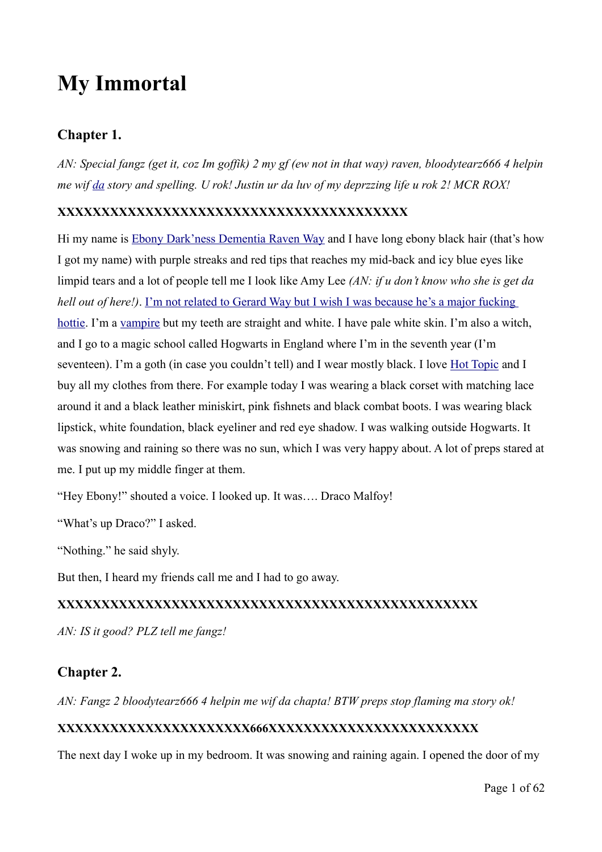# **My Immortal**

# **Chapter 1.**

*AN: Special fangz (get it, coz Im goffik) 2 my gf (ew not in that way) raven, bloodytearz666 4 helpin me wif [da](http://encyclopediadramatica.com/index.php?title=Da&action=edit&redlink=1) story and spelling. U rok! Justin ur da luv of my deprzzing life u rok 2! MCR ROX!*

#### **XXXXXXXXXXXXXXXXXXXXXXXXXXXXXXXXXXXXXXXX**

Hi my name is [Ebony Dark'ness Dementia Raven Way](http://encyclopediadramatica.com/Mary_Sue) and I have long ebony black hair (that's how I got my name) with purple streaks and red tips that reaches my mid-back and icy blue eyes like limpid tears and a lot of people tell me I look like Amy Lee *(AN: if u don't know who she is get da hell out of here!*). [I'm not related to Gerard Way but I wish I was because he's a major fucking](http://encyclopediadramatica.com/Incest) [hottie.](http://encyclopediadramatica.com/Incest) I'm a [vampire](http://encyclopediadramatica.com/Vampire) but my teeth are straight and white. I have pale white skin. I'm also a witch, and I go to a magic school called Hogwarts in England where I'm in the seventh year (I'm seventeen). I'm a goth (in case you couldn't tell) and I wear mostly black. I love [Hot Topic](http://encyclopediadramatica.com/Hot_Topic) and I buy all my clothes from there. For example today I was wearing a black corset with matching lace around it and a black leather miniskirt, pink fishnets and black combat boots. I was wearing black lipstick, white foundation, black eyeliner and red eye shadow. I was walking outside Hogwarts. It was snowing and raining so there was no sun, which I was very happy about. A lot of preps stared at me. I put up my middle finger at them.

"Hey Ebony!" shouted a voice. I looked up. It was…. Draco Malfoy!

"What's up Draco?" I asked.

"Nothing." he said shyly.

But then, I heard my friends call me and I had to go away.

#### **XXXXXXXXXXXXXXXXXXXXXXXXXXXXXXXXXXXXXXXXXXXXXXXX**

*AN: IS it good? PLZ tell me fangz!*

# **Chapter 2.**

*AN: Fangz 2 bloodytearz666 4 helpin me wif da chapta! BTW preps stop flaming ma story ok!*

#### **XXXXXXXXXXXXXXXXXXXXXX666XXXXXXXXXXXXXXXXXXXXXXXX**

The next day I woke up in my bedroom. It was snowing and raining again. I opened the door of my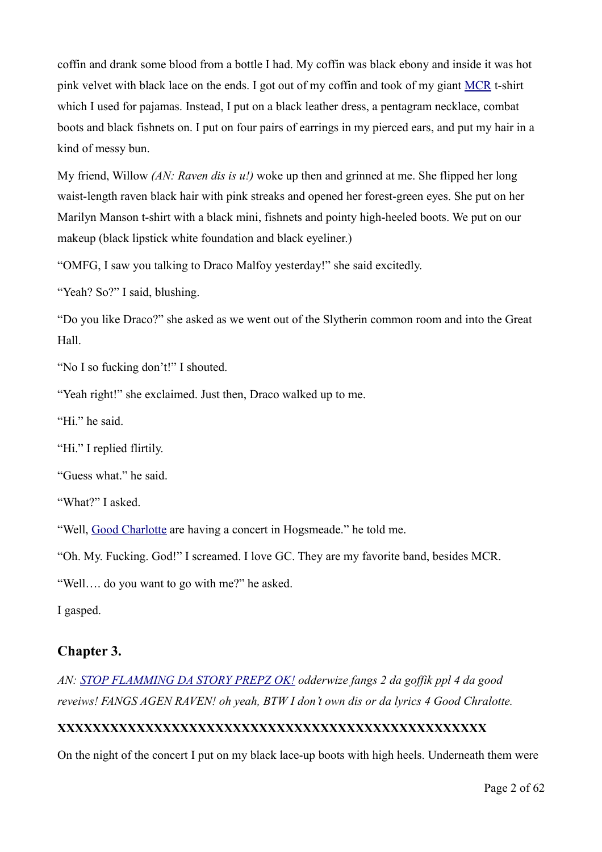coffin and drank some blood from a bottle I had. My coffin was black ebony and inside it was hot pink velvet with black lace on the ends. I got out of my coffin and took of my giant [MCR](http://encyclopediadramatica.com/MCR) t-shirt which I used for pajamas. Instead, I put on a black leather dress, a pentagram necklace, combat boots and black fishnets on. I put on four pairs of earrings in my pierced ears, and put my hair in a kind of messy bun.

My friend, Willow *(AN: Raven dis is u!)* woke up then and grinned at me. She flipped her long waist-length raven black hair with pink streaks and opened her forest-green eyes. She put on her Marilyn Manson t-shirt with a black mini, fishnets and pointy high-heeled boots. We put on our makeup (black lipstick white foundation and black eveliner.)

"OMFG, I saw you talking to Draco Malfoy yesterday!" she said excitedly.

"Yeah? So?" I said, blushing.

"Do you like Draco?" she asked as we went out of the Slytherin common room and into the Great Hall.

"No I so fucking don't!" I shouted.

"Yeah right!" she exclaimed. Just then, Draco walked up to me.

"Hi." he said.

"Hi." I replied flirtily.

"Guess what." he said.

"What?" I asked.

"Well, [Good Charlotte](http://encyclopediadramatica.com/Good_Charlotte) are having a concert in Hogsmeade." he told me.

"Oh. My. Fucking. God!" I screamed. I love GC. They are my favorite band, besides MCR.

"Well…. do you want to go with me?" he asked.

I gasped.

#### **Chapter 3.**

*AN: [STOP FLAMMING DA STORY PREPZ OK!](http://encyclopediadramatica.com/ALL_CAPS) odderwize fangs 2 da goffik ppl 4 da good reveiws! FANGS AGEN RAVEN! oh yeah, BTW I don't own dis or da lyrics 4 Good Chralotte.*

#### **XXXXXXXXXXXXXXXXXXXXXXXXXXXXXXXXXXXXXXXXXXXXXXXXX**

On the night of the concert I put on my black lace-up boots with high heels. Underneath them were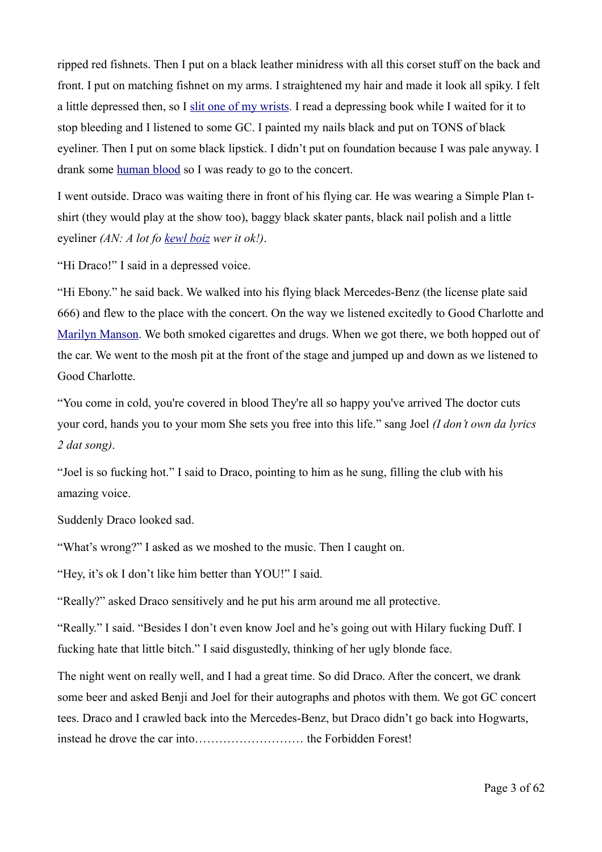ripped red fishnets. Then I put on a black leather minidress with all this corset stuff on the back and front. I put on matching fishnet on my arms. I straightened my hair and made it look all spiky. I felt a little depressed then, so I [slit one of my wrists.](http://encyclopediadramatica.com/Cut) I read a depressing book while I waited for it to stop bleeding and I listened to some GC. I painted my nails black and put on TONS of black eyeliner. Then I put on some black lipstick. I didn't put on foundation because I was pale anyway. I drank some **human** blood so I was ready to go to the concert.

I went outside. Draco was waiting there in front of his flying car. He was wearing a Simple Plan tshirt (they would play at the show too), baggy black skater pants, black nail polish and a little eyeliner *(AN: A lot fo [kewl boiz](http://encyclopediadramatica.com/Fag) wer it ok!)*.

"Hi Draco!" I said in a depressed voice.

"Hi Ebony." he said back. We walked into his flying black Mercedes-Benz (the license plate said 666) and flew to the place with the concert. On the way we listened excitedly to Good Charlotte and [Marilyn Manson.](http://encyclopediadramatica.com/Marilyn_Manson) We both smoked cigarettes and drugs. When we got there, we both hopped out of the car. We went to the mosh pit at the front of the stage and jumped up and down as we listened to Good Charlotte.

"You come in cold, you're covered in blood They're all so happy you've arrived The doctor cuts your cord, hands you to your mom She sets you free into this life." sang Joel *(I don't own da lyrics 2 dat song)*.

"Joel is so fucking hot." I said to Draco, pointing to him as he sung, filling the club with his amazing voice.

Suddenly Draco looked sad.

"What's wrong?" I asked as we moshed to the music. Then I caught on.

"Hey, it's ok I don't like him better than YOU!" I said.

"Really?" asked Draco sensitively and he put his arm around me all protective.

"Really." I said. "Besides I don't even know Joel and he's going out with Hilary fucking Duff. I fucking hate that little bitch." I said disgustedly, thinking of her ugly blonde face.

The night went on really well, and I had a great time. So did Draco. After the concert, we drank some beer and asked Benji and Joel for their autographs and photos with them. We got GC concert tees. Draco and I crawled back into the Mercedes-Benz, but Draco didn't go back into Hogwarts, instead he drove the car into……………………… the Forbidden Forest!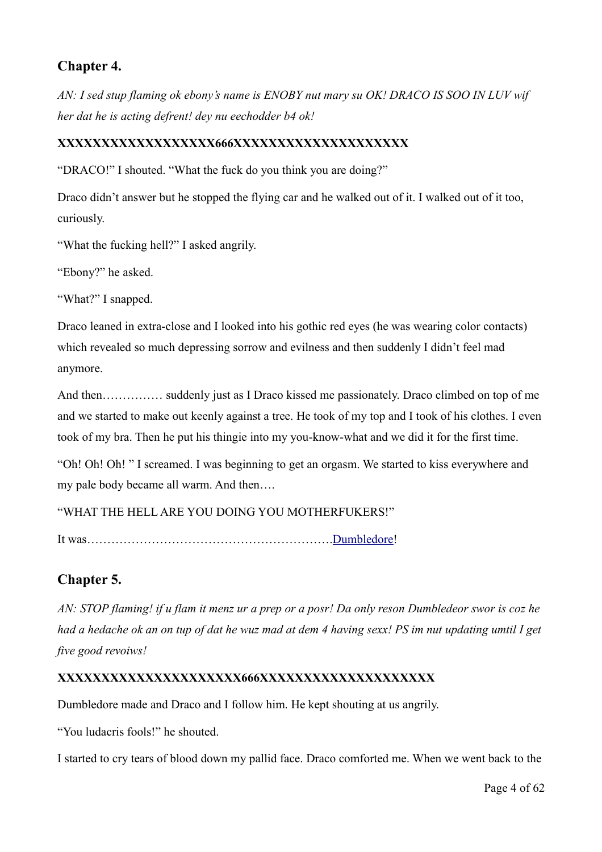# **Chapter 4.**

*AN: I sed stup flaming ok ebony's name is ENOBY nut mary su OK! DRACO IS SOO IN LUV wif her dat he is acting defrent! dey nu eechodder b4 ok!*

# **XXXXXXXXXXXXXXXXXX666XXXXXXXXXXXXXXXXXXXX**

"DRACO!" I shouted. "What the fuck do you think you are doing?"

Draco didn't answer but he stopped the flying car and he walked out of it. I walked out of it too, curiously.

"What the fucking hell?" I asked angrily.

"Ebony?" he asked.

"What?" I snapped.

Draco leaned in extra-close and I looked into his gothic red eyes (he was wearing color contacts) which revealed so much depressing sorrow and evilness and then suddenly I didn't feel mad anymore.

And then…………… suddenly just as I Draco kissed me passionately. Draco climbed on top of me and we started to make out keenly against a tree. He took of my top and I took of his clothes. I even took of my bra. Then he put his thingie into my you-know-what and we did it for the first time.

"Oh! Oh! Oh! " I screamed. I was beginning to get an orgasm. We started to kiss everywhere and my pale body became all warm. And then….

"WHAT THE HELL ARE YOU DOING YOU MOTHERFUKERS!"

It was……………………………………………………[.Dumbledore!](http://encyclopediadramatica.com/Gay)

# **Chapter 5.**

*AN: STOP flaming! if u flam it menz ur a prep or a posr! Da only reson Dumbledeor swor is coz he had a hedache ok an on tup of dat he wuz mad at dem 4 having sexx! PS im nut updating umtil I get five good revoiws!*

# **XXXXXXXXXXXXXXXXXXXXX666XXXXXXXXXXXXXXXXXXXX**

Dumbledore made and Draco and I follow him. He kept shouting at us angrily.

"You ludacris fools!" he shouted.

I started to cry tears of blood down my pallid face. Draco comforted me. When we went back to the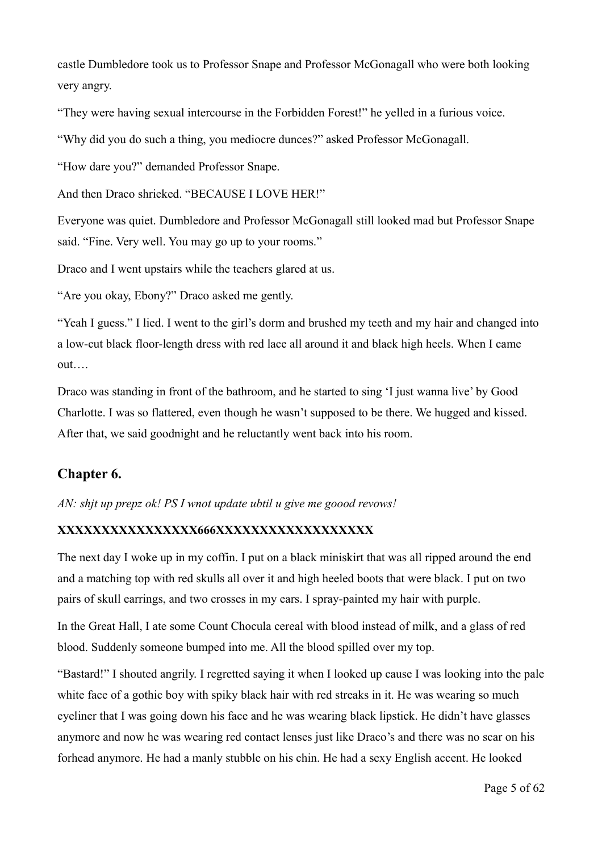castle Dumbledore took us to Professor Snape and Professor McGonagall who were both looking very angry.

"They were having sexual intercourse in the Forbidden Forest!" he yelled in a furious voice.

"Why did you do such a thing, you mediocre dunces?" asked Professor McGonagall.

"How dare you?" demanded Professor Snape.

And then Draco shrieked. "BECAUSE I LOVE HER!"

Everyone was quiet. Dumbledore and Professor McGonagall still looked mad but Professor Snape said. "Fine. Very well. You may go up to your rooms."

Draco and I went upstairs while the teachers glared at us.

"Are you okay, Ebony?" Draco asked me gently.

"Yeah I guess." I lied. I went to the girl's dorm and brushed my teeth and my hair and changed into a low-cut black floor-length dress with red lace all around it and black high heels. When I came out….

Draco was standing in front of the bathroom, and he started to sing 'I just wanna live' by Good Charlotte. I was so flattered, even though he wasn't supposed to be there. We hugged and kissed. After that, we said goodnight and he reluctantly went back into his room.

#### **Chapter 6.**

*AN: shjt up prepz ok! PS I wnot update ubtil u give me goood revows!*

#### **XXXXXXXXXXXXXXXX666XXXXXXXXXXXXXXXXXX**

The next day I woke up in my coffin. I put on a black miniskirt that was all ripped around the end and a matching top with red skulls all over it and high heeled boots that were black. I put on two pairs of skull earrings, and two crosses in my ears. I spray-painted my hair with purple.

In the Great Hall, I ate some Count Chocula cereal with blood instead of milk, and a glass of red blood. Suddenly someone bumped into me. All the blood spilled over my top.

"Bastard!" I shouted angrily. I regretted saying it when I looked up cause I was looking into the pale white face of a gothic boy with spiky black hair with red streaks in it. He was wearing so much eyeliner that I was going down his face and he was wearing black lipstick. He didn't have glasses anymore and now he was wearing red contact lenses just like Draco's and there was no scar on his forhead anymore. He had a manly stubble on his chin. He had a sexy English accent. He looked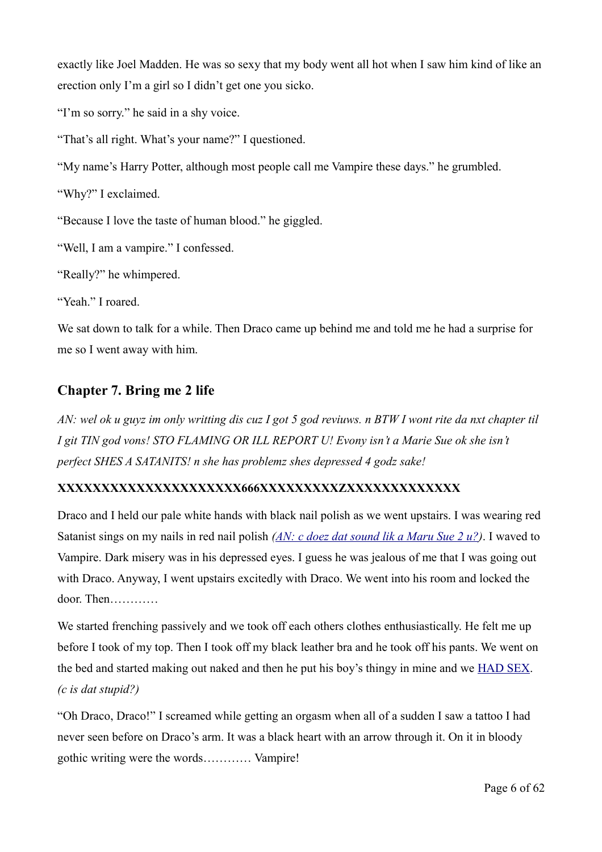exactly like Joel Madden. He was so sexy that my body went all hot when I saw him kind of like an erection only I'm a girl so I didn't get one you sicko.

"I'm so sorry." he said in a shy voice.

"That's all right. What's your name?" I questioned.

"My name's Harry Potter, although most people call me Vampire these days." he grumbled.

"Why?" I exclaimed.

"Because I love the taste of human blood." he giggled.

"Well, I am a vampire." I confessed.

"Really?" he whimpered.

"Yeah." I roared.

We sat down to talk for a while. Then Draco came up behind me and told me he had a surprise for me so I went away with him.

# **Chapter 7. Bring me 2 life**

*AN: wel ok u guyz im only writting dis cuz I got 5 god reviuws. n BTW I wont rite da nxt chapter til I git TIN god vons! STO FLAMING OR ILL REPORT U! Evony isn't a Marie Sue ok she isn't perfect SHES A SATANITS! n she has problemz shes depressed 4 godz sake!*

# **XXXXXXXXXXXXXXXXXXXXX666XXXXXXXXXZXXXXXXXXXXXXX**

Draco and I held our pale white hands with black nail polish as we went upstairs. I was wearing red Satanist sings on my nails in red nail polish *[\(AN: c doez dat sound lik a Maru Sue 2 u?\)](http://encyclopediadramatica.com/Yes)*. I waved to Vampire. Dark misery was in his depressed eyes. I guess he was jealous of me that I was going out with Draco. Anyway, I went upstairs excitedly with Draco. We went into his room and locked the door. Then…………

We started frenching passively and we took off each others clothes enthusiastically. He felt me up before I took of my top. Then I took off my black leather bra and he took off his pants. We went on the bed and started making out naked and then he put his boy's thingy in mine and we [HAD SEX.](http://encyclopediadramatica.com/ALL_CAPS) *(c is dat stupid?)*

"Oh Draco, Draco!" I screamed while getting an orgasm when all of a sudden I saw a tattoo I had never seen before on Draco's arm. It was a black heart with an arrow through it. On it in bloody gothic writing were the words………… Vampire!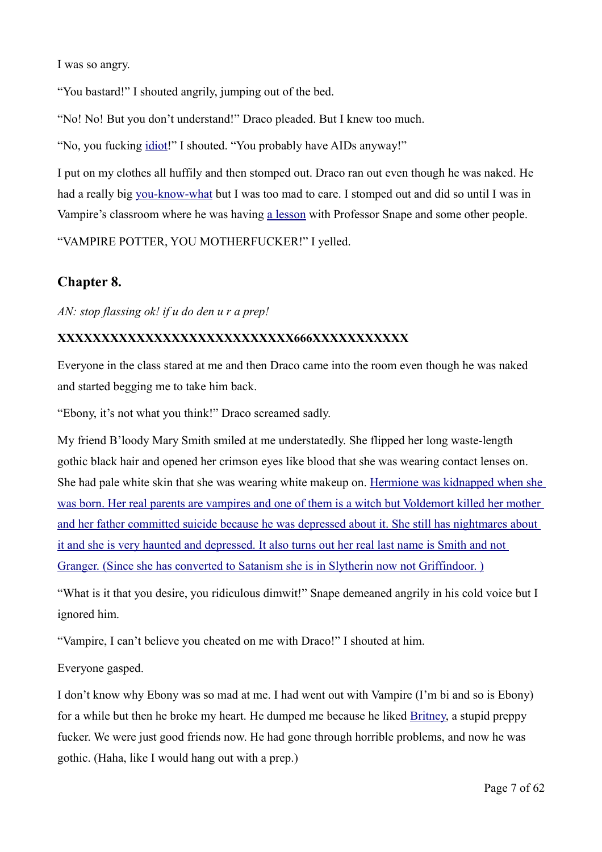I was so angry.

"You bastard!" I shouted angrily, jumping out of the bed.

"No! No! But you don't understand!" Draco pleaded. But I knew too much.

"No, you fucking [idiot!](http://encyclopediadramatica.com/Idiot)" I shouted. "You probably have AIDs anyway!"

I put on my clothes all huffily and then stomped out. Draco ran out even though he was naked. He had a really big [you-know-what](http://encyclopediadramatica.com/Penis) but I was too mad to care. I stomped out and did so until I was in Vampire's classroom where he was having [a lesson](http://encyclopediadramatica.com/Buttsecks) with Professor Snape and some other people.

"VAMPIRE POTTER, YOU MOTHERFUCKER!" I yelled.

# **Chapter 8.**

*AN: stop flassing ok! if u do den u r a prep!*

#### **XXXXXXXXXXXXXXXXXXXXXXXXXXX666XXXXXXXXXXX**

Everyone in the class stared at me and then Draco came into the room even though he was naked and started begging me to take him back.

"Ebony, it's not what you think!" Draco screamed sadly.

My friend B'loody Mary Smith smiled at me understatedly. She flipped her long waste-length gothic black hair and opened her crimson eyes like blood that she was wearing contact lenses on. She had pale white skin that she was wearing white makeup on. [Hermione was kidnapped when she](http://encyclopediadramatica.com/Fact) [was born. Her real parents are vampires and one of them is a witch but Voldemort killed her mother](http://encyclopediadramatica.com/Fact) and her father committed suicide because he was depressed about it. She still has nightmares about it and she is very haunted and depressed. It also turns out her real last name is Smith and not [Granger. \(Since she has converted to Satanism she is in Slytherin now not Griffindoor. \)](http://encyclopediadramatica.com/Fact)

"What is it that you desire, you ridiculous dimwit!" Snape demeaned angrily in his cold voice but I ignored him.

"Vampire, I can't believe you cheated on me with Draco!" I shouted at him.

Everyone gasped.

I don't know why Ebony was so mad at me. I had went out with Vampire (I'm bi and so is Ebony) for a while but then he broke my heart. He dumped me because he liked [Britney,](http://encyclopediadramatica.com/Britney) a stupid preppy fucker. We were just good friends now. He had gone through horrible problems, and now he was gothic. (Haha, like I would hang out with a prep.)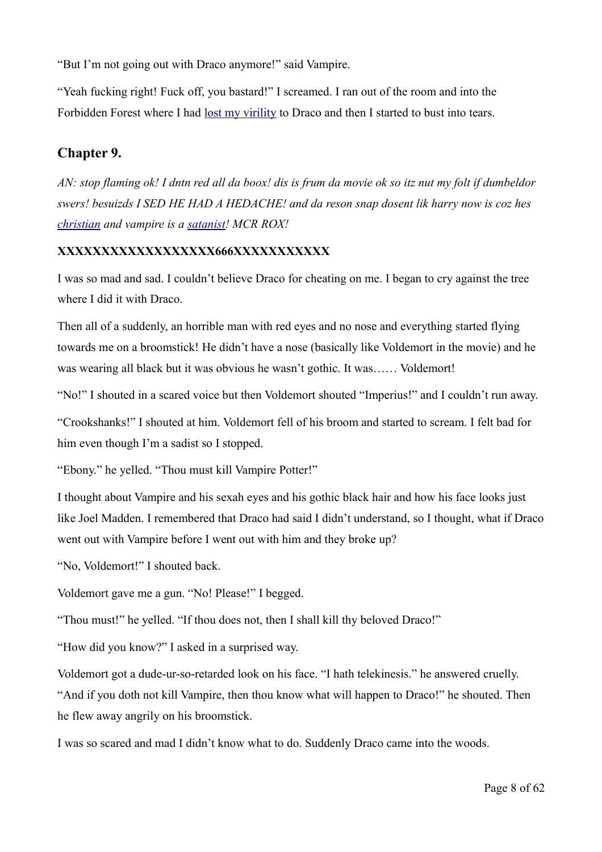"But I'm not going out with Draco anymore!" said Vampire.

"Yeah fucking right! Fuck off, you bastard!" I screamed. I ran out of the room and into the Forbidden Forest where I had <u>lost my virility</u> to Draco and then I started to bust into tears.

# **Chapter 9.**

*AN: stop flaming ok! I dntn red all da boox! dis is frum da movie ok so itz nut my folt if dumbeldor swers! besuizds I SED HE HAD A HEDACHE! and da reson snap dosent lik harry now is coz hes [christian](http://encyclopediadramatica.com/Christian) and vampire is a [satanist!](http://encyclopediadramatica.com/Black_metal) MCR ROX!*

#### **XXXXXXXXXXXXXXXXXX666XXXXXXXXXXX**

I was so mad and sad. I couldn't believe Draco for cheating on me. I began to cry against the tree where I did it with Draco.

Then all of a suddenly, an horrible man with red eyes and no nose and everything started flying towards me on a broomstick! He didn't have a nose (basically like Voldemort in the movie) and he was wearing all black but it was obvious he wasn't gothic. It was…… Voldemort!

"No!" I shouted in a scared voice but then Voldemort shouted "Imperius!" and I couldn't run away.

"Crookshanks!" I shouted at him. Voldemort fell of his broom and started to scream. I felt bad for him even though I'm a sadist so I stopped.

"Ebony." he yelled. "Thou must kill Vampire Potter!"

I thought about Vampire and his sexah eyes and his gothic black hair and how his face looks just like Joel Madden. I remembered that Draco had said I didn't understand, so I thought, what if Draco went out with Vampire before I went out with him and they broke up?

"No, Voldemort!" I shouted back.

Voldemort gave me a gun. "No! Please!" I begged.

"Thou must!" he yelled. "If thou does not, then I shall kill thy beloved Draco!"

"How did you know?" I asked in a surprised way.

Voldemort got a dude-ur-so-retarded look on his face. "I hath telekinesis." he answered cruelly. "And if you doth not kill Vampire, then thou know what will happen to Draco!" he shouted. Then he flew away angrily on his broomstick.

I was so scared and mad I didn't know what to do. Suddenly Draco came into the woods.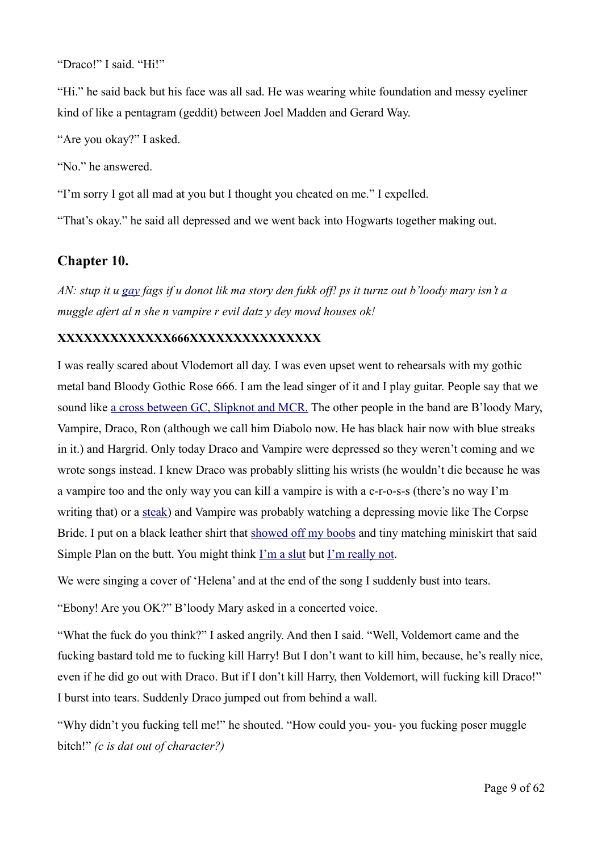"Draco!" I said. "Hi!"

"Hi." he said back but his face was all sad. He was wearing white foundation and messy eyeliner kind of like a pentagram (geddit) between Joel Madden and Gerard Way.

"Are you okay?" I asked.

"No." he answered.

"I'm sorry I got all mad at you but I thought you cheated on me." I expelled.

"That's okay." he said all depressed and we went back into Hogwarts together making out.

### **Chapter 10.**

*AN: stup it u [gay](http://encyclopediadramatica.com/Gay) fags if u donot lik ma story den fukk off! ps it turnz out b'loody mary isn't a muggle afert al n she n vampire r evil datz y dey movd houses ok!*

#### **XXXXXXXXXXXXX666XXXXXXXXXXXXXXX**

I was really scared about Vlodemort all day. I was even upset went to rehearsals with my gothic metal band Bloody Gothic Rose 666. I am the lead singer of it and I play guitar. People say that we sound like [a cross between GC, Slipknot and MCR.](http://encyclopediadramatica.com/Shit) The other people in the band are B'loody Mary, Vampire, Draco, Ron (although we call him Diabolo now. He has black hair now with blue streaks in it.) and Hargrid. Only today Draco and Vampire were depressed so they weren't coming and we wrote songs instead. I knew Draco was probably slitting his wrists (he wouldn't die because he was a vampire too and the only way you can kill a vampire is with a c-r-o-s-s (there's no way I'm writing that) or a [steak\)](http://encyclopediadramatica.com/Steak) and Vampire was probably watching a depressing movie like The Corpse Bride. I put on a black leather shirt that [showed off my boobs](http://encyclopediadramatica.com/Asking_for_it) and tiny matching miniskirt that said Simple Plan on the butt. You might think [I'm a slut](http://encyclopediadramatica.com/Truth) but [I'm really not.](http://encyclopediadramatica.com/Lies)

We were singing a cover of 'Helena' and at the end of the song I suddenly bust into tears.

"Ebony! Are you OK?" B'loody Mary asked in a concerted voice.

"What the fuck do you think?" I asked angrily. And then I said. "Well, Voldemort came and the fucking bastard told me to fucking kill Harry! But I don't want to kill him, because, he's really nice, even if he did go out with Draco. But if I don't kill Harry, then Voldemort, will fucking kill Draco!" I burst into tears. Suddenly Draco jumped out from behind a wall.

"Why didn't you fucking tell me!" he shouted. "How could you- you- you fucking poser muggle bitch!" *(c is dat out of character?)*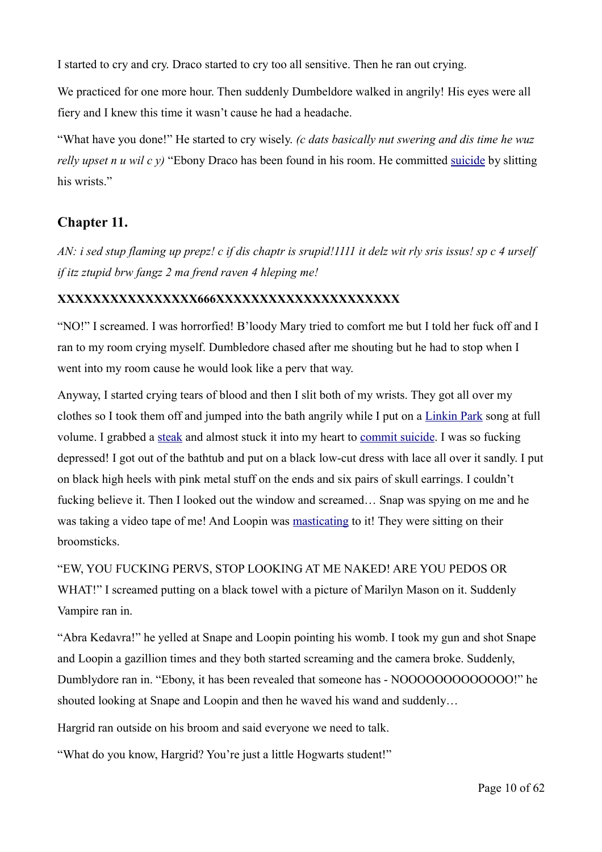I started to cry and cry. Draco started to cry too all sensitive. Then he ran out crying.

We practiced for one more hour. Then suddenly Dumbeldore walked in angrily! His eyes were all fiery and I knew this time it wasn't cause he had a headache.

"What have you done!" He started to cry wisely. *(c dats basically nut swering and dis time he wuz relly upset n u wil c y)* "Ebony Draco has been found in his room. He committed [suicide](http://encyclopediadramatica.com/Suicide) by slitting his wrists."

# **Chapter 11.**

*AN: i sed stup flaming up prepz! c if dis chaptr is srupid!1111 it delz wit rly sris issus! sp c 4 urself if itz ztupid brw fangz 2 ma frend raven 4 hleping me!*

#### **XXXXXXXXXXXXXXXX666XXXXXXXXXXXXXXXXXXXXX**

"NO!" I screamed. I was horrorfied! B'loody Mary tried to comfort me but I told her fuck off and I ran to my room crying myself. Dumbledore chased after me shouting but he had to stop when I went into my room cause he would look like a perv that way.

Anyway, I started crying tears of blood and then I slit both of my wrists. They got all over my clothes so I took them off and jumped into the bath angrily while I put on a [Linkin Park](http://encyclopediadramatica.com/Linkin_park) song at full volume. I grabbed a [steak](http://encyclopediadramatica.com/Steak) and almost stuck it into my heart to [commit suicide.](http://encyclopediadramatica.com/Do_it_faggot) I was so fucking depressed! I got out of the bathtub and put on a black low-cut dress with lace all over it sandly. I put on black high heels with pink metal stuff on the ends and six pairs of skull earrings. I couldn't fucking believe it. Then I looked out the window and screamed… Snap was spying on me and he was taking a video tape of me! And Loopin was [masticating](http://en.wikipedia.org/wiki/Mastication) to it! They were sitting on their broomsticks.

"EW, YOU FUCKING PERVS, STOP LOOKING AT ME NAKED! ARE YOU PEDOS OR WHAT!" I screamed putting on a black towel with a picture of Marilyn Mason on it. Suddenly Vampire ran in.

"Abra Kedavra!" he yelled at Snape and Loopin pointing his womb. I took my gun and shot Snape and Loopin a gazillion times and they both started screaming and the camera broke. Suddenly, Dumblydore ran in. "Ebony, it has been revealed that someone has - NOOOOOOOOOOOO!" he shouted looking at Snape and Loopin and then he waved his wand and suddenly…

Hargrid ran outside on his broom and said everyone we need to talk.

"What do you know, Hargrid? You're just a little Hogwarts student!"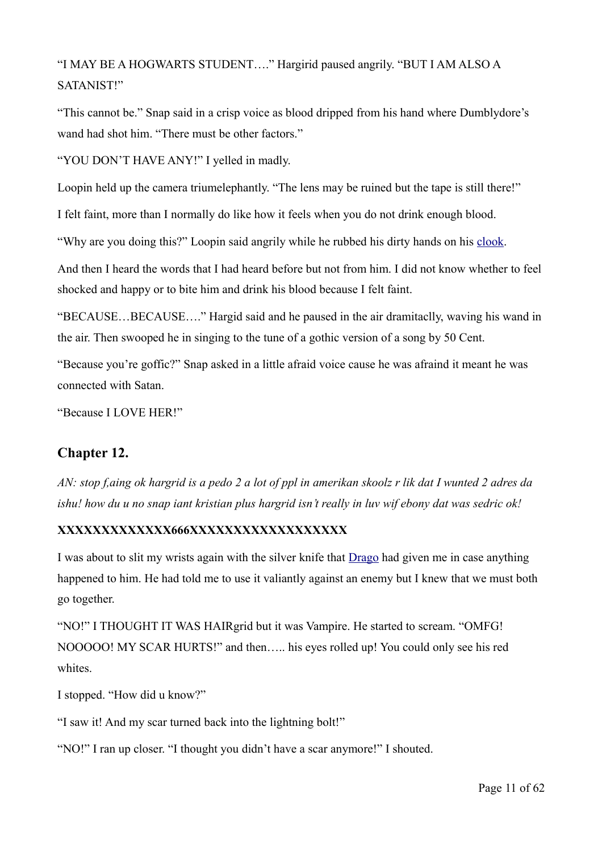# "I MAY BE A HOGWARTS STUDENT…." Hargirid paused angrily. "BUT I AM ALSO A SATANIST!"

"This cannot be." Snap said in a crisp voice as blood dripped from his hand where Dumblydore's wand had shot him. "There must be other factors."

"YOU DON'T HAVE ANY!" I yelled in madly.

Loopin held up the camera triumelephantly. "The lens may be ruined but the tape is still there!"

I felt faint, more than I normally do like how it feels when you do not drink enough blood.

"Why are you doing this?" Loopin said angrily while he rubbed his dirty hands on his [clook.](http://encyclopediadramatica.com/Cock)

And then I heard the words that I had heard before but not from him. I did not know whether to feel shocked and happy or to bite him and drink his blood because I felt faint.

"BECAUSE…BECAUSE…." Hargid said and he paused in the air dramitaclly, waving his wand in the air. Then swooped he in singing to the tune of a gothic version of a song by 50 Cent.

"Because you're goffic?" Snap asked in a little afraid voice cause he was afraind it meant he was connected with Satan.

"Because I LOVE HER!"

# **Chapter 12.**

*AN: stop f,aing ok hargrid is a pedo 2 a lot of ppl in amerikan skoolz r lik dat I wunted 2 adres da ishu! how du u no snap iant kristian plus hargrid isn't really in luv wif ebony dat was sedric ok!*

#### **XXXXXXXXXXXXX666XXXXXXXXXXXXXXXXXX**

I was about to slit my wrists again with the silver knife that [Drago](http://encyclopediadramatica.com/FYIAD) had given me in case anything happened to him. He had told me to use it valiantly against an enemy but I knew that we must both go together.

"NO!" I THOUGHT IT WAS HAIRgrid but it was Vampire. He started to scream. "OMFG! NOOOOO! MY SCAR HURTS!" and then….. his eyes rolled up! You could only see his red whites.

I stopped. "How did u know?"

"I saw it! And my scar turned back into the lightning bolt!"

"NO!" I ran up closer. "I thought you didn't have a scar anymore!" I shouted.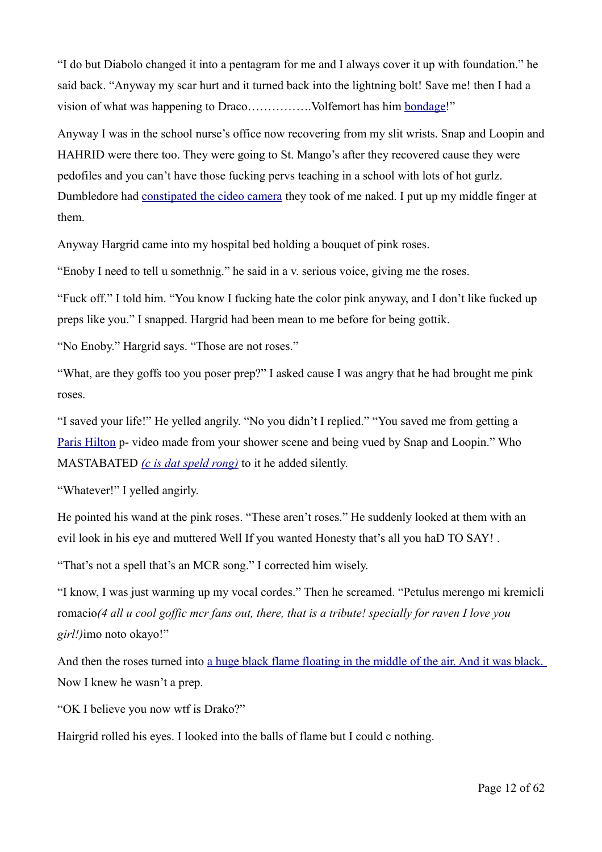"I do but Diabolo changed it into a pentagram for me and I always cover it up with foundation." he said back. "Anyway my scar hurt and it turned back into the lightning bolt! Save me! then I had a vision of what was happening to Draco…………….Volfemort has him [bondage!](http://encyclopediadramatica.com/BDSM)"

Anyway I was in the school nurse's office now recovering from my slit wrists. Snap and Loopin and HAHRID were there too. They were going to St. Mango's after they recovered cause they were pedofiles and you can't have those fucking pervs teaching in a school with lots of hot gurlz. Dumbledore had [constipated the cideo camera](http://encyclopediadramatica.com/Goatse) they took of me naked. I put up my middle finger at them.

Anyway Hargrid came into my hospital bed holding a bouquet of pink roses.

"Enoby I need to tell u somethnig." he said in a v. serious voice, giving me the roses.

"Fuck off." I told him. "You know I fucking hate the color pink anyway, and I don't like fucked up preps like you." I snapped. Hargrid had been mean to me before for being gottik.

"No Enoby." Hargrid says. "Those are not roses."

"What, are they goffs too you poser prep?" I asked cause I was angry that he had brought me pink roses.

"I saved your life!" He yelled angrily. "No you didn't I replied." "You saved me from getting a [Paris Hilton](http://encyclopediadramatica.com/Paris_Hilton) p- video made from your shower scene and being vued by Snap and Loopin." Who MASTABATED *[\(c is dat speld rong\)](http://encyclopediadramatica.com/Yes)* to it he added silently.

"Whatever!" I yelled angirly.

He pointed his wand at the pink roses. "These aren't roses." He suddenly looked at them with an evil look in his eye and muttered Well If you wanted Honesty that's all you haD TO SAY! .

"That's not a spell that's an MCR song." I corrected him wisely.

"I know, I was just warming up my vocal cordes." Then he screamed. "Petulus merengo mi kremicli romacio*(4 all u cool goffic mcr fans out, there, that is a tribute! specially for raven I love you girl!)*imo noto okayo!"

And then the roses turned into [a huge black flame floating in the middle of the air. And it was black.](http://encyclopediadramatica.com/Redundant) Now I knew he wasn't a prep.

"OK I believe you now wtf is Drako?"

Hairgrid rolled his eyes. I looked into the balls of flame but I could c nothing.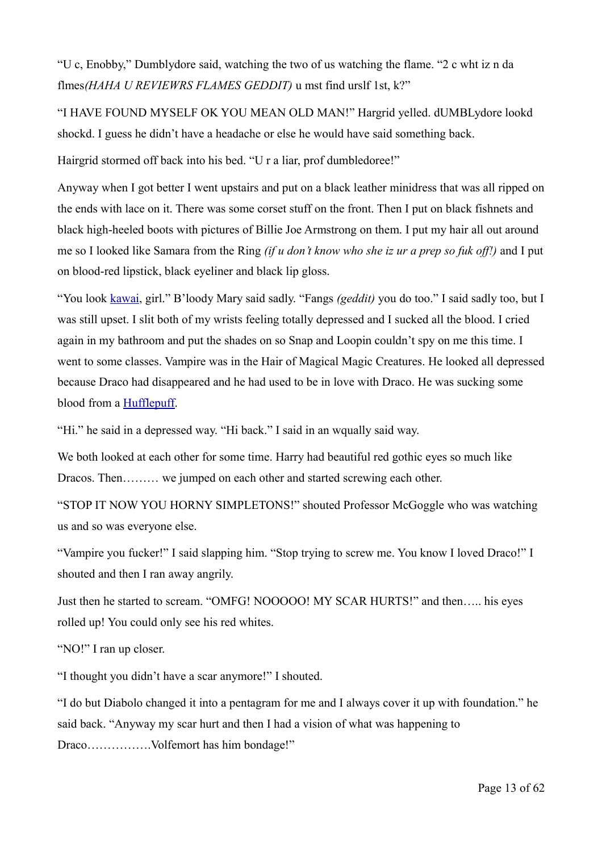"U c, Enobby," Dumblydore said, watching the two of us watching the flame. "2 c wht iz n da flmes*(HAHA U REVIEWRS FLAMES GEDDIT)* u mst find urslf 1st, k?"

"I HAVE FOUND MYSELF OK YOU MEAN OLD MAN!" Hargrid yelled. dUMBLydore lookd shockd. I guess he didn't have a headache or else he would have said something back.

Hairgrid stormed off back into his bed. "U r a liar, prof dumbledoree!"

Anyway when I got better I went upstairs and put on a black leather minidress that was all ripped on the ends with lace on it. There was some corset stuff on the front. Then I put on black fishnets and black high-heeled boots with pictures of Billie Joe Armstrong on them. I put my hair all out around me so I looked like Samara from the Ring *(if u don't know who she iz ur a prep so fuk off!)* and I put on blood-red lipstick, black eyeliner and black lip gloss.

"You look [kawai,](http://encyclopediadramatica.com/Kawaii) girl." B'loody Mary said sadly. "Fangs *(geddit)* you do too." I said sadly too, but I was still upset. I slit both of my wrists feeling totally depressed and I sucked all the blood. I cried again in my bathroom and put the shades on so Snap and Loopin couldn't spy on me this time. I went to some classes. Vampire was in the Hair of Magical Magic Creatures. He looked all depressed because Draco had disappeared and he had used to be in love with Draco. He was sucking some blood from a **Hufflepuff**.

"Hi." he said in a depressed way. "Hi back." I said in an wqually said way.

We both looked at each other for some time. Harry had beautiful red gothic eyes so much like Dracos. Then……… we jumped on each other and started screwing each other.

"STOP IT NOW YOU HORNY SIMPLETONS!" shouted Professor McGoggle who was watching us and so was everyone else.

"Vampire you fucker!" I said slapping him. "Stop trying to screw me. You know I loved Draco!" I shouted and then I ran away angrily.

Just then he started to scream. "OMFG! NOOOOO! MY SCAR HURTS!" and then….. his eyes rolled up! You could only see his red whites.

"NO!" I ran up closer.

"I thought you didn't have a scar anymore!" I shouted.

"I do but Diabolo changed it into a pentagram for me and I always cover it up with foundation." he said back. "Anyway my scar hurt and then I had a vision of what was happening to Draco…………….Volfemort has him bondage!"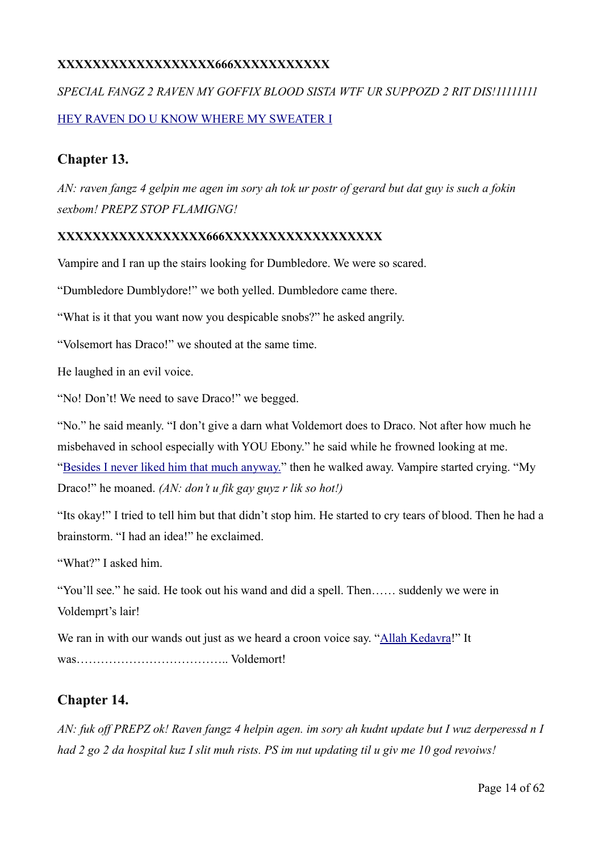#### **XXXXXXXXXXXXXXXXXX666XXXXXXXXXXX**

# *SPECIAL FANGZ 2 RAVEN MY GOFFIX BLOOD SISTA WTF UR SUPPOZD 2 RIT DIS!11111111* [HEY RAVEN DO U KNOW WHERE MY SWEATER I](http://encyclopediadramatica.com/Candlejack)

# **Chapter 13.**

*AN: raven fangz 4 gelpin me agen im sory ah tok ur postr of gerard but dat guy is such a fokin sexbom! PREPZ STOP FLAMIGNG!*

#### **XXXXXXXXXXXXXXXXX666XXXXXXXXXXXXXXXXXX**

Vampire and I ran up the stairs looking for Dumbledore. We were so scared.

"Dumbledore Dumblydore!" we both yelled. Dumbledore came there.

"What is it that you want now you despicable snobs?" he asked angrily.

"Volsemort has Draco!" we shouted at the same time.

He laughed in an evil voice.

"No! Don't! We need to save Draco!" we begged.

"No." he said meanly. "I don't give a darn what Voldemort does to Draco. Not after how much he misbehaved in school especially with YOU Ebony." he said while he frowned looking at me. ["Besides I never liked him that much anyway."](http://encyclopediadramatica.com/Pwn) then he walked away. Vampire started crying. "My Draco!" he moaned. *(AN: don't u fik gay guyz r lik so hot!)*

"Its okay!" I tried to tell him but that didn't stop him. He started to cry tears of blood. Then he had a brainstorm. "I had an idea!" he exclaimed.

"What?" I asked him.

"You'll see." he said. He took out his wand and did a spell. Then…… suddenly we were in Voldemprt's lair!

We ran in with our wands out just as we heard a croon voice say. ["Allah Kedavra!](http://encyclopediadramatica.com/Muslim)" It was……………………………….. Voldemort!

# **Chapter 14.**

*AN: fuk off PREPZ ok! Raven fangz 4 helpin agen. im sory ah kudnt update but I wuz derperessd n I had 2 go 2 da hospital kuz I slit muh rists. PS im nut updating til u giv me 10 god revoiws!*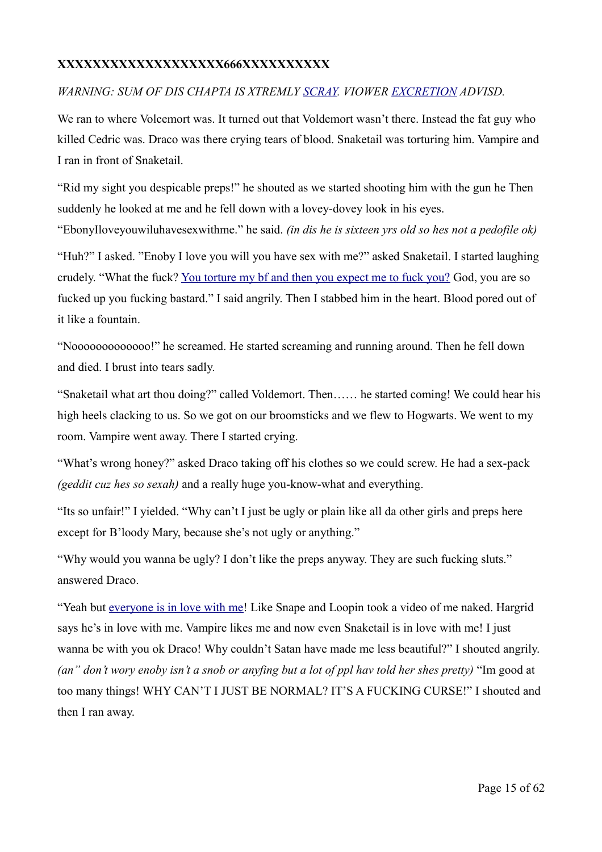#### **XXXXXXXXXXXXXXXXXXX666XXXXXXXXXX**

#### *WARNING: SUM OF DIS CHAPTA IS XTREMLY [SCRAY.](http://encyclopediadramatica.com/Stupid) VIOWER [EXCRETION](http://encyclopediadramatica.com/Piss) ADVISD.*

We ran to where Volcemort was. It turned out that Voldemort wasn't there. Instead the fat guy who killed Cedric was. Draco was there crying tears of blood. Snaketail was torturing him. Vampire and I ran in front of Snaketail.

"Rid my sight you despicable preps!" he shouted as we started shooting him with the gun he Then suddenly he looked at me and he fell down with a lovey-dovey look in his eyes.

"EbonyIloveyouwiluhavesexwithme." he said. *(in dis he is sixteen yrs old so hes not a pedofile ok)*

"Huh?" I asked. "Enoby I love you will you have sex with me?" asked Snaketail. I started laughing crudely. "What the fuck? [You torture my bf and then you expect me to fuck you?](http://encyclopediadramatica.com/Yes) God, you are so fucked up you fucking bastard." I said angrily. Then I stabbed him in the heart. Blood pored out of it like a fountain.

"Nooooooooooooo!" he screamed. He started screaming and running around. Then he fell down and died. I brust into tears sadly.

"Snaketail what art thou doing?" called Voldemort. Then…… he started coming! We could hear his high heels clacking to us. So we got on our broomsticks and we flew to Hogwarts. We went to my room. Vampire went away. There I started crying.

"What's wrong honey?" asked Draco taking off his clothes so we could screw. He had a sex-pack *(geddit cuz hes so sexah)* and a really huge you-know-what and everything.

"Its so unfair!" I yielded. "Why can't I just be ugly or plain like all da other girls and preps here except for B'loody Mary, because she's not ugly or anything."

"Why would you wanna be ugly? I don't like the preps anyway. They are such fucking sluts." answered Draco.

"Yeah but [everyone is in love with me!](http://encyclopediadramatica.com/USI) Like Snape and Loopin took a video of me naked. Hargrid says he's in love with me. Vampire likes me and now even Snaketail is in love with me! I just wanna be with you ok Draco! Why couldn't Satan have made me less beautiful?" I shouted angrily. *(an" don't wory enoby isn't a snob or anyfing but a lot of ppl hav told her shes pretty)* "Im good at too many things! WHY CAN'T I JUST BE NORMAL? IT'S A FUCKING CURSE!" I shouted and then I ran away.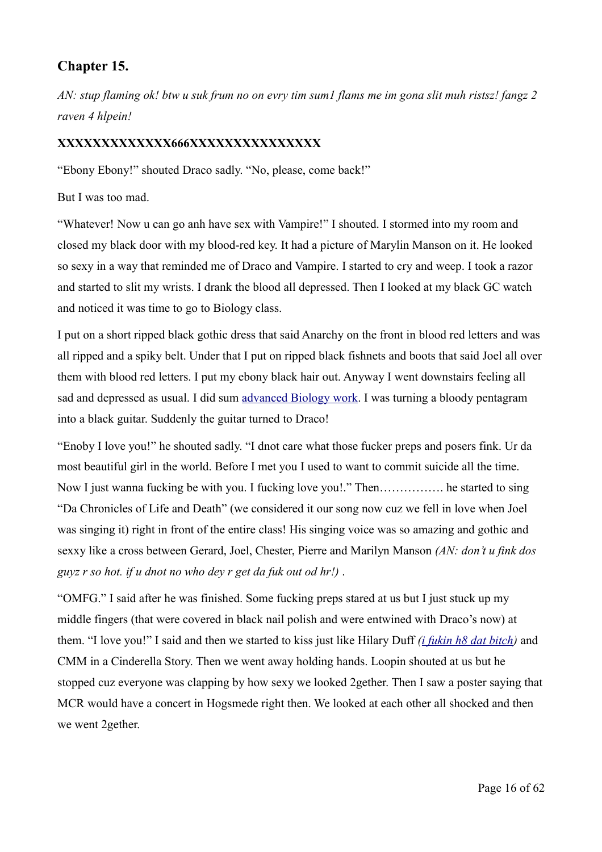# **Chapter 15.**

*AN: stup flaming ok! btw u suk frum no on evry tim sum1 flams me im gona slit muh ristsz! fangz 2 raven 4 hlpein!*

# **XXXXXXXXXXXXX666XXXXXXXXXXXXXXX**

"Ebony Ebony!" shouted Draco sadly. "No, please, come back!"

But I was too mad.

"Whatever! Now u can go anh have sex with Vampire!" I shouted. I stormed into my room and closed my black door with my blood-red key. It had a picture of Marylin Manson on it. He looked so sexy in a way that reminded me of Draco and Vampire. I started to cry and weep. I took a razor and started to slit my wrists. I drank the blood all depressed. Then I looked at my black GC watch and noticed it was time to go to Biology class.

I put on a short ripped black gothic dress that said Anarchy on the front in blood red letters and was all ripped and a spiky belt. Under that I put on ripped black fishnets and boots that said Joel all over them with blood red letters. I put my ebony black hair out. Anyway I went downstairs feeling all sad and depressed as usual. I did sum [advanced Biology work.](http://encyclopediadramatica.com/The_Human_Centipede) I was turning a bloody pentagram into a black guitar. Suddenly the guitar turned to Draco!

"Enoby I love you!" he shouted sadly. "I dnot care what those fucker preps and posers fink. Ur da most beautiful girl in the world. Before I met you I used to want to commit suicide all the time. Now I just wanna fucking be with you. I fucking love you!." Then……………. he started to sing "Da Chronicles of Life and Death" (we considered it our song now cuz we fell in love when Joel was singing it) right in front of the entire class! His singing voice was so amazing and gothic and sexxy like a cross between Gerard, Joel, Chester, Pierre and Marilyn Manson *(AN: don't u fink dos guyz r so hot. if u dnot no who dey r get da fuk out od hr!)* .

"OMFG." I said after he was finished. Some fucking preps stared at us but I just stuck up my middle fingers (that were covered in black nail polish and were entwined with Draco's now) at them. "I love you!" I said and then we started to kiss just like Hilary Duff *[\(i fukin h8 dat bitch\)](http://encyclopediadramatica.com/Denial)* and CMM in a Cinderella Story. Then we went away holding hands. Loopin shouted at us but he stopped cuz everyone was clapping by how sexy we looked 2gether. Then I saw a poster saying that MCR would have a concert in Hogsmede right then. We looked at each other all shocked and then we went 2gether.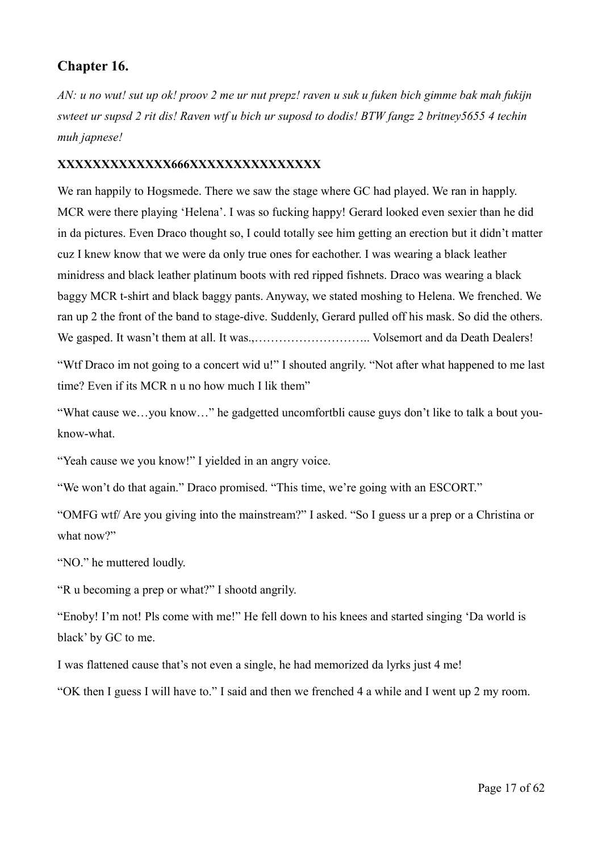# **Chapter 16.**

*AN: u no wut! sut up ok! proov 2 me ur nut prepz! raven u suk u fuken bich gimme bak mah fukijn swteet ur supsd 2 rit dis! Raven wtf u bich ur suposd to dodis! BTW fangz 2 britney5655 4 techin muh japnese!*

#### **XXXXXXXXXXXXX666XXXXXXXXXXXXXXX**

We ran happily to Hogsmede. There we saw the stage where GC had played. We ran in happly. MCR were there playing 'Helena'. I was so fucking happy! Gerard looked even sexier than he did in da pictures. Even Draco thought so, I could totally see him getting an erection but it didn't matter cuz I knew know that we were da only true ones for eachother. I was wearing a black leather minidress and black leather platinum boots with red ripped fishnets. Draco was wearing a black baggy MCR t-shirt and black baggy pants. Anyway, we stated moshing to Helena. We frenched. We ran up 2 the front of the band to stage-dive. Suddenly, Gerard pulled off his mask. So did the others. We gasped. It wasn't them at all. It was.,……………………….. Volsemort and da Death Dealers!

"Wtf Draco im not going to a concert wid u!" I shouted angrily. "Not after what happened to me last time? Even if its MCR n u no how much I lik them"

"What cause we…you know…" he gadgetted uncomfortbli cause guys don't like to talk a bout youknow-what.

"Yeah cause we you know!" I yielded in an angry voice.

"We won't do that again." Draco promised. "This time, we're going with an ESCORT."

"OMFG wtf/ Are you giving into the mainstream?" I asked. "So I guess ur a prep or a Christina or what now?"

"NO." he muttered loudly.

"R u becoming a prep or what?" I shootd angrily.

"Enoby! I'm not! Pls come with me!" He fell down to his knees and started singing 'Da world is black' by GC to me.

I was flattened cause that's not even a single, he had memorized da lyrks just 4 me!

"OK then I guess I will have to." I said and then we frenched 4 a while and I went up 2 my room.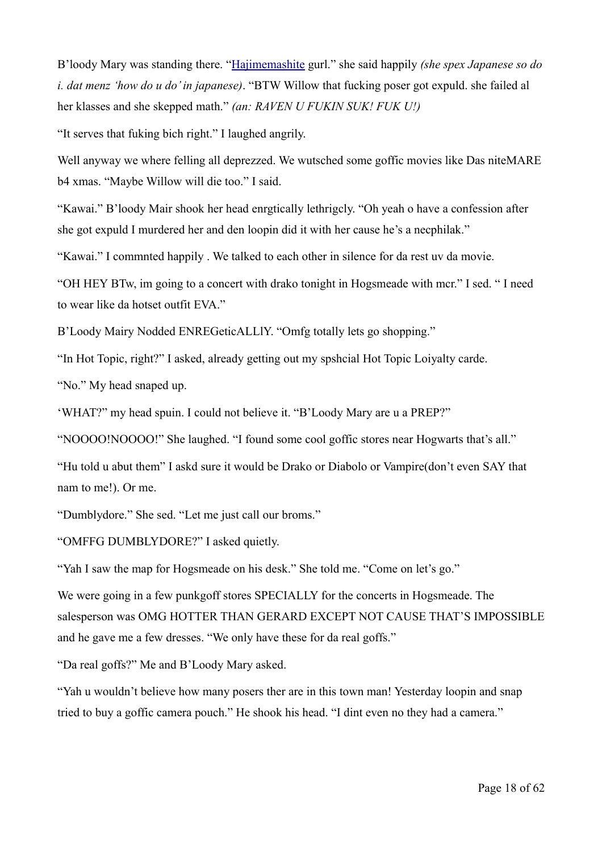B'loody Mary was standing there. ["Hajimemashite](http://encyclopediadramatica.com/Weeaboo) gurl." she said happily *(she spex Japanese so do i. dat menz 'how do u do' in japanese)*. "BTW Willow that fucking poser got expuld. she failed al her klasses and she skepped math." *(an: RAVEN U FUKIN SUK! FUK U!)*

"It serves that fuking bich right." I laughed angrily.

Well anyway we where felling all deprezzed. We wutsched some goffic movies like Das niteMARE b4 xmas. "Maybe Willow will die too." I said.

"Kawai." B'loody Mair shook her head enrgtically lethrigcly. "Oh yeah o have a confession after she got expuld I murdered her and den loopin did it with her cause he's a necphilak."

"Kawai." I commnted happily . We talked to each other in silence for da rest uv da movie.

"OH HEY BTw, im going to a concert with drako tonight in Hogsmeade with mcr." I sed. " I need to wear like da hotset outfit EVA."

B'Loody Mairy Nodded ENREGeticALLlY. "Omfg totally lets go shopping."

"In Hot Topic, right?" I asked, already getting out my spshcial Hot Topic Loiyalty carde.

"No." My head snaped up.

'WHAT?" my head spuin. I could not believe it. "B'Loody Mary are u a PREP?"

"NOOOO!NOOOO!" She laughed. "I found some cool goffic stores near Hogwarts that's all."

"Hu told u abut them" I askd sure it would be Drako or Diabolo or Vampire(don't even SAY that nam to me!). Or me.

"Dumblydore." She sed. "Let me just call our broms."

"OMFFG DUMBLYDORE?" I asked quietly.

"Yah I saw the map for Hogsmeade on his desk." She told me. "Come on let's go."

We were going in a few punkgoff stores SPECIALLY for the concerts in Hogsmeade. The salesperson was OMG HOTTER THAN GERARD EXCEPT NOT CAUSE THAT'S IMPOSSIBLE and he gave me a few dresses. "We only have these for da real goffs."

"Da real goffs?" Me and B'Loody Mary asked.

"Yah u wouldn't believe how many posers ther are in this town man! Yesterday loopin and snap tried to buy a goffic camera pouch." He shook his head. "I dint even no they had a camera."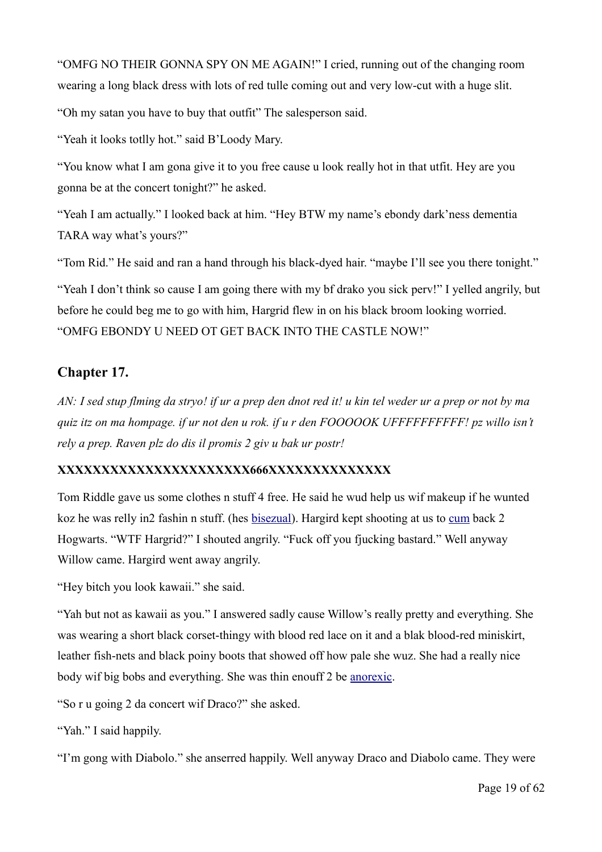"OMFG NO THEIR GONNA SPY ON ME AGAIN!" I cried, running out of the changing room wearing a long black dress with lots of red tulle coming out and very low-cut with a huge slit.

"Oh my satan you have to buy that outfit" The salesperson said.

"Yeah it looks totlly hot." said B'Loody Mary.

"You know what I am gona give it to you free cause u look really hot in that utfit. Hey are you gonna be at the concert tonight?" he asked.

"Yeah I am actually." I looked back at him. "Hey BTW my name's ebondy dark'ness dementia TARA way what's yours?"

"Tom Rid." He said and ran a hand through his black-dyed hair. "maybe I'll see you there tonight."

"Yeah I don't think so cause I am going there with my bf drako you sick perv!" I yelled angrily, but before he could beg me to go with him, Hargrid flew in on his black broom looking worried. "OMFG EBONDY U NEED OT GET BACK INTO THE CASTLE NOW!"

# **Chapter 17.**

*AN: I sed stup flming da stryo! if ur a prep den dnot red it! u kin tel weder ur a prep or not by ma quiz itz on ma hompage. if ur not den u rok. if u r den FOOOOOK UFFFFFFFFFF! pz willo isn't rely a prep. Raven plz do dis il promis 2 giv u bak ur postr!*

#### **XXXXXXXXXXXXXXXXXXXXXX666XXXXXXXXXXXXXX**

Tom Riddle gave us some clothes n stuff 4 free. He said he wud help us wif makeup if he wunted koz he was relly in2 fashin n stuff. (hes [bisezual\)](http://encyclopediadramatica.com/Bisexual). Hargird kept shooting at us to [cum](http://encyclopediadramatica.com/Cum) back 2 Hogwarts. "WTF Hargrid?" I shouted angrily. "Fuck off you fjucking bastard." Well anyway Willow came. Hargird went away angrily.

"Hey bitch you look kawaii." she said.

"Yah but not as kawaii as you." I answered sadly cause Willow's really pretty and everything. She was wearing a short black corset-thingy with blood red lace on it and a blak blood-red miniskirt, leather fish-nets and black poiny boots that showed off how pale she wuz. She had a really nice body wif big bobs and everything. She was thin enouff 2 be [anorexic.](http://encyclopediadramatica.com/Pro-ana)

"So r u going 2 da concert wif Draco?" she asked.

"Yah." I said happily.

"I'm gong with Diabolo." she anserred happily. Well anyway Draco and Diabolo came. They were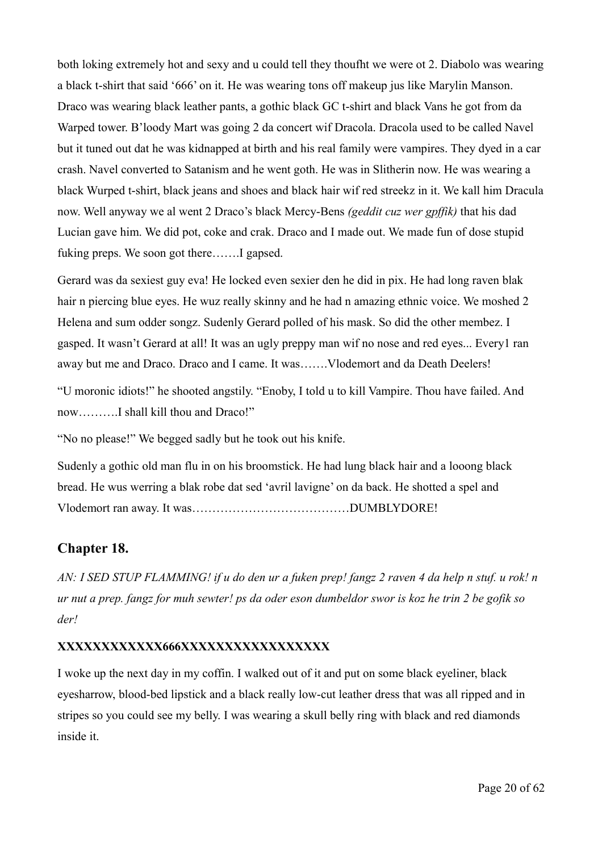both loking extremely hot and sexy and u could tell they thoufht we were ot 2. Diabolo was wearing a black t-shirt that said '666' on it. He was wearing tons off makeup jus like Marylin Manson. Draco was wearing black leather pants, a gothic black GC t-shirt and black Vans he got from da Warped tower. B'loody Mart was going 2 da concert wif Dracola. Dracola used to be called Navel but it tuned out dat he was kidnapped at birth and his real family were vampires. They dyed in a car crash. Navel converted to Satanism and he went goth. He was in Slitherin now. He was wearing a black Wurped t-shirt, black jeans and shoes and black hair wif red streekz in it. We kall him Dracula now. Well anyway we al went 2 Draco's black Mercy-Bens *(geddit cuz wer gpffik)* that his dad Lucian gave him. We did pot, coke and crak. Draco and I made out. We made fun of dose stupid fuking preps. We soon got there…….I gapsed.

Gerard was da sexiest guy eva! He locked even sexier den he did in pix. He had long raven blak hair n piercing blue eyes. He wuz really skinny and he had n amazing ethnic voice. We moshed 2 Helena and sum odder songz. Sudenly Gerard polled of his mask. So did the other membez. I gasped. It wasn't Gerard at all! It was an ugly preppy man wif no nose and red eyes... Every1 ran away but me and Draco. Draco and I came. It was…….Vlodemort and da Death Deelers!

"U moronic idiots!" he shooted angstily. "Enoby, I told u to kill Vampire. Thou have failed. And now I shall kill thou and Draco!"

"No no please!" We begged sadly but he took out his knife.

Sudenly a gothic old man flu in on his broomstick. He had lung black hair and a looong black bread. He wus werring a blak robe dat sed 'avril lavigne' on da back. He shotted a spel and Vlodemort ran away. It was…………………………………DUMBLYDORE!

# **Chapter 18.**

*AN: I SED STUP FLAMMING! if u do den ur a fuken prep! fangz 2 raven 4 da help n stuf. u rok! n ur nut a prep. fangz for muh sewter! ps da oder eson dumbeldor swor is koz he trin 2 be gofik so der!*

#### **XXXXXXXXXXXX666XXXXXXXXXXXXXXXXX**

I woke up the next day in my coffin. I walked out of it and put on some black eyeliner, black eyesharrow, blood-bed lipstick and a black really low-cut leather dress that was all ripped and in stripes so you could see my belly. I was wearing a skull belly ring with black and red diamonds inside it.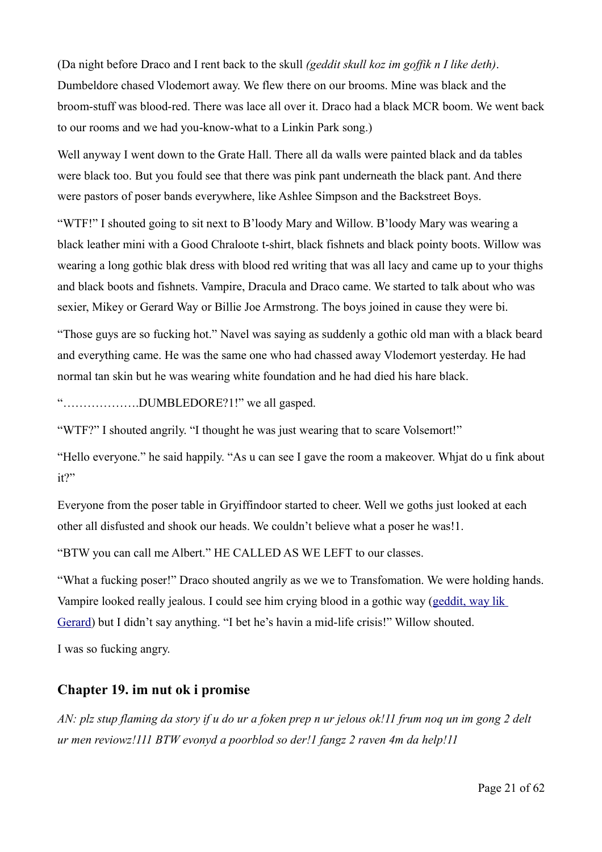(Da night before Draco and I rent back to the skull *(geddit skull koz im goffik n I like deth)*. Dumbeldore chased Vlodemort away. We flew there on our brooms. Mine was black and the broom-stuff was blood-red. There was lace all over it. Draco had a black MCR boom. We went back to our rooms and we had you-know-what to a Linkin Park song.)

Well anyway I went down to the Grate Hall. There all da walls were painted black and da tables were black too. But you fould see that there was pink pant underneath the black pant. And there were pastors of poser bands everywhere, like Ashlee Simpson and the Backstreet Boys.

"WTF!" I shouted going to sit next to B'loody Mary and Willow. B'loody Mary was wearing a black leather mini with a Good Chraloote t-shirt, black fishnets and black pointy boots. Willow was wearing a long gothic blak dress with blood red writing that was all lacy and came up to your thighs and black boots and fishnets. Vampire, Dracula and Draco came. We started to talk about who was sexier, Mikey or Gerard Way or Billie Joe Armstrong. The boys joined in cause they were bi.

"Those guys are so fucking hot." Navel was saying as suddenly a gothic old man with a black beard and everything came. He was the same one who had chassed away Vlodemort yesterday. He had normal tan skin but he was wearing white foundation and he had died his hare black.

"……………….DUMBLEDORE?1!" we all gasped.

"WTF?" I shouted angrily. "I thought he was just wearing that to scare Volsemort!"

"Hello everyone." he said happily. "As u can see I gave the room a makeover. Whjat do u fink about it?"

Everyone from the poser table in Gryiffindoor started to cheer. Well we goths just looked at each other all disfusted and shook our heads. We couldn't believe what a poser he was!1.

"BTW you can call me Albert." HE CALLED AS WE LEFT to our classes.

"What a fucking poser!" Draco shouted angrily as we we to Transfomation. We were holding hands. Vampire looked really jealous. I could see him crying blood in a gothic way [\(geddit, way lik](http://encyclopediadramatica.com/Trying_too_hard) [Gerard\)](http://encyclopediadramatica.com/Trying_too_hard) but I didn't say anything. "I bet he's havin a mid-life crisis!" Willow shouted.

I was so fucking angry.

#### **Chapter 19. im nut ok i promise**

*AN: plz stup flaming da story if u do ur a foken prep n ur jelous ok!11 frum noq un im gong 2 delt ur men reviowz!111 BTW evonyd a poorblod so der!1 fangz 2 raven 4m da help!11*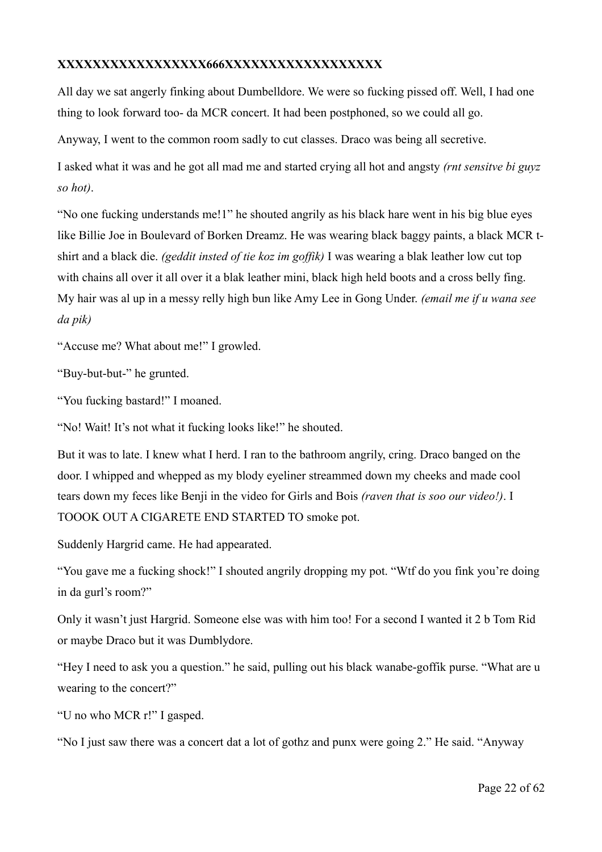#### **XXXXXXXXXXXXXXXXX666XXXXXXXXXXXXXXXXXX**

All day we sat angerly finking about Dumbelldore. We were so fucking pissed off. Well, I had one thing to look forward too- da MCR concert. It had been postphoned, so we could all go.

Anyway, I went to the common room sadly to cut classes. Draco was being all secretive.

I asked what it was and he got all mad me and started crying all hot and angsty *(rnt sensitve bi guyz so hot)*.

"No one fucking understands me!1" he shouted angrily as his black hare went in his big blue eyes like Billie Joe in Boulevard of Borken Dreamz. He was wearing black baggy paints, a black MCR tshirt and a black die. *(geddit insted of tie koz im goffik)* I was wearing a blak leather low cut top with chains all over it all over it a blak leather mini, black high held boots and a cross belly fing. My hair was al up in a messy relly high bun like Amy Lee in Gong Under. *(email me if u wana see da pik)*

"Accuse me? What about me!" I growled.

"Buy-but-but-" he grunted.

"You fucking bastard!" I moaned.

"No! Wait! It's not what it fucking looks like!" he shouted.

But it was to late. I knew what I herd. I ran to the bathroom angrily, cring. Draco banged on the door. I whipped and whepped as my blody eyeliner streammed down my cheeks and made cool tears down my feces like Benji in the video for Girls and Bois *(raven that is soo our video!)*. I TOOOK OUT A CIGARETE END STARTED TO smoke pot.

Suddenly Hargrid came. He had appearated.

"You gave me a fucking shock!" I shouted angrily dropping my pot. "Wtf do you fink you're doing in da gurl's room?"

Only it wasn't just Hargrid. Someone else was with him too! For a second I wanted it 2 b Tom Rid or maybe Draco but it was Dumblydore.

"Hey I need to ask you a question." he said, pulling out his black wanabe-goffik purse. "What are u wearing to the concert?"

"U no who MCR r!" I gasped.

"No I just saw there was a concert dat a lot of gothz and punx were going 2." He said. "Anyway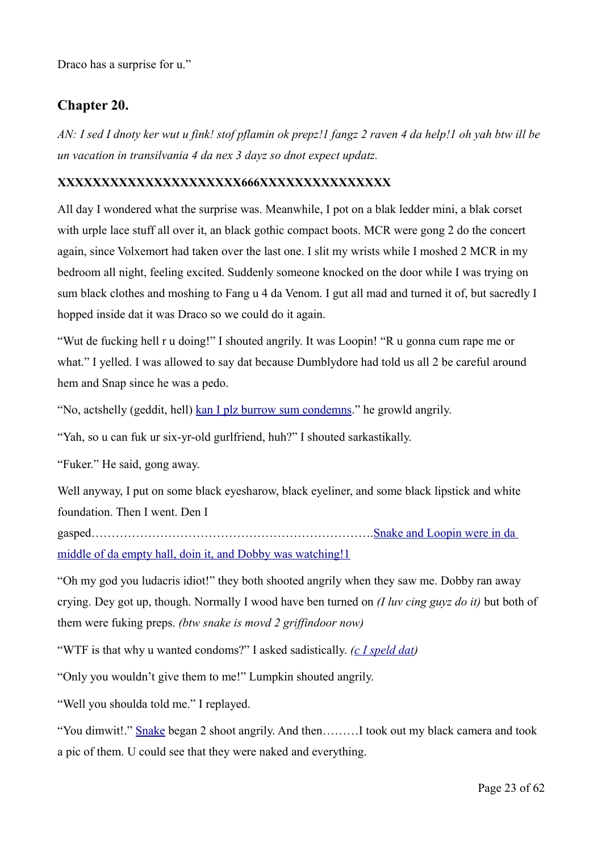Draco has a surprise for u."

# **Chapter 20.**

*AN: I sed I dnoty ker wut u fink! stof pflamin ok prepz!1 fangz 2 raven 4 da help!1 oh yah btw ill be un vacation in transilvania 4 da nex 3 dayz so dnot expect updatz.*

#### **XXXXXXXXXXXXXXXXXXXXX666XXXXXXXXXXXXXXX**

All day I wondered what the surprise was. Meanwhile, I pot on a blak ledder mini, a blak corset with urple lace stuff all over it, an black gothic compact boots. MCR were gong 2 do the concert again, since Volxemort had taken over the last one. I slit my wrists while I moshed 2 MCR in my bedroom all night, feeling excited. Suddenly someone knocked on the door while I was trying on sum black clothes and moshing to Fang u 4 da Venom. I gut all mad and turned it of, but sacredly I hopped inside dat it was Draco so we could do it again.

"Wut de fucking hell r u doing!" I shouted angrily. It was Loopin! "R u gonna cum rape me or what." I yelled. I was allowed to say dat because Dumblydore had told us all 2 be careful around hem and Snap since he was a pedo.

"No, actshelly (geddit, hell) [kan I plz burrow sum condemns.](http://encyclopediadramatica.com/I_Can_Has_Cheezburger%3F)" he growld angrily.

"Yah, so u can fuk ur six-yr-old gurlfriend, huh?" I shouted sarkastikally.

"Fuker." He said, gong away.

Well anyway, I put on some black eyesharow, black eyeliner, and some black lipstick and white foundation. Then I went. Den I

gasped……………………………………………………………[.Snake and Loopin were in da](http://encyclopediadramatica.com/Lemon_Party) [middle of da empty hall, doin it, and Dobby was watching!1](http://encyclopediadramatica.com/Lemon_Party)

"Oh my god you ludacris idiot!" they both shooted angrily when they saw me. Dobby ran away crying. Dey got up, though. Normally I wood have ben turned on *(I luv cing guyz do it)* but both of them were fuking preps. *(btw snake is movd 2 griffindoor now)*

"WTF is that why u wanted condoms?" I asked sadistically. *[\(c I speld dat\)](http://encyclopediadramatica.com/Genius)*

"Only you wouldn't give them to me!" Lumpkin shouted angrily.

"Well you shoulda told me." I replayed.

"You dimwit!." [Snake](http://encyclopediadramatica.com/Metal_Gear_Solid) began 2 shoot angrily. And then………I took out my black camera and took a pic of them. U could see that they were naked and everything.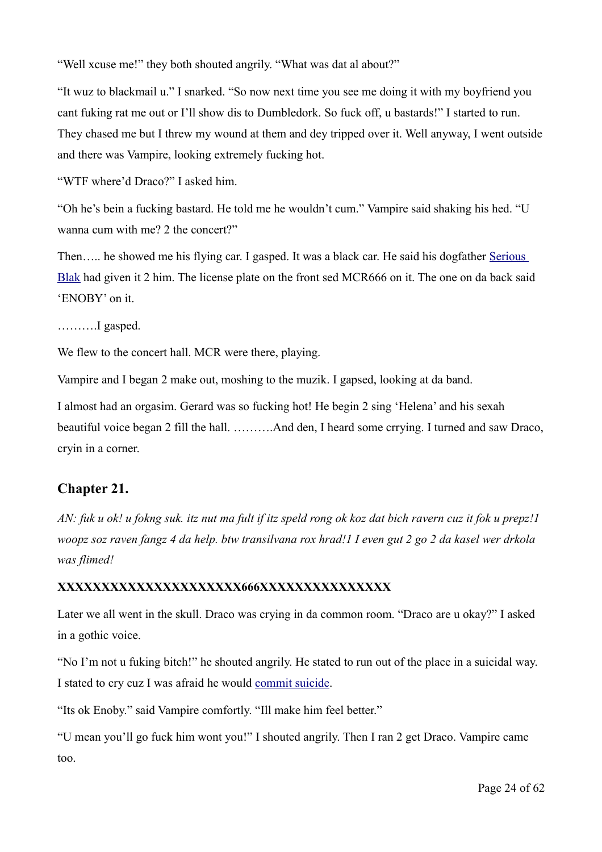"Well xcuse me!" they both shouted angrily. "What was dat al about?"

"It wuz to blackmail u." I snarked. "So now next time you see me doing it with my boyfriend you cant fuking rat me out or I'll show dis to Dumbledork. So fuck off, u bastards!" I started to run. They chased me but I threw my wound at them and dey tripped over it. Well anyway, I went outside and there was Vampire, looking extremely fucking hot.

"WTF where'd Draco?" I asked him.

"Oh he's bein a fucking bastard. He told me he wouldn't cum." Vampire said shaking his hed. "U wanna cum with me? 2 the concert?"

Then….. he showed me his flying car. I gasped. It was a black car. He said his dogfather [Serious](http://encyclopediadramatica.com/Serious_business) [Blak](http://encyclopediadramatica.com/Serious_business) had given it 2 him. The license plate on the front sed MCR666 on it. The one on da back said 'ENOBY' on it.

……….I gasped.

We flew to the concert hall. MCR were there, playing.

Vampire and I began 2 make out, moshing to the muzik. I gapsed, looking at da band.

I almost had an orgasim. Gerard was so fucking hot! He begin 2 sing 'Helena' and his sexah beautiful voice began 2 fill the hall. ……….And den, I heard some crrying. I turned and saw Draco, cryin in a corner.

# **Chapter 21.**

*AN: fuk u ok! u fokng suk. itz nut ma fult if itz speld rong ok koz dat bich ravern cuz it fok u prepz!1 woopz soz raven fangz 4 da help. btw transilvana rox hrad!1 I even gut 2 go 2 da kasel wer drkola was flimed!*

# **XXXXXXXXXXXXXXXXXXXXX666XXXXXXXXXXXXXXX**

Later we all went in the skull. Draco was crying in da common room. "Draco are u okay?" I asked in a gothic voice.

"No I'm not u fuking bitch!" he shouted angrily. He stated to run out of the place in a suicidal way. I stated to cry cuz I was afraid he would [commit suicide.](http://encyclopediadramatica.com/Do_It_Faggot)

"Its ok Enoby." said Vampire comfortly. "Ill make him feel better."

"U mean you'll go fuck him wont you!" I shouted angrily. Then I ran 2 get Draco. Vampire came too.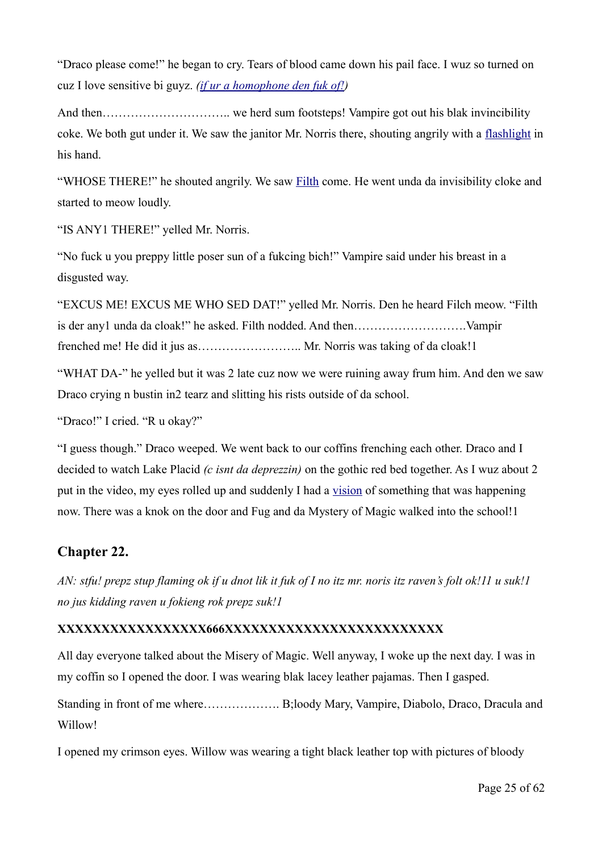"Draco please come!" he began to cry. Tears of blood came down his pail face. I wuz so turned on cuz I love sensitive bi guyz. *[\(if ur a homophone den fuk of!\)](http://encyclopediadramatica.com/Grammar_nazi)*

And then………………………….. we herd sum footsteps! Vampire got out his blak invincibility coke. We both gut under it. We saw the janitor Mr. Norris there, shouting angrily with a [flashlight](http://encyclopediadramatica.com/Fleshlight) in his hand.

"WHOSE THERE!" he shouted angrily. We saw **Filth** come. He went unda da invisibility cloke and started to meow loudly.

"IS ANY1 THERE!" yelled Mr. Norris.

"No fuck u you preppy little poser sun of a fukcing bich!" Vampire said under his breast in a disgusted way.

"EXCUS ME! EXCUS ME WHO SED DAT!" yelled Mr. Norris. Den he heard Filch meow. "Filth is der any1 unda da cloak!" he asked. Filth nodded. And then……………………….Vampir frenched me! He did it jus as…………………….. Mr. Norris was taking of da cloak!1

"WHAT DA-" he yelled but it was 2 late cuz now we were ruining away frum him. And den we saw Draco crying n bustin in2 tearz and slitting his rists outside of da school.

"Draco!" I cried. "R u okay?"

"I guess though." Draco weeped. We went back to our coffins frenching each other. Draco and I decided to watch Lake Placid *(c isnt da deprezzin)* on the gothic red bed together. As I wuz about 2 put in the video, my eyes rolled up and suddenly I had a [vision](http://encyclopediadramatica.com/Seizure) of something that was happening now. There was a knok on the door and Fug and da Mystery of Magic walked into the school!1

# **Chapter 22.**

*AN: stfu! prepz stup flaming ok if u dnot lik it fuk of I no itz mr. noris itz raven's folt ok!11 u suk!1 no jus kidding raven u fokieng rok prepz suk!1*

#### **XXXXXXXXXXXXXXXXX666XXXXXXXXXXXXXXXXXXXXXXXXX**

All day everyone talked about the Misery of Magic. Well anyway, I woke up the next day. I was in my coffin so I opened the door. I was wearing blak lacey leather pajamas. Then I gasped.

Standing in front of me where………………. B;loody Mary, Vampire, Diabolo, Draco, Dracula and Willow!

I opened my crimson eyes. Willow was wearing a tight black leather top with pictures of bloody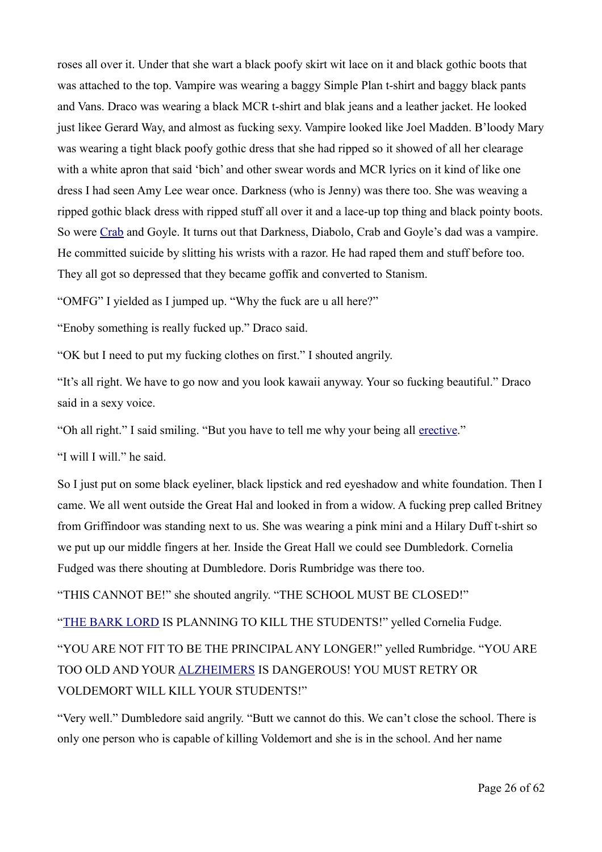roses all over it. Under that she wart a black poofy skirt wit lace on it and black gothic boots that was attached to the top. Vampire was wearing a baggy Simple Plan t-shirt and baggy black pants and Vans. Draco was wearing a black MCR t-shirt and blak jeans and a leather jacket. He looked just likee Gerard Way, and almost as fucking sexy. Vampire looked like Joel Madden. B'loody Mary was wearing a tight black poofy gothic dress that she had ripped so it showed of all her clearage with a white apron that said 'bich' and other swear words and MCR lyrics on it kind of like one dress I had seen Amy Lee wear once. Darkness (who is Jenny) was there too. She was weaving a ripped gothic black dress with ripped stuff all over it and a lace-up top thing and black pointy boots. So were [Crab](http://encyclopediadramatica.com/STD) and Goyle. It turns out that Darkness, Diabolo, Crab and Goyle's dad was a vampire. He committed suicide by slitting his wrists with a razor. He had raped them and stuff before too. They all got so depressed that they became goffik and converted to Stanism.

"OMFG" I yielded as I jumped up. "Why the fuck are u all here?"

"Enoby something is really fucked up." Draco said.

"OK but I need to put my fucking clothes on first." I shouted angrily.

"It's all right. We have to go now and you look kawaii anyway. Your so fucking beautiful." Draco said in a sexy voice.

"Oh all right." I said smiling. "But you have to tell me why your being all [erective.](http://encyclopediadramatica.com/Lulz)"

"I will I will." he said.

So I just put on some black eyeliner, black lipstick and red eyeshadow and white foundation. Then I came. We all went outside the Great Hal and looked in from a widow. A fucking prep called Britney from Griffindoor was standing next to us. She was wearing a pink mini and a Hilary Duff t-shirt so we put up our middle fingers at her. Inside the Great Hall we could see Dumbledork. Cornelia Fudged was there shouting at Dumbledore. Doris Rumbridge was there too.

"THIS CANNOT BE!" she shouted angrily. "THE SCHOOL MUST BE CLOSED!"

["THE BARK LORD](http://encyclopediadramatica.com/Dog) IS PLANNING TO KILL THE STUDENTS!" yelled Cornelia Fudge.

"YOU ARE NOT FIT TO BE THE PRINCIPAL ANY LONGER!" yelled Rumbridge. "YOU ARE TOO OLD AND YOUR [ALZHEIMERS](http://encyclopediadramatica.com/Alzheimers) IS DANGEROUS! YOU MUST RETRY OR VOLDEMORT WILL KILL YOUR STUDENTS!"

"Very well." Dumbledore said angrily. "Butt we cannot do this. We can't close the school. There is only one person who is capable of killing Voldemort and she is in the school. And her name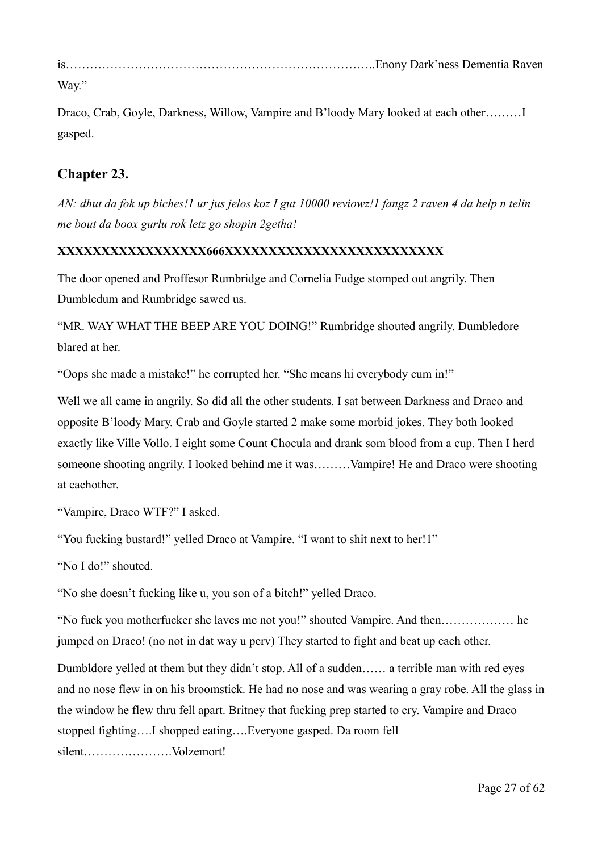is…………………………………………………………………..Enony Dark'ness Dementia Raven Way."

Draco, Crab, Goyle, Darkness, Willow, Vampire and B'loody Mary looked at each other………I gasped.

# **Chapter 23.**

*AN: dhut da fok up biches!1 ur jus jelos koz I gut 10000 reviowz!1 fangz 2 raven 4 da help n telin me bout da boox gurlu rok letz go shopin 2getha!*

# **XXXXXXXXXXXXXXXXX666XXXXXXXXXXXXXXXXXXXXXXXXX**

The door opened and Proffesor Rumbridge and Cornelia Fudge stomped out angrily. Then Dumbledum and Rumbridge sawed us.

"MR. WAY WHAT THE BEEP ARE YOU DOING!" Rumbridge shouted angrily. Dumbledore blared at her.

"Oops she made a mistake!" he corrupted her. "She means hi everybody cum in!"

Well we all came in angrily. So did all the other students. I sat between Darkness and Draco and opposite B'loody Mary. Crab and Goyle started 2 make some morbid jokes. They both looked exactly like Ville Vollo. I eight some Count Chocula and drank som blood from a cup. Then I herd someone shooting angrily. I looked behind me it was………Vampire! He and Draco were shooting at eachother.

"Vampire, Draco WTF?" I asked.

"You fucking bustard!" yelled Draco at Vampire. "I want to shit next to her!1"

"No I do!" shouted.

"No she doesn't fucking like u, you son of a bitch!" yelled Draco.

"No fuck you motherfucker she laves me not you!" shouted Vampire. And then……………… he jumped on Draco! (no not in dat way u perv) They started to fight and beat up each other.

Dumbldore yelled at them but they didn't stop. All of a sudden…… a terrible man with red eyes and no nose flew in on his broomstick. He had no nose and was wearing a gray robe. All the glass in the window he flew thru fell apart. Britney that fucking prep started to cry. Vampire and Draco stopped fighting….I shopped eating….Everyone gasped. Da room fell silent………………….Volzemort!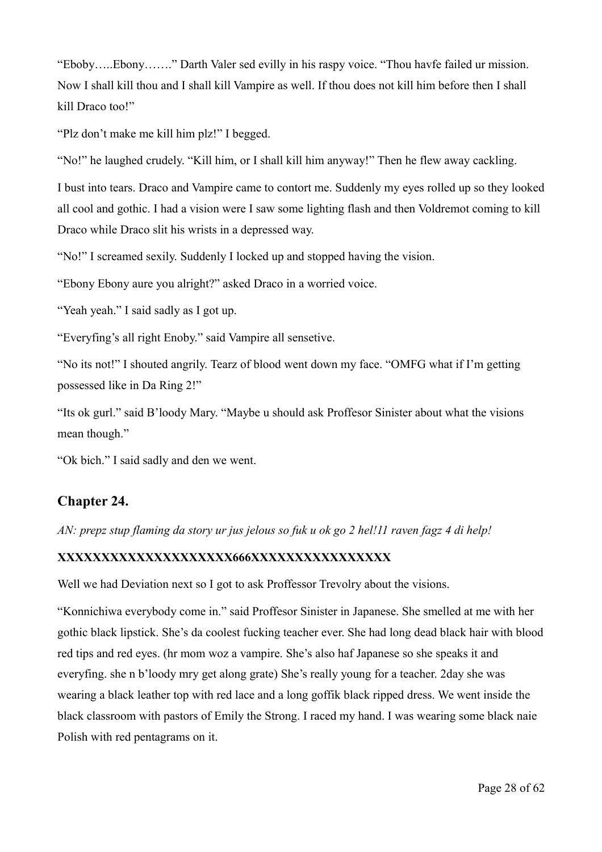"Eboby…..Ebony……." Darth Valer sed evilly in his raspy voice. "Thou havfe failed ur mission. Now I shall kill thou and I shall kill Vampire as well. If thou does not kill him before then I shall kill Draco too!"

"Plz don't make me kill him plz!" I begged.

"No!" he laughed crudely. "Kill him, or I shall kill him anyway!" Then he flew away cackling.

I bust into tears. Draco and Vampire came to contort me. Suddenly my eyes rolled up so they looked all cool and gothic. I had a vision were I saw some lighting flash and then Voldremot coming to kill Draco while Draco slit his wrists in a depressed way.

"No!" I screamed sexily. Suddenly I locked up and stopped having the vision.

"Ebony Ebony aure you alright?" asked Draco in a worried voice.

"Yeah yeah." I said sadly as I got up.

"Everyfing's all right Enoby." said Vampire all sensetive.

"No its not!" I shouted angrily. Tearz of blood went down my face. "OMFG what if I'm getting possessed like in Da Ring 2!"

"Its ok gurl." said B'loody Mary. "Maybe u should ask Proffesor Sinister about what the visions mean though."

"Ok bich." I said sadly and den we went.

#### **Chapter 24.**

*AN: prepz stup flaming da story ur jus jelous so fuk u ok go 2 hel!11 raven fagz 4 di help!*

#### **XXXXXXXXXXXXXXXXXXXX666XXXXXXXXXXXXXXXX**

Well we had Deviation next so I got to ask Proffessor Trevolry about the visions.

"Konnichiwa everybody come in." said Proffesor Sinister in Japanese. She smelled at me with her gothic black lipstick. She's da coolest fucking teacher ever. She had long dead black hair with blood red tips and red eyes. (hr mom woz a vampire. She's also haf Japanese so she speaks it and everyfing. she n b'loody mry get along grate) She's really young for a teacher. 2day she was wearing a black leather top with red lace and a long goffik black ripped dress. We went inside the black classroom with pastors of Emily the Strong. I raced my hand. I was wearing some black naie Polish with red pentagrams on it.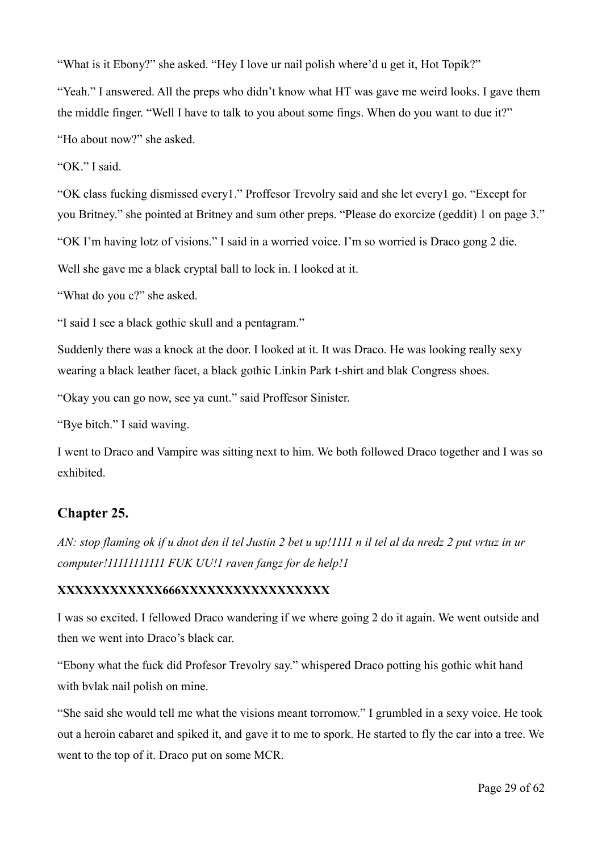"What is it Ebony?" she asked. "Hey I love ur nail polish where'd u get it, Hot Topik?"

"Yeah." I answered. All the preps who didn't know what HT was gave me weird looks. I gave them the middle finger. "Well I have to talk to you about some fings. When do you want to due it?"

"Ho about now?" she asked.

"OK." I said.

"OK class fucking dismissed every1." Proffesor Trevolry said and she let every1 go. "Except for you Britney." she pointed at Britney and sum other preps. "Please do exorcize (geddit) 1 on page 3."

"OK I'm having lotz of visions." I said in a worried voice. I'm so worried is Draco gong 2 die.

Well she gave me a black cryptal ball to lock in. I looked at it.

"What do you c?" she asked.

"I said I see a black gothic skull and a pentagram."

Suddenly there was a knock at the door. I looked at it. It was Draco. He was looking really sexy wearing a black leather facet, a black gothic Linkin Park t-shirt and blak Congress shoes.

"Okay you can go now, see ya cunt." said Proffesor Sinister.

"Bye bitch." I said waving.

I went to Draco and Vampire was sitting next to him. We both followed Draco together and I was so exhibited.

# **Chapter 25.**

*AN: stop flaming ok if u dnot den il tel Justin 2 bet u up!1111 n il tel al da nredz 2 put vrtuz in ur computer!11111111111 FUK UU!1 raven fangz for de help!1*

#### **XXXXXXXXXXXX666XXXXXXXXXXXXXXXXX**

I was so excited. I fellowed Draco wandering if we where going 2 do it again. We went outside and then we went into Draco's black car.

"Ebony what the fuck did Profesor Trevolry say." whispered Draco potting his gothic whit hand with bvlak nail polish on mine.

"She said she would tell me what the visions meant torromow." I grumbled in a sexy voice. He took out a heroin cabaret and spiked it, and gave it to me to spork. He started to fly the car into a tree. We went to the top of it. Draco put on some MCR.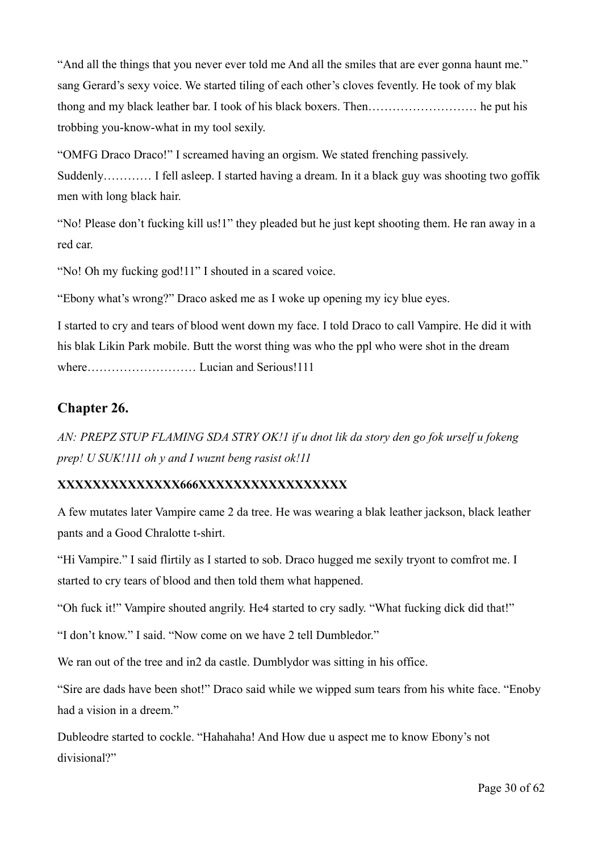"And all the things that you never ever told me And all the smiles that are ever gonna haunt me." sang Gerard's sexy voice. We started tiling of each other's cloves fevently. He took of my blak thong and my black leather bar. I took of his black boxers. Then……………………… he put his trobbing you-know-what in my tool sexily.

"OMFG Draco Draco!" I screamed having an orgism. We stated frenching passively. Suddenly………… I fell asleep. I started having a dream. In it a black guy was shooting two goffik men with long black hair.

"No! Please don't fucking kill us!1" they pleaded but he just kept shooting them. He ran away in a red car.

"No! Oh my fucking god!11" I shouted in a scared voice.

"Ebony what's wrong?" Draco asked me as I woke up opening my icy blue eyes.

I started to cry and tears of blood went down my face. I told Draco to call Vampire. He did it with his blak Likin Park mobile. Butt the worst thing was who the ppl who were shot in the dream where……………………… Lucian and Serious!111

# **Chapter 26.**

*AN: PREPZ STUP FLAMING SDA STRY OK!1 if u dnot lik da story den go fok urself u fokeng prep! U SUK!111 oh y and I wuznt beng rasist ok!11*

#### **XXXXXXXXXXXXXX666XXXXXXXXXXXXXXXXX**

A few mutates later Vampire came 2 da tree. He was wearing a blak leather jackson, black leather pants and a Good Chralotte t-shirt.

"Hi Vampire." I said flirtily as I started to sob. Draco hugged me sexily tryont to comfrot me. I started to cry tears of blood and then told them what happened.

"Oh fuck it!" Vampire shouted angrily. He4 started to cry sadly. "What fucking dick did that!"

"I don't know." I said. "Now come on we have 2 tell Dumbledor."

We ran out of the tree and in2 da castle. Dumblydor was sitting in his office.

"Sire are dads have been shot!" Draco said while we wipped sum tears from his white face. "Enoby had a vision in a dreem."

Dubleodre started to cockle. "Hahahaha! And How due u aspect me to know Ebony's not divisional?"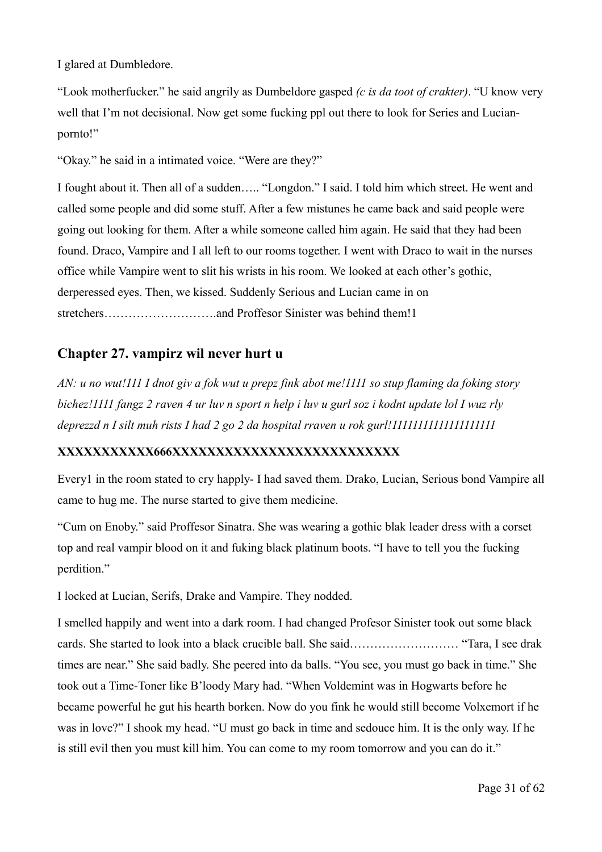I glared at Dumbledore.

"Look motherfucker." he said angrily as Dumbeldore gasped *(c is da toot of crakter)*. "U know very well that I'm not decisional. Now get some fucking ppl out there to look for Series and Lucianpornto!"

"Okay." he said in a intimated voice. "Were are they?"

I fought about it. Then all of a sudden….. "Longdon." I said. I told him which street. He went and called some people and did some stuff. After a few mistunes he came back and said people were going out looking for them. After a while someone called him again. He said that they had been found. Draco, Vampire and I all left to our rooms together. I went with Draco to wait in the nurses office while Vampire went to slit his wrists in his room. We looked at each other's gothic, derperessed eyes. Then, we kissed. Suddenly Serious and Lucian came in on stretchers……………………….and Proffesor Sinister was behind them!1

# **Chapter 27. vampirz wil never hurt u**

*AN: u no wut!111 I dnot giv a fok wut u prepz fink abot me!1111 so stup flaming da foking story bichez!1111 fangz 2 raven 4 ur luv n sport n help i luv u gurl soz i kodnt update lol I wuz rly deprezzd n I silt muh rists I had 2 go 2 da hospital rraven u rok gurl!11111111111111111111*

#### **XXXXXXXXXXX666XXXXXXXXXXXXXXXXXXXXXXXXXX**

Every1 in the room stated to cry happly- I had saved them. Drako, Lucian, Serious bond Vampire all came to hug me. The nurse started to give them medicine.

"Cum on Enoby." said Proffesor Sinatra. She was wearing a gothic blak leader dress with a corset top and real vampir blood on it and fuking black platinum boots. "I have to tell you the fucking perdition."

I locked at Lucian, Serifs, Drake and Vampire. They nodded.

I smelled happily and went into a dark room. I had changed Profesor Sinister took out some black cards. She started to look into a black crucible ball. She said……………………… "Tara, I see drak times are near." She said badly. She peered into da balls. "You see, you must go back in time." She took out a Time-Toner like B'loody Mary had. "When Voldemint was in Hogwarts before he became powerful he gut his hearth borken. Now do you fink he would still become Volxemort if he was in love?" I shook my head. "U must go back in time and sedouce him. It is the only way. If he is still evil then you must kill him. You can come to my room tomorrow and you can do it."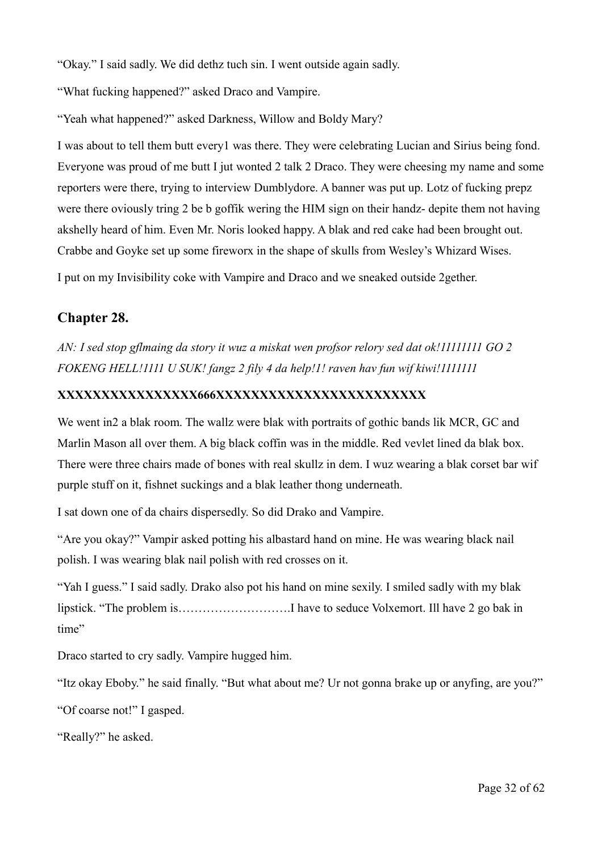"Okay." I said sadly. We did dethz tuch sin. I went outside again sadly.

"What fucking happened?" asked Draco and Vampire.

"Yeah what happened?" asked Darkness, Willow and Boldy Mary?

I was about to tell them butt every1 was there. They were celebrating Lucian and Sirius being fond. Everyone was proud of me butt I jut wonted 2 talk 2 Draco. They were cheesing my name and some reporters were there, trying to interview Dumblydore. A banner was put up. Lotz of fucking prepz were there oviously tring 2 be b goffik wering the HIM sign on their handz- depite them not having akshelly heard of him. Even Mr. Noris looked happy. A blak and red cake had been brought out. Crabbe and Goyke set up some fireworx in the shape of skulls from Wesley's Whizard Wises.

I put on my Invisibility coke with Vampire and Draco and we sneaked outside 2gether.

# **Chapter 28.**

*AN: I sed stop gflmaing da story it wuz a miskat wen profsor relory sed dat ok!11111111 GO 2 FOKENG HELL!1111 U SUK! fangz 2 fily 4 da help!1! raven hav fun wif kiwi!1111111*

# **XXXXXXXXXXXXXXXX666XXXXXXXXXXXXXXXXXXXXXXXX**

We went in2 a blak room. The wallz were blak with portraits of gothic bands lik MCR, GC and Marlin Mason all over them. A big black coffin was in the middle. Red vevlet lined da blak box. There were three chairs made of bones with real skullz in dem. I wuz wearing a blak corset bar wif purple stuff on it, fishnet suckings and a blak leather thong underneath.

I sat down one of da chairs dispersedly. So did Drako and Vampire.

"Are you okay?" Vampir asked potting his albastard hand on mine. He was wearing black nail polish. I was wearing blak nail polish with red crosses on it.

"Yah I guess." I said sadly. Drako also pot his hand on mine sexily. I smiled sadly with my blak lipstick. "The problem is……………………….I have to seduce Volxemort. Ill have 2 go bak in time"

Draco started to cry sadly. Vampire hugged him.

"Itz okay Eboby." he said finally. "But what about me? Ur not gonna brake up or anyfing, are you?"

"Of coarse not!" I gasped.

"Really?" he asked.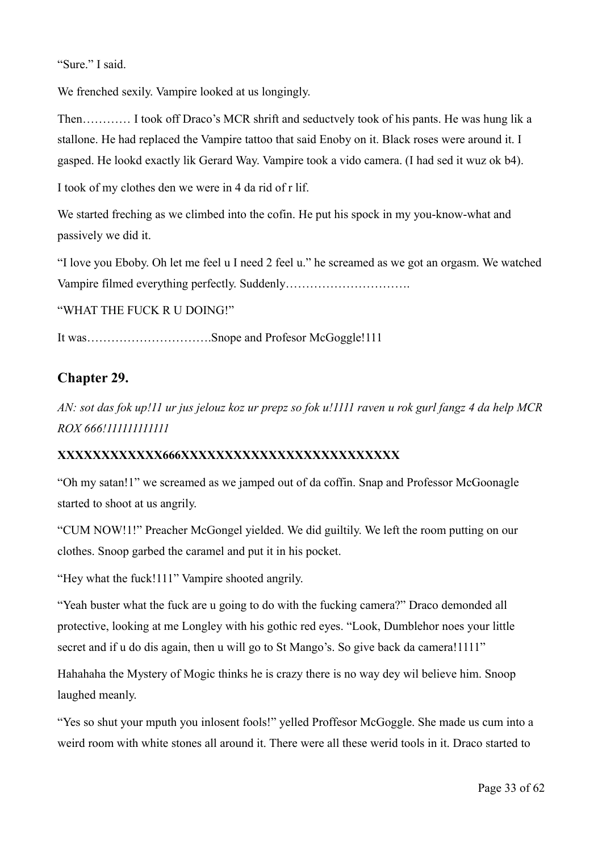"Sure." I said.

We frenched sexily. Vampire looked at us longingly.

Then………… I took off Draco's MCR shrift and seductvely took of his pants. He was hung lik a stallone. He had replaced the Vampire tattoo that said Enoby on it. Black roses were around it. I gasped. He lookd exactly lik Gerard Way. Vampire took a vido camera. (I had sed it wuz ok b4).

I took of my clothes den we were in 4 da rid of r lif.

We started freching as we climbed into the cofin. He put his spock in my you-know-what and passively we did it.

"I love you Eboby. Oh let me feel u I need 2 feel u." he screamed as we got an orgasm. We watched Vampire filmed everything perfectly. Suddenly………………………….

#### "WHAT THE FUCK R U DOING!"

It was………………………….Snope and Profesor McGoggle!111

#### **Chapter 29.**

*AN: sot das fok up!11 ur jus jelouz koz ur prepz so fok u!1111 raven u rok gurl fangz 4 da help MCR ROX 666!111111111111*

#### **XXXXXXXXXXXX666XXXXXXXXXXXXXXXXXXXXXXXXX**

"Oh my satan!1" we screamed as we jamped out of da coffin. Snap and Professor McGoonagle started to shoot at us angrily.

"CUM NOW!1!" Preacher McGongel yielded. We did guiltily. We left the room putting on our clothes. Snoop garbed the caramel and put it in his pocket.

"Hey what the fuck!111" Vampire shooted angrily.

"Yeah buster what the fuck are u going to do with the fucking camera?" Draco demonded all protective, looking at me Longley with his gothic red eyes. "Look, Dumblehor noes your little secret and if u do dis again, then u will go to St Mango's. So give back da camera!1111"

Hahahaha the Mystery of Mogic thinks he is crazy there is no way dey wil believe him. Snoop laughed meanly.

"Yes so shut your mputh you inlosent fools!" yelled Proffesor McGoggle. She made us cum into a weird room with white stones all around it. There were all these werid tools in it. Draco started to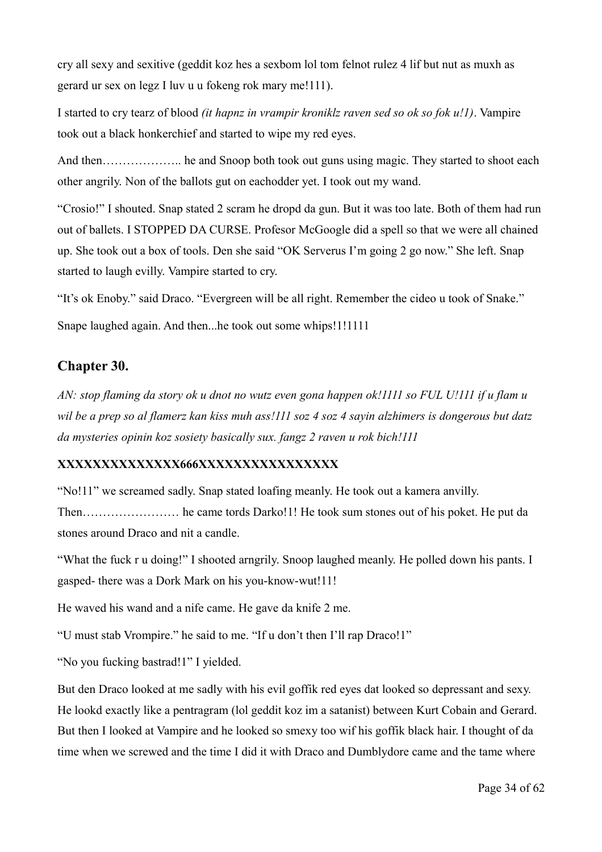cry all sexy and sexitive (geddit koz hes a sexbom lol tom felnot rulez 4 lif but nut as muxh as gerard ur sex on legz I luv u u fokeng rok mary me!111).

I started to cry tearz of blood *(it hapnz in vrampir kroniklz raven sed so ok so fok u!1)*. Vampire took out a black honkerchief and started to wipe my red eyes.

And then……………….. he and Snoop both took out guns using magic. They started to shoot each other angrily. Non of the ballots gut on eachodder yet. I took out my wand.

"Crosio!" I shouted. Snap stated 2 scram he dropd da gun. But it was too late. Both of them had run out of ballets. I STOPPED DA CURSE. Profesor McGoogle did a spell so that we were all chained up. She took out a box of tools. Den she said "OK Serverus I'm going 2 go now." She left. Snap started to laugh evilly. Vampire started to cry.

"It's ok Enoby." said Draco. "Evergreen will be all right. Remember the cideo u took of Snake."

Snape laughed again. And then...he took out some whips!1!1111

# **Chapter 30.**

*AN: stop flaming da story ok u dnot no wutz even gona happen ok!1111 so FUL U!111 if u flam u wil be a prep so al flamerz kan kiss muh ass!111 soz 4 soz 4 sayin alzhimers is dongerous but datz da mysteries opinin koz sosiety basically sux. fangz 2 raven u rok bich!111*

#### **XXXXXXXXXXXXXX666XXXXXXXXXXXXXXXX**

"No!11" we screamed sadly. Snap stated loafing meanly. He took out a kamera anvilly.

Then…………………… he came tords Darko!1! He took sum stones out of his poket. He put da stones around Draco and nit a candle.

"What the fuck r u doing!" I shooted arngrily. Snoop laughed meanly. He polled down his pants. I gasped- there was a Dork Mark on his you-know-wut!11!

He waved his wand and a nife came. He gave da knife 2 me.

"U must stab Vrompire." he said to me. "If u don't then I'll rap Draco!1"

"No you fucking bastrad!1" I yielded.

But den Draco looked at me sadly with his evil goffik red eyes dat looked so depressant and sexy. He lookd exactly like a pentragram (lol geddit koz im a satanist) between Kurt Cobain and Gerard. But then I looked at Vampire and he looked so smexy too wif his goffik black hair. I thought of da time when we screwed and the time I did it with Draco and Dumblydore came and the tame where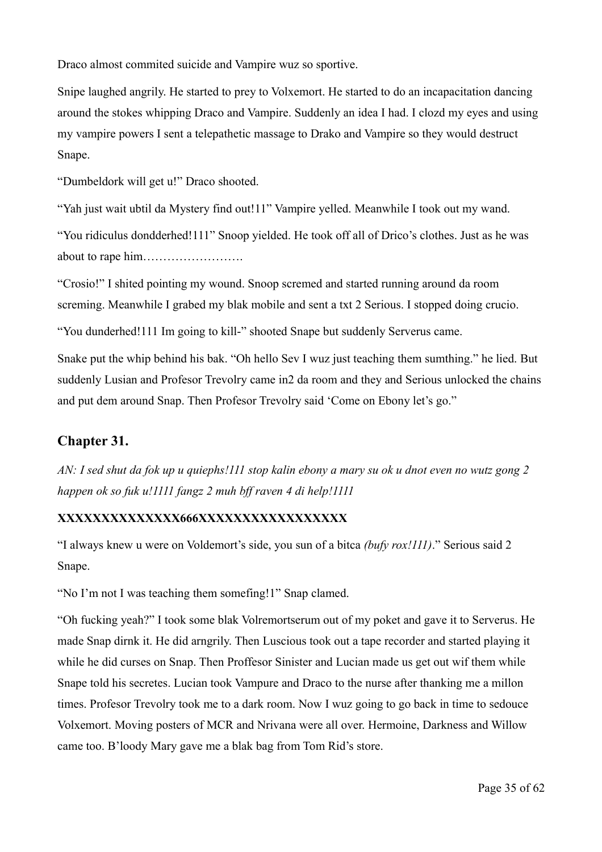Draco almost commited suicide and Vampire wuz so sportive.

Snipe laughed angrily. He started to prey to Volxemort. He started to do an incapacitation dancing around the stokes whipping Draco and Vampire. Suddenly an idea I had. I clozd my eyes and using my vampire powers I sent a telepathetic massage to Drako and Vampire so they would destruct Snape.

"Dumbeldork will get u!" Draco shooted.

"Yah just wait ubtil da Mystery find out!11" Vampire yelled. Meanwhile I took out my wand.

"You ridiculus dondderhed!111" Snoop yielded. He took off all of Drico's clothes. Just as he was about to rape him…………………….

"Crosio!" I shited pointing my wound. Snoop scremed and started running around da room screming. Meanwhile I grabed my blak mobile and sent a txt 2 Serious. I stopped doing crucio.

"You dunderhed!111 Im going to kill-" shooted Snape but suddenly Serverus came.

Snake put the whip behind his bak. "Oh hello Sev I wuz just teaching them sumthing." he lied. But suddenly Lusian and Profesor Trevolry came in2 da room and they and Serious unlocked the chains and put dem around Snap. Then Profesor Trevolry said 'Come on Ebony let's go."

# **Chapter 31.**

*AN: I sed shut da fok up u quiephs!111 stop kalin ebony a mary su ok u dnot even no wutz gong 2 happen ok so fuk u!1111 fangz 2 muh bff raven 4 di help!1111*

# **XXXXXXXXXXXXXX666XXXXXXXXXXXXXXXXX**

"I always knew u were on Voldemort's side, you sun of a bitca *(bufy rox!111)*." Serious said 2 Snape.

"No I'm not I was teaching them somefing!1" Snap clamed.

"Oh fucking yeah?" I took some blak Volremortserum out of my poket and gave it to Serverus. He made Snap dirnk it. He did arngrily. Then Luscious took out a tape recorder and started playing it while he did curses on Snap. Then Proffesor Sinister and Lucian made us get out wif them while Snape told his secretes. Lucian took Vampure and Draco to the nurse after thanking me a millon times. Profesor Trevolry took me to a dark room. Now I wuz going to go back in time to sedouce Volxemort. Moving posters of MCR and Nrivana were all over. Hermoine, Darkness and Willow came too. B'loody Mary gave me a blak bag from Tom Rid's store.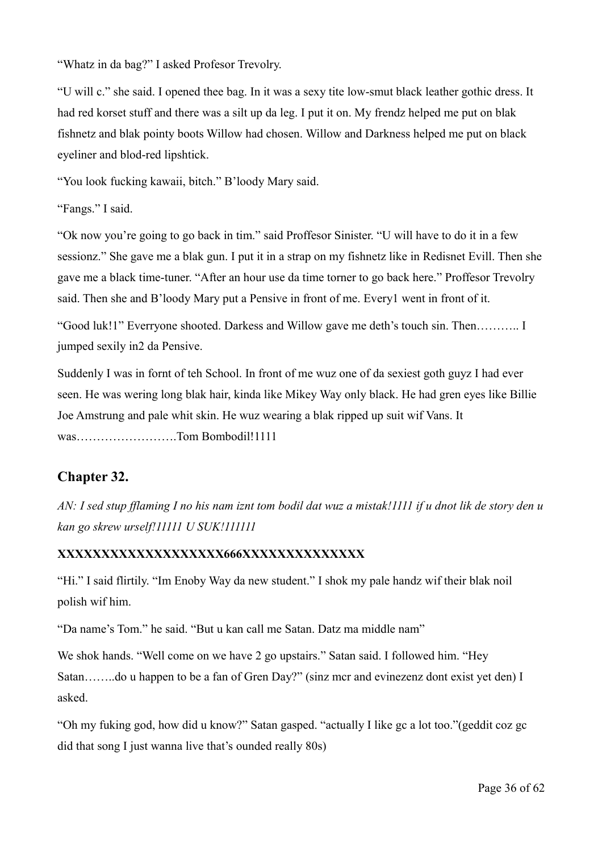"Whatz in da bag?" I asked Profesor Trevolry.

"U will c." she said. I opened thee bag. In it was a sexy tite low-smut black leather gothic dress. It had red korset stuff and there was a silt up da leg. I put it on. My frendz helped me put on blak fishnetz and blak pointy boots Willow had chosen. Willow and Darkness helped me put on black eyeliner and blod-red lipshtick.

"You look fucking kawaii, bitch." B'loody Mary said.

"Fangs." I said.

"Ok now you're going to go back in tim." said Proffesor Sinister. "U will have to do it in a few sessionz." She gave me a blak gun. I put it in a strap on my fishnetz like in Redisnet Evill. Then she gave me a black time-tuner. "After an hour use da time torner to go back here." Proffesor Trevolry said. Then she and B'loody Mary put a Pensive in front of me. Every1 went in front of it.

"Good luk!1" Everryone shooted. Darkess and Willow gave me deth's touch sin. Then……….. I jumped sexily in2 da Pensive.

Suddenly I was in fornt of teh School. In front of me wuz one of da sexiest goth guyz I had ever seen. He was wering long blak hair, kinda like Mikey Way only black. He had gren eyes like Billie Joe Amstrung and pale whit skin. He wuz wearing a blak ripped up suit wif Vans. It was…………………….Tom Bombodil!1111

# **Chapter 32.**

*AN: I sed stup fflaming I no his nam iznt tom bodil dat wuz a mistak!1111 if u dnot lik de story den u kan go skrew urself!11111 U SUK!111111*

# **XXXXXXXXXXXXXXXXXXX666XXXXXXXXXXXXXX**

"Hi." I said flirtily. "Im Enoby Way da new student." I shok my pale handz wif their blak noil polish wif him.

"Da name's Tom." he said. "But u kan call me Satan. Datz ma middle nam"

We shok hands. "Well come on we have 2 go upstairs." Satan said. I followed him. "Hey Satan…....do u happen to be a fan of Gren Day?" (sinz mcr and evinezenz dont exist yet den) I asked.

"Oh my fuking god, how did u know?" Satan gasped. "actually I like gc a lot too."(geddit coz gc did that song I just wanna live that's ounded really 80s)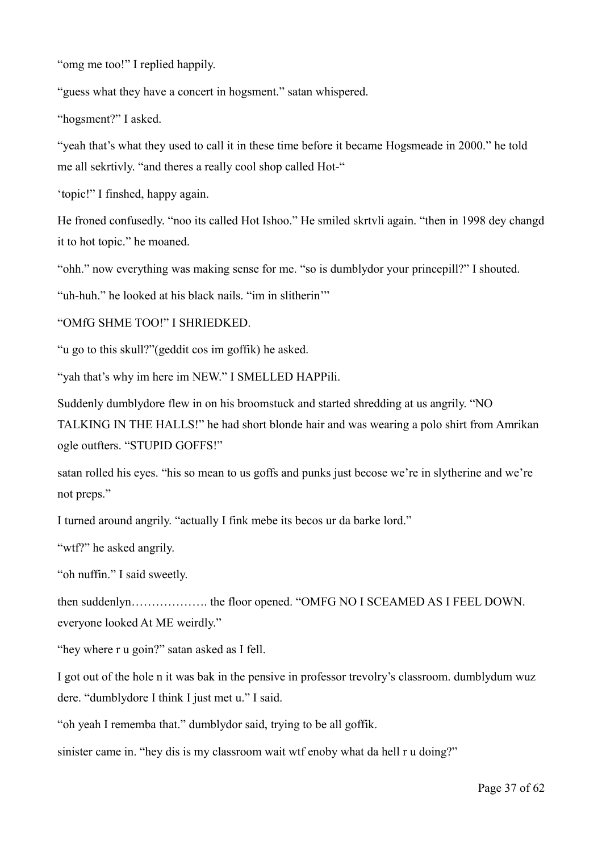"omg me too!" I replied happily.

"guess what they have a concert in hogsment." satan whispered.

"hogsment?" I asked.

"yeah that's what they used to call it in these time before it became Hogsmeade in 2000." he told me all sekrtivly. "and theres a really cool shop called Hot-"

'topic!" I finshed, happy again.

He froned confusedly. "noo its called Hot Ishoo." He smiled skrtvli again. "then in 1998 dey changd it to hot topic." he moaned.

"ohh." now everything was making sense for me. "so is dumblydor your princepill?" I shouted.

"uh-huh." he looked at his black nails. "im in slitherin'"

"OMfG SHME TOO!" I SHRIEDKED.

"u go to this skull?"(geddit cos im goffik) he asked.

"yah that's why im here im NEW." I SMELLED HAPPili.

Suddenly dumblydore flew in on his broomstuck and started shredding at us angrily. "NO

TALKING IN THE HALLS!" he had short blonde hair and was wearing a polo shirt from Amrikan ogle outfters. "STUPID GOFFS!"

satan rolled his eyes. "his so mean to us goffs and punks just becose we're in slytherine and we're not preps."

I turned around angrily. "actually I fink mebe its becos ur da barke lord."

"wtf?" he asked angrily.

"oh nuffin." I said sweetly.

then suddenlyn………………. the floor opened. "OMFG NO I SCEAMED AS I FEEL DOWN. everyone looked At ME weirdly."

"hey where r u goin?" satan asked as I fell.

I got out of the hole n it was bak in the pensive in professor trevolry's classroom. dumblydum wuz dere. "dumblydore I think I just met u." I said.

"oh yeah I rememba that." dumblydor said, trying to be all goffik.

sinister came in. "hey dis is my classroom wait wtf enoby what da hell r u doing?"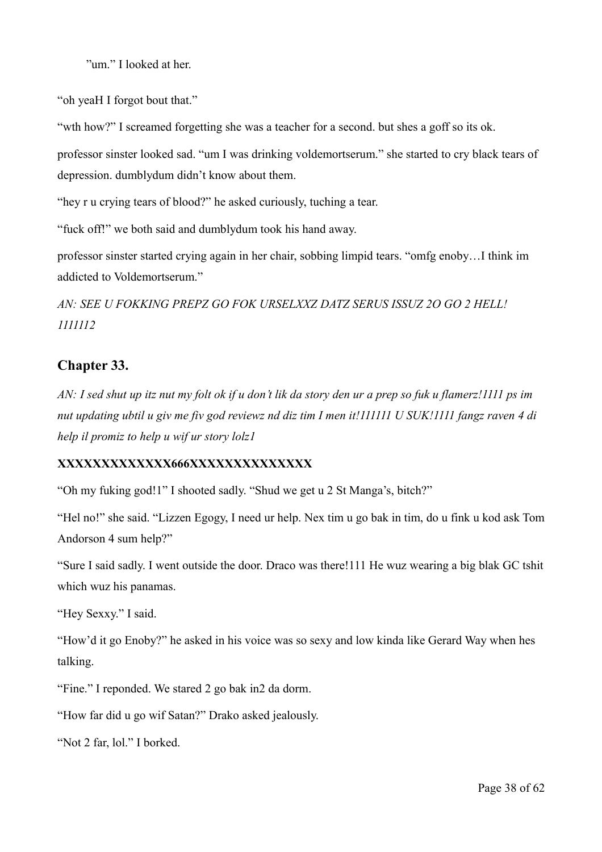"um." I looked at her.

"oh yeaH I forgot bout that."

"wth how?" I screamed forgetting she was a teacher for a second. but shes a goff so its ok.

professor sinster looked sad. "um I was drinking voldemortserum." she started to cry black tears of depression. dumblydum didn't know about them.

"hey r u crying tears of blood?" he asked curiously, tuching a tear.

"fuck off!" we both said and dumblydum took his hand away.

professor sinster started crying again in her chair, sobbing limpid tears. "omfg enoby…I think im addicted to Voldemortserum."

*AN: SEE U FOKKING PREPZ GO FOK URSELXXZ DATZ SERUS ISSUZ 2O GO 2 HELL! 1111112*

# **Chapter 33.**

*AN: I sed shut up itz nut my folt ok if u don't lik da story den ur a prep so fuk u flamerz!1111 ps im nut updating ubtil u giv me fiv god reviewz nd diz tim I men it!111111 U SUK!1111 fangz raven 4 di help il promiz to help u wif ur story lolz1*

#### **XXXXXXXXXXXXX666XXXXXXXXXXXXXX**

"Oh my fuking god!1" I shooted sadly. "Shud we get u 2 St Manga's, bitch?"

"Hel no!" she said. "Lizzen Egogy, I need ur help. Nex tim u go bak in tim, do u fink u kod ask Tom Andorson 4 sum help?"

"Sure I said sadly. I went outside the door. Draco was there!111 He wuz wearing a big blak GC tshit which wuz his panamas.

"Hey Sexxy." I said.

"How'd it go Enoby?" he asked in his voice was so sexy and low kinda like Gerard Way when hes talking.

"Fine." I reponded. We stared 2 go bak in2 da dorm.

"How far did u go wif Satan?" Drako asked jealously.

"Not 2 far, lol." I borked.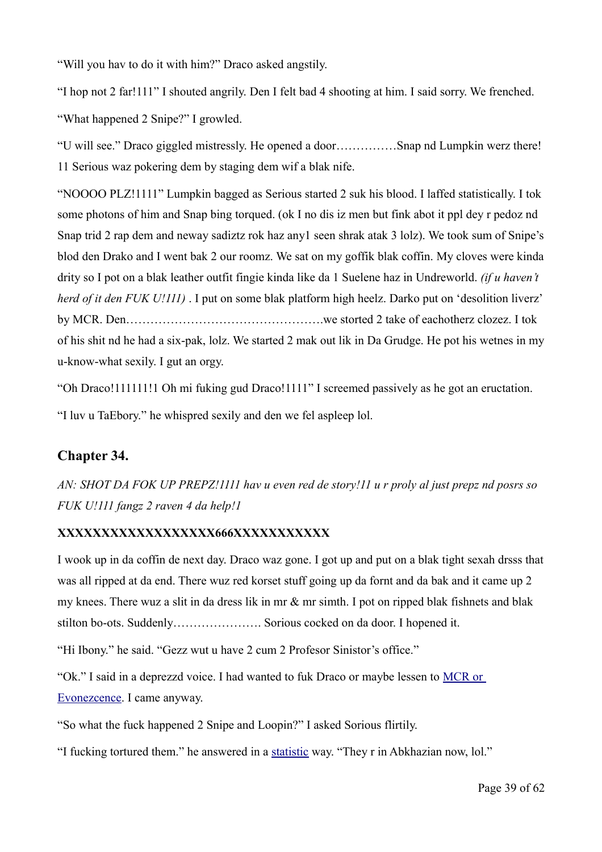"Will you hav to do it with him?" Draco asked angstily.

"I hop not 2 far!111" I shouted angrily. Den I felt bad 4 shooting at him. I said sorry. We frenched.

"What happened 2 Snipe?" I growled.

"U will see." Draco giggled mistressly. He opened a door……………Snap nd Lumpkin werz there! 11 Serious waz pokering dem by staging dem wif a blak nife.

"NOOOO PLZ!1111" Lumpkin bagged as Serious started 2 suk his blood. I laffed statistically. I tok some photons of him and Snap bing torqued. (ok I no dis iz men but fink abot it ppl dey r pedoz nd Snap trid 2 rap dem and neway sadiztz rok haz any1 seen shrak atak 3 lolz). We took sum of Snipe's blod den Drako and I went bak 2 our roomz. We sat on my goffik blak coffin. My cloves were kinda drity so I pot on a blak leather outfit fingie kinda like da 1 Suelene haz in Undreworld. *(if u haven't herd of it den FUK U!111)* . I put on some blak platform high heelz. Darko put on 'desolition liverz' by MCR. Den………………………………………….we storted 2 take of eachotherz clozez. I tok of his shit nd he had a six-pak, lolz. We started 2 mak out lik in Da Grudge. He pot his wetnes in my u-know-what sexily. I gut an orgy.

"Oh Draco!111111!1 Oh mi fuking gud Draco!1111" I screemed passively as he got an eructation.

"I luv u TaEbory." he whispred sexily and den we fel aspleep lol.

# **Chapter 34.**

*AN: SHOT DA FOK UP PREPZ!1111 hav u even red de story!11 u r proly al just prepz nd posrs so FUK U!111 fangz 2 raven 4 da help!1*

# **XXXXXXXXXXXXXXXXXX666XXXXXXXXXXX**

I wook up in da coffin de next day. Draco waz gone. I got up and put on a blak tight sexah drsss that was all ripped at da end. There wuz red korset stuff going up da fornt and da bak and it came up 2 my knees. There wuz a slit in da dress lik in mr & mr simth. I pot on ripped blak fishnets and blak stilton bo-ots. Suddenly…………………. Sorious cocked on da door. I hopened it.

"Hi Ibony." he said. "Gezz wut u have 2 cum 2 Profesor Sinistor's office."

"Ok." I said in a deprezzd voice. I had wanted to fuk Draco or maybe lessen to [MCR or](http://encyclopediadramatica.com/Crap) [Evonezcence.](http://encyclopediadramatica.com/Crap) I came anyway.

"So what the fuck happened 2 Snipe and Loopin?" I asked Sorious flirtily.

"I fucking tortured them." he answered in a [statistic](http://encyclopediadramatica.com/Statistic) way. "They r in Abkhazian now, lol."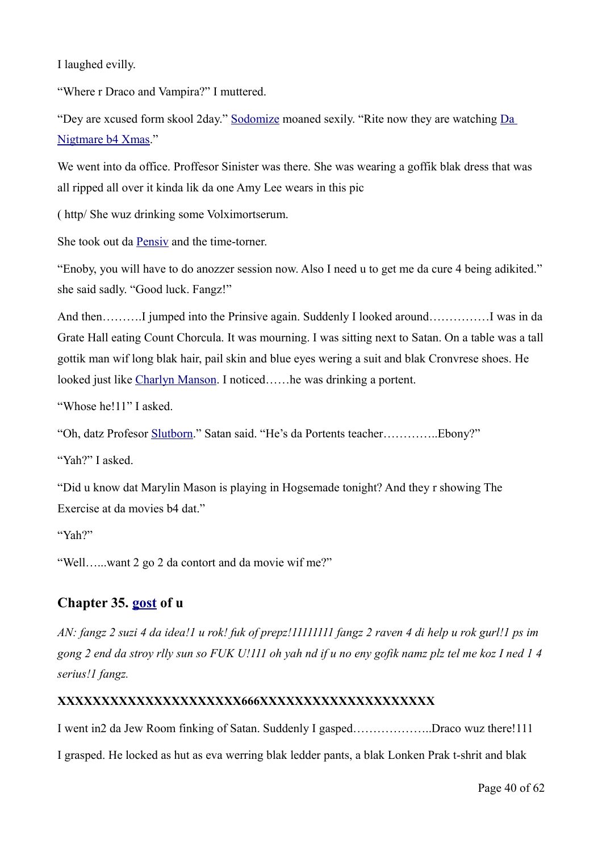I laughed evilly.

"Where r Draco and Vampira?" I muttered.

"Dey are xcused form skool 2day." [Sodomize](http://encyclopediadramatica.com/Buttsecks) moaned sexily. "Rite now they are watching [Da](http://encyclopediadramatica.com/Nightmare_Before_Christmas) [Nigtmare b4 Xmas.](http://encyclopediadramatica.com/Nightmare_Before_Christmas)"

We went into da office. Proffesor Sinister was there. She was wearing a goffik blak dress that was all ripped all over it kinda lik da one Amy Lee wears in this pic

( http/ She wuz drinking some Volximortserum.

She took out da [Pensiv](http://encyclopediadramatica.com/Penis) and the time-torner.

"Enoby, you will have to do anozzer session now. Also I need u to get me da cure 4 being adikited." she said sadly. "Good luck. Fangz!"

And then……….I jumped into the Prinsive again. Suddenly I looked around……………I was in da Grate Hall eating Count Chorcula. It was mourning. I was sitting next to Satan. On a table was a tall gottik man wif long blak hair, pail skin and blue eyes wering a suit and blak Cronvrese shoes. He looked just like [Charlyn Manson.](http://encyclopediadramatica.com/Charles_Manson) I noticed……he was drinking a portent.

"Whose he!11" I asked.

"Oh, datz Profesor [Slutborn.](http://encyclopediadramatica.com/Whore)" Satan said. "He's da Portents teacher…………..Ebony?"

"Yah?" I asked.

"Did u know dat Marylin Mason is playing in Hogsemade tonight? And they r showing The Exercise at da movies b4 dat."

"Yah?"

"Well…...want 2 go 2 da contort and da movie wif me?"

# **Chapter 35. [gost](http://encyclopediadramatica.com/Goatse) of u**

*AN: fangz 2 suzi 4 da idea!1 u rok! fuk of prepz!11111111 fangz 2 raven 4 di help u rok gurl!1 ps im gong 2 end da stroy rlly sun so FUK U!111 oh yah nd if u no eny gofik namz plz tel me koz I ned 1 4 serius!1 fangz.*

#### **XXXXXXXXXXXXXXXXXXXXX666XXXXXXXXXXXXXXXXXXXX**

I went in2 da Jew Room finking of Satan. Suddenly I gasped………………..Draco wuz there!111

I grasped. He locked as hut as eva werring blak ledder pants, a blak Lonken Prak t-shrit and blak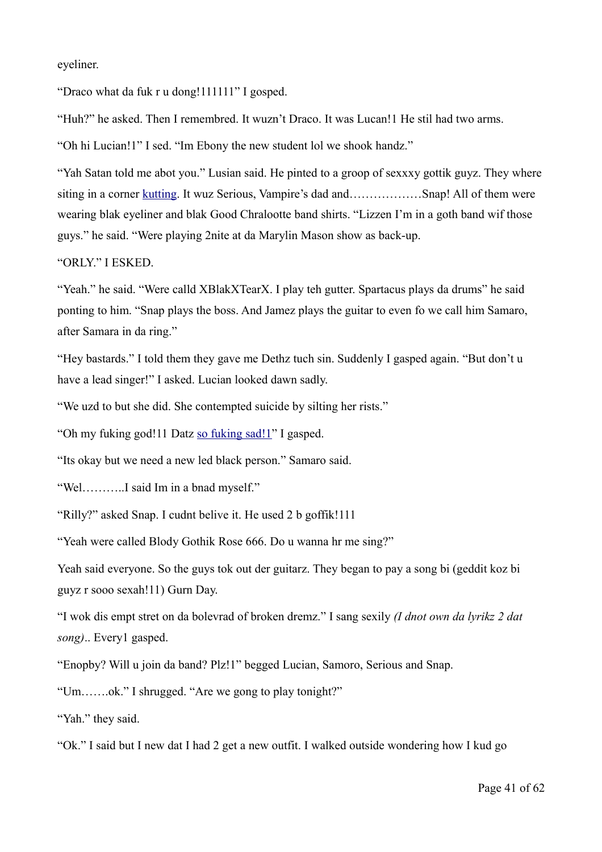eyeliner.

"Draco what da fuk r u dong!111111" I gosped.

"Huh?" he asked. Then I remembred. It wuzn't Draco. It was Lucan!1 He stil had two arms.

"Oh hi Lucian!1" I sed. "Im Ebony the new student lol we shook handz."

"Yah Satan told me abot you." Lusian said. He pinted to a groop of sexxxy gottik guyz. They where siting in a corner [kutting.](http://encyclopediadramatica.com/Circlejerk) It wuz Serious, Vampire's dad and………………Snap! All of them were wearing blak eyeliner and blak Good Chralootte band shirts. "Lizzen I'm in a goth band wif those guys." he said. "Were playing 2nite at da Marylin Mason show as back-up.

"ORLY." I ESKED.

"Yeah." he said. "Were calld XBlakXTearX. I play teh gutter. Spartacus plays da drums" he said ponting to him. "Snap plays the boss. And Jamez plays the guitar to even fo we call him Samaro, after Samara in da ring."

"Hey bastards." I told them they gave me Dethz tuch sin. Suddenly I gasped again. "But don't u have a lead singer!" I asked. Lucian looked dawn sadly.

"We uzd to but she did. She contempted suicide by silting her rists."

"Oh my fuking god!11 Datz [so fuking sad!1"](http://encyclopediadramatica.com/Lulz) I gasped.

"Its okay but we need a new led black person." Samaro said.

"Wel………..I said Im in a bnad myself."

"Rilly?" asked Snap. I cudnt belive it. He used 2 b goffik!111

"Yeah were called Blody Gothik Rose 666. Do u wanna hr me sing?"

Yeah said everyone. So the guys tok out der guitarz. They began to pay a song bi (geddit koz bi guyz r sooo sexah!11) Gurn Day.

"I wok dis empt stret on da bolevrad of broken dremz." I sang sexily *(I dnot own da lyrikz 2 dat song)*.. Every1 gasped.

"Enopby? Will u join da band? Plz!1" begged Lucian, Samoro, Serious and Snap.

"Um…….ok." I shrugged. "Are we gong to play tonight?"

"Yah." they said.

"Ok." I said but I new dat I had 2 get a new outfit. I walked outside wondering how I kud go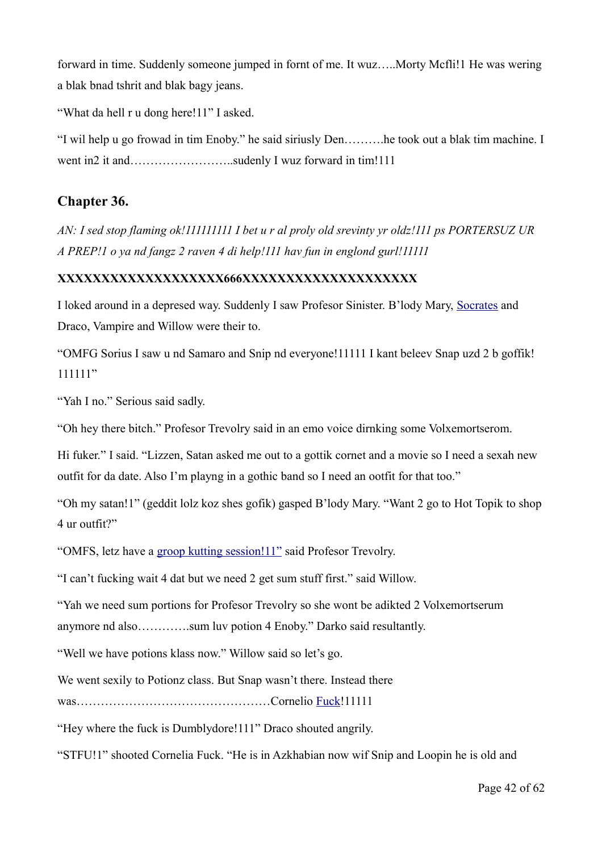forward in time. Suddenly someone jumped in fornt of me. It wuz…..Morty Mcfli!1 He was wering a blak bnad tshrit and blak bagy jeans.

"What da hell r u dong here!11" I asked.

"I wil help u go frowad in tim Enoby." he said siriusly Den……….he took out a blak tim machine. I went in2 it and………………………sudenly I wuz forward in tim!111

#### **Chapter 36.**

*AN: I sed stop flaming ok!111111111 I bet u r al proly old srevinty yr oldz!111 ps PORTERSUZ UR A PREP!1 o ya nd fangz 2 raven 4 di help!111 hav fun in englond gurl!11111*

#### **XXXXXXXXXXXXXXXXXXX666XXXXXXXXXXXXXXXXXXXX**

I loked around in a depresed way. Suddenly I saw Profesor Sinister. B'lody Mary, [Socrates](http://encyclopediadramatica.com/Socrates) and Draco, Vampire and Willow were their to.

"OMFG Sorius I saw u nd Samaro and Snip nd everyone!11111 I kant beleev Snap uzd 2 b goffik! 111111"

"Yah I no." Serious said sadly.

"Oh hey there bitch." Profesor Trevolry said in an emo voice dirnking some Volxemortserom.

Hi fuker." I said. "Lizzen, Satan asked me out to a gottik cornet and a movie so I need a sexah new outfit for da date. Also I'm playng in a gothic band so I need an ootfit for that too."

"Oh my satan!1" (geddit lolz koz shes gofik) gasped B'lody Mary. "Want 2 go to Hot Topik to shop 4 ur outfit?"

"OMFS, letz have a [groop kutting session!11"](http://encyclopediadramatica.com/Orgy) said Profesor Trevolry.

"I can't fucking wait 4 dat but we need 2 get sum stuff first." said Willow.

"Yah we need sum portions for Profesor Trevolry so she wont be adikted 2 Volxemortserum

anymore nd also………….sum luv potion 4 Enoby." Darko said resultantly.

"Well we have potions klass now." Willow said so let's go.

We went sexily to Potionz class. But Snap wasn't there. Instead there

was…………………………………………Cornelio [Fuck!](http://encyclopediadramatica.com/Fuck)11111

"Hey where the fuck is Dumblydore!111" Draco shouted angrily.

"STFU!1" shooted Cornelia Fuck. "He is in Azkhabian now wif Snip and Loopin he is old and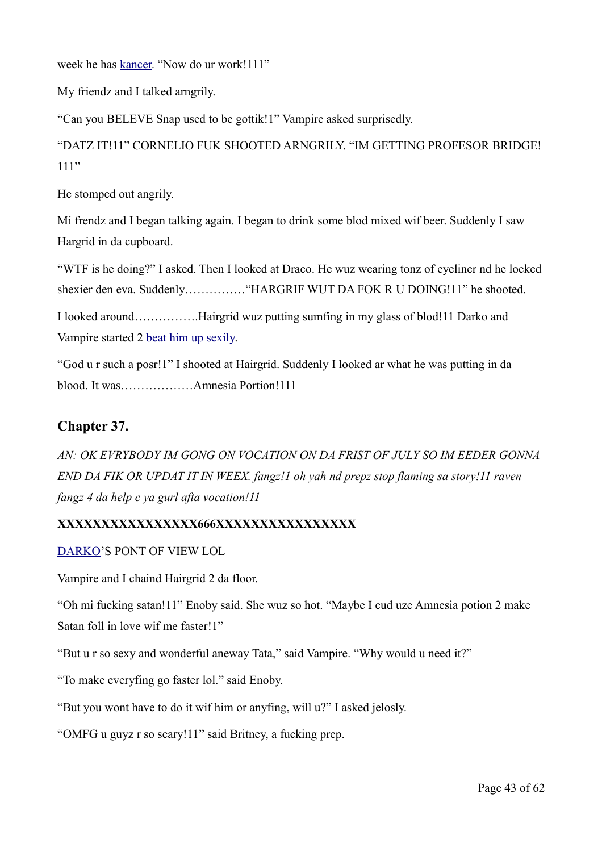week he has [kancer.](http://encyclopediadramatica.com/Cancer) "Now do ur work!111"

My friendz and I talked arngrily.

"Can you BELEVE Snap used to be gottik!1" Vampire asked surprisedly.

"DATZ IT!11" CORNELIO FUK SHOOTED ARNGRILY. "IM GETTING PROFESOR BRIDGE!  $111"$ 

He stomped out angrily.

Mi frendz and I began talking again. I began to drink some blod mixed wif beer. Suddenly I saw Hargrid in da cupboard.

"WTF is he doing?" I asked. Then I looked at Draco. He wuz wearing tonz of eyeliner nd he locked shexier den eva. Suddenly……………"HARGRIF WUT DA FOK R U DOING!11" he shooted.

I looked around…………….Hairgrid wuz putting sumfing in my glass of blod!11 Darko and Vampire started 2 [beat him up sexily.](http://encyclopediadramatica.com/Mantrain)

"God u r such a posr!1" I shooted at Hairgrid. Suddenly I looked ar what he was putting in da blood. It was………………Amnesia Portion!111

# **Chapter 37.**

*AN: OK EVRYBODY IM GONG ON VOCATION ON DA FRIST OF JULY SO IM EEDER GONNA END DA FIK OR UPDAT IT IN WEEX. fangz!1 oh yah nd prepz stop flaming sa story!11 raven fangz 4 da help c ya gurl afta vocation!11*

#### **XXXXXXXXXXXXXXXX666XXXXXXXXXXXXXXXX**

[DARKO'](http://encyclopediadramatica.com/Donnie_Darko)S PONT OF VIEW LOL

Vampire and I chaind Hairgrid 2 da floor.

"Oh mi fucking satan!11" Enoby said. She wuz so hot. "Maybe I cud uze Amnesia potion 2 make Satan foll in love wif me faster!1"

"But u r so sexy and wonderful aneway Tata," said Vampire. "Why would u need it?"

"To make everyfing go faster lol." said Enoby.

"But you wont have to do it wif him or anyfing, will u?" I asked jelosly.

"OMFG u guyz r so scary!11" said Britney, a fucking prep.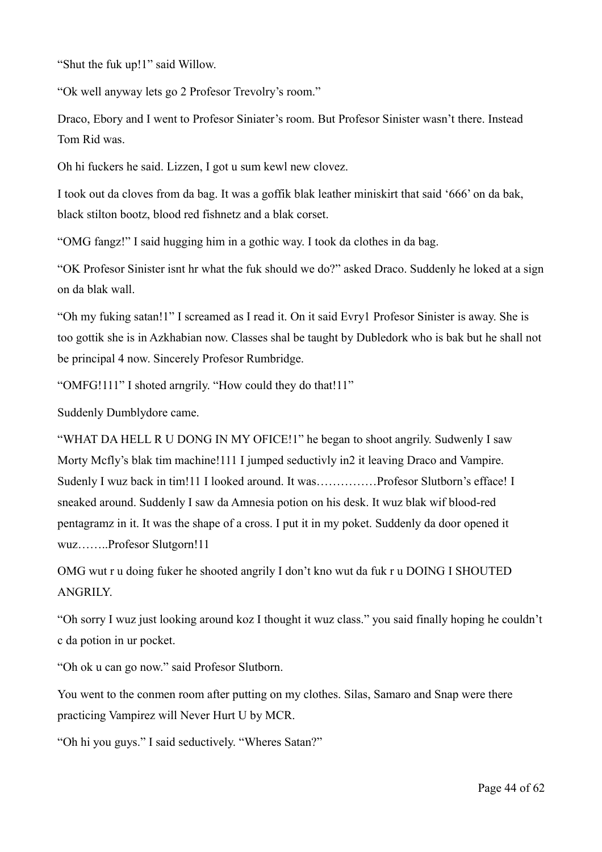"Shut the fuk up!1" said Willow.

"Ok well anyway lets go 2 Profesor Trevolry's room."

Draco, Ebory and I went to Profesor Siniater's room. But Profesor Sinister wasn't there. Instead Tom Rid was.

Oh hi fuckers he said. Lizzen, I got u sum kewl new clovez.

I took out da cloves from da bag. It was a goffik blak leather miniskirt that said '666' on da bak, black stilton bootz, blood red fishnetz and a blak corset.

"OMG fangz!" I said hugging him in a gothic way. I took da clothes in da bag.

"OK Profesor Sinister isnt hr what the fuk should we do?" asked Draco. Suddenly he loked at a sign on da blak wall.

"Oh my fuking satan!1" I screamed as I read it. On it said Evry1 Profesor Sinister is away. She is too gottik she is in Azkhabian now. Classes shal be taught by Dubledork who is bak but he shall not be principal 4 now. Sincerely Profesor Rumbridge.

"OMFG!111" I shoted arngrily. "How could they do that!11"

Suddenly Dumblydore came.

"WHAT DA HELL R U DONG IN MY OFICE!1" he began to shoot angrily. Sudwenly I saw Morty Mcfly's blak tim machine!111 I jumped seductivly in2 it leaving Draco and Vampire. Sudenly I wuz back in tim!11 I looked around. It was……………Profesor Slutborn's efface! I sneaked around. Suddenly I saw da Amnesia potion on his desk. It wuz blak wif blood-red pentagramz in it. It was the shape of a cross. I put it in my poket. Suddenly da door opened it wuz……..Profesor Slutgorn!11

OMG wut r u doing fuker he shooted angrily I don't kno wut da fuk r u DOING I SHOUTED ANGRILY.

"Oh sorry I wuz just looking around koz I thought it wuz class." you said finally hoping he couldn't c da potion in ur pocket.

"Oh ok u can go now." said Profesor Slutborn.

You went to the conmen room after putting on my clothes. Silas, Samaro and Snap were there practicing Vampirez will Never Hurt U by MCR.

"Oh hi you guys." I said seductively. "Wheres Satan?"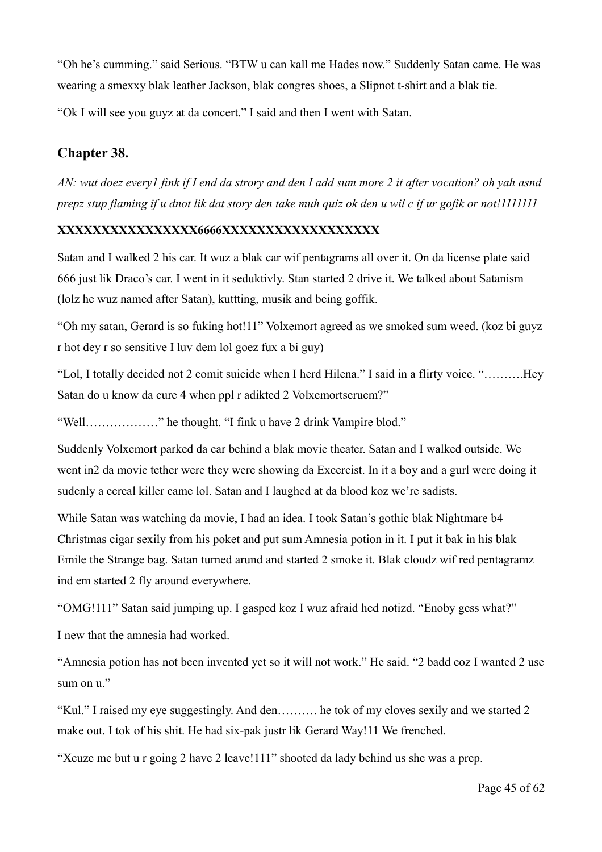"Oh he's cumming." said Serious. "BTW u can kall me Hades now." Suddenly Satan came. He was wearing a smexxy blak leather Jackson, blak congres shoes, a Slipnot t-shirt and a blak tie.

"Ok I will see you guyz at da concert." I said and then I went with Satan.

# **Chapter 38.**

*AN: wut doez every1 fink if I end da strory and den I add sum more 2 it after vocation? oh yah asnd prepz stup flaming if u dnot lik dat story den take muh quiz ok den u wil c if ur gofik or not!1111111*

#### **XXXXXXXXXXXXXXXX6666XXXXXXXXXXXXXXXXXX**

Satan and I walked 2 his car. It wuz a blak car wif pentagrams all over it. On da license plate said 666 just lik Draco's car. I went in it seduktivly. Stan started 2 drive it. We talked about Satanism (lolz he wuz named after Satan), kuttting, musik and being goffik.

"Oh my satan, Gerard is so fuking hot!11" Volxemort agreed as we smoked sum weed. (koz bi guyz r hot dey r so sensitive I luv dem lol goez fux a bi guy)

"Lol, I totally decided not 2 comit suicide when I herd Hilena." I said in a flirty voice. "……….Hey Satan do u know da cure 4 when ppl r adikted 2 Volxemortseruem?"

"Well………………" he thought. "I fink u have 2 drink Vampire blod."

Suddenly Volxemort parked da car behind a blak movie theater. Satan and I walked outside. We went in2 da movie tether were they were showing da Excercist. In it a boy and a gurl were doing it sudenly a cereal killer came lol. Satan and I laughed at da blood koz we're sadists.

While Satan was watching da movie, I had an idea. I took Satan's gothic blak Nightmare b4 Christmas cigar sexily from his poket and put sum Amnesia potion in it. I put it bak in his blak Emile the Strange bag. Satan turned arund and started 2 smoke it. Blak cloudz wif red pentagramz ind em started 2 fly around everywhere.

"OMG!111" Satan said jumping up. I gasped koz I wuz afraid hed notizd. "Enoby gess what?"

I new that the amnesia had worked.

"Amnesia potion has not been invented yet so it will not work." He said. "2 badd coz I wanted 2 use sum on u."

"Kul." I raised my eye suggestingly. And den………. he tok of my cloves sexily and we started 2 make out. I tok of his shit. He had six-pak justr lik Gerard Way!11 We frenched.

"Xcuze me but u r going 2 have 2 leave!111" shooted da lady behind us she was a prep.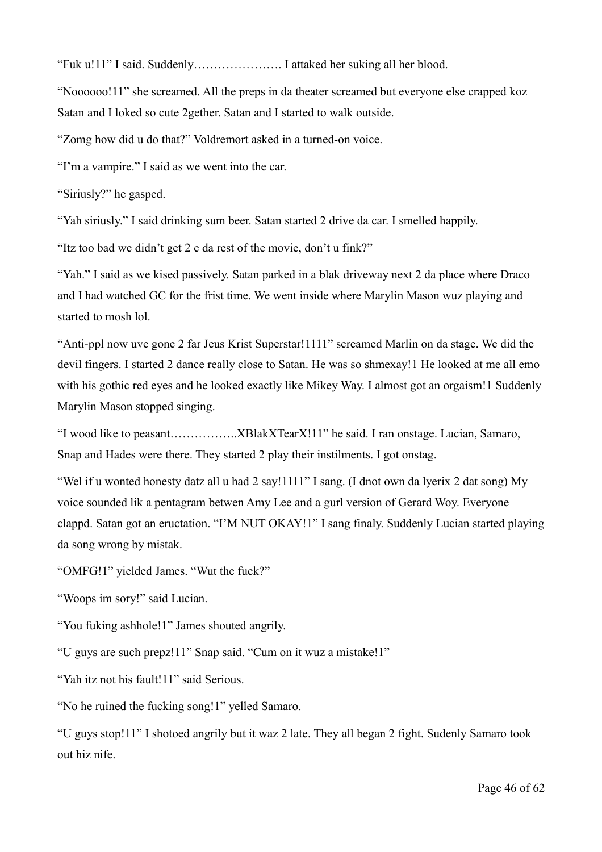"Fuk u!11" I said. Suddenly…………………. I attaked her suking all her blood.

"Noooooo!11" she screamed. All the preps in da theater screamed but everyone else crapped koz Satan and I loked so cute 2gether. Satan and I started to walk outside.

"Zomg how did u do that?" Voldremort asked in a turned-on voice.

"I'm a vampire." I said as we went into the car.

"Siriusly?" he gasped.

"Yah siriusly." I said drinking sum beer. Satan started 2 drive da car. I smelled happily.

"Itz too bad we didn't get 2 c da rest of the movie, don't u fink?"

"Yah." I said as we kised passively. Satan parked in a blak driveway next 2 da place where Draco and I had watched GC for the frist time. We went inside where Marylin Mason wuz playing and started to mosh lol.

"Anti-ppl now uve gone 2 far Jeus Krist Superstar!1111" screamed Marlin on da stage. We did the devil fingers. I started 2 dance really close to Satan. He was so shmexay!1 He looked at me all emo with his gothic red eyes and he looked exactly like Mikey Way. I almost got an orgaism! I Suddenly Marylin Mason stopped singing.

"I wood like to peasant……………..XBlakXTearX!11" he said. I ran onstage. Lucian, Samaro, Snap and Hades were there. They started 2 play their instilments. I got onstag.

"Wel if u wonted honesty datz all u had 2 say!1111" I sang. (I dnot own da lyerix 2 dat song) My voice sounded lik a pentagram betwen Amy Lee and a gurl version of Gerard Woy. Everyone clappd. Satan got an eructation. "I'M NUT OKAY!1" I sang finaly. Suddenly Lucian started playing da song wrong by mistak.

"OMFG!1" yielded James. "Wut the fuck?"

"Woops im sory!" said Lucian.

"You fuking ashhole!1" James shouted angrily.

"U guys are such prepz!11" Snap said. "Cum on it wuz a mistake!1"

"Yah itz not his fault!11" said Serious.

"No he ruined the fucking song!1" yelled Samaro.

"U guys stop!11" I shotoed angrily but it waz 2 late. They all began 2 fight. Sudenly Samaro took out hiz nife.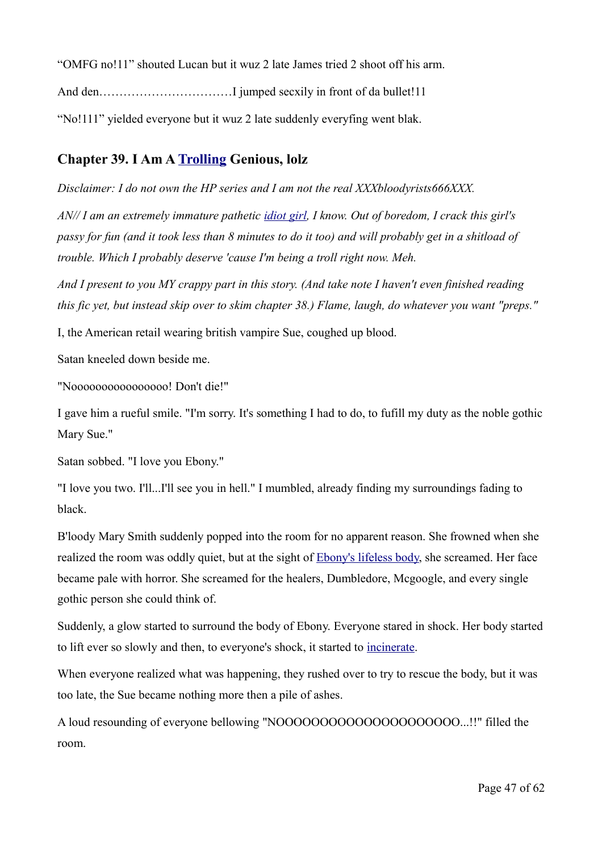"OMFG no!11" shouted Lucan but it wuz 2 late James tried 2 shoot off his arm.

And den……………………………I jumped secxily in front of da bullet!11

"No!111" yielded everyone but it wuz 2 late suddenly everyfing went blak.

# **Chapter 39. I Am A [Trolling](http://encyclopediadramatica.com/Trolling) Genious, lolz**

*Disclaimer: I do not own the HP series and I am not the real XXXbloodyrists666XXX.*

*AN// I am an extremely immature pathetic [idiot girl,](http://encyclopediadramatica.com/12_year_old_girls) I know. Out of boredom, I crack this girl's passy for fun (and it took less than 8 minutes to do it too) and will probably get in a shitload of trouble. Which I probably deserve 'cause I'm being a troll right now. Meh.*

*And I present to you MY crappy part in this story. (And take note I haven't even finished reading this fic yet, but instead skip over to skim chapter 38.) Flame, laugh, do whatever you want "preps."*

I, the American retail wearing british vampire Sue, coughed up blood.

Satan kneeled down beside me.

"Noooooooooooooooo! Don't die!"

I gave him a rueful smile. "I'm sorry. It's something I had to do, to fufill my duty as the noble gothic Mary Sue."

Satan sobbed. "I love you Ebony."

"I love you two. I'll...I'll see you in hell." I mumbled, already finding my surroundings fading to black.

B'loody Mary Smith suddenly popped into the room for no apparent reason. She frowned when she realized the room was oddly quiet, but at the sight of **Ebony's lifeless body**, she screamed. Her face became pale with horror. She screamed for the healers, Dumbledore, Mcgoogle, and every single gothic person she could think of.

Suddenly, a glow started to surround the body of Ebony. Everyone stared in shock. Her body started to lift ever so slowly and then, to everyone's shock, it started to [incinerate.](http://encyclopediadramatica.com/Kill_it_with_fire)

When everyone realized what was happening, they rushed over to try to rescue the body, but it was too late, the Sue became nothing more then a pile of ashes.

A loud resounding of everyone bellowing "NOOOOOOOOOOOOOOOOOOOOO...!!" filled the room.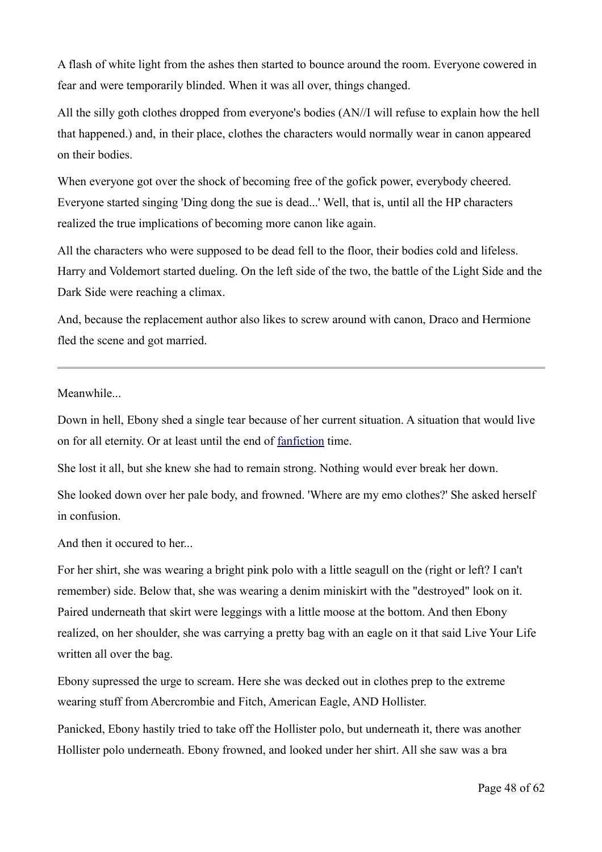A flash of white light from the ashes then started to bounce around the room. Everyone cowered in fear and were temporarily blinded. When it was all over, things changed.

All the silly goth clothes dropped from everyone's bodies (AN//I will refuse to explain how the hell that happened.) and, in their place, clothes the characters would normally wear in canon appeared on their bodies.

When everyone got over the shock of becoming free of the gofick power, everybody cheered. Everyone started singing 'Ding dong the sue is dead...' Well, that is, until all the HP characters realized the true implications of becoming more canon like again.

All the characters who were supposed to be dead fell to the floor, their bodies cold and lifeless. Harry and Voldemort started dueling. On the left side of the two, the battle of the Light Side and the Dark Side were reaching a climax.

And, because the replacement author also likes to screw around with canon, Draco and Hermione fled the scene and got married.

#### Meanwhile...

Down in hell, Ebony shed a single tear because of her current situation. A situation that would live on for all eternity. Or at least until the end of [fanfiction](http://encyclopediadramatica.com/Fanfiction) time.

She lost it all, but she knew she had to remain strong. Nothing would ever break her down.

She looked down over her pale body, and frowned. 'Where are my emo clothes?' She asked herself in confusion.

And then it occured to her...

For her shirt, she was wearing a bright pink polo with a little seagull on the (right or left? I can't remember) side. Below that, she was wearing a denim miniskirt with the "destroyed" look on it. Paired underneath that skirt were leggings with a little moose at the bottom. And then Ebony realized, on her shoulder, she was carrying a pretty bag with an eagle on it that said Live Your Life written all over the bag.

Ebony supressed the urge to scream. Here she was decked out in clothes prep to the extreme wearing stuff from Abercrombie and Fitch, American Eagle, AND Hollister.

Panicked, Ebony hastily tried to take off the Hollister polo, but underneath it, there was another Hollister polo underneath. Ebony frowned, and looked under her shirt. All she saw was a bra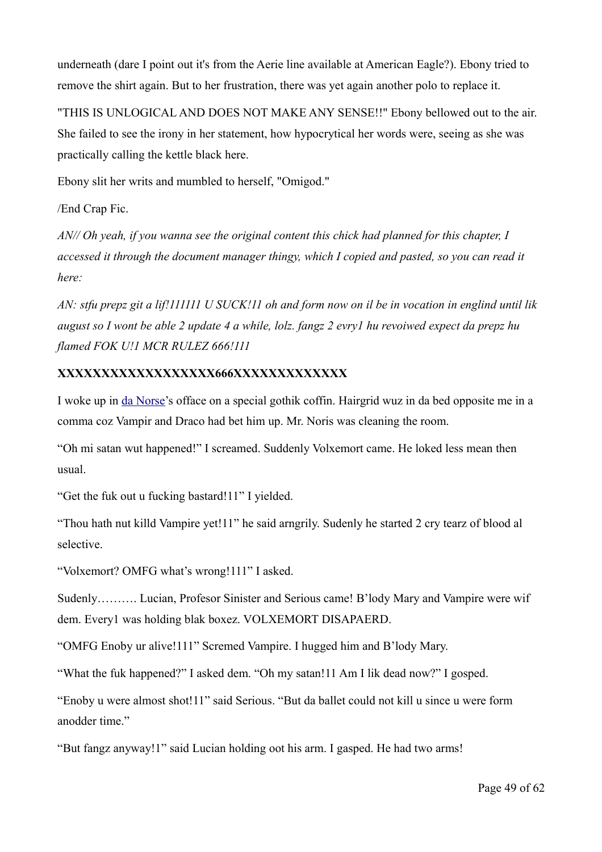underneath (dare I point out it's from the Aerie line available at American Eagle?). Ebony tried to remove the shirt again. But to her frustration, there was yet again another polo to replace it.

"THIS IS UNLOGICAL AND DOES NOT MAKE ANY SENSE!!" Ebony bellowed out to the air. She failed to see the irony in her statement, how hypocrytical her words were, seeing as she was practically calling the kettle black here.

Ebony slit her writs and mumbled to herself, "Omigod."

/End Crap Fic.

*AN// Oh yeah, if you wanna see the original content this chick had planned for this chapter, I accessed it through the document manager thingy, which I copied and pasted, so you can read it here:*

*AN: stfu prepz git a lif!111111 U SUCK!11 oh and form now on il be in vocation in englind until lik august so I wont be able 2 update 4 a while, lolz. fangz 2 evry1 hu revoiwed expect da prepz hu flamed FOK U!1 MCR RULEZ 666!111*

# **XXXXXXXXXXXXXXXXXX666XXXXXXXXXXXXX**

I woke up in [da Norse'](http://encyclopediadramatica.com/Viking)s offace on a special gothik coffin. Hairgrid wuz in da bed opposite me in a comma coz Vampir and Draco had bet him up. Mr. Noris was cleaning the room.

"Oh mi satan wut happened!" I screamed. Suddenly Volxemort came. He loked less mean then usual.

"Get the fuk out u fucking bastard!11" I yielded.

"Thou hath nut killd Vampire yet!11" he said arngrily. Sudenly he started 2 cry tearz of blood al selective.

"Volxemort? OMFG what's wrong!111" I asked.

Sudenly………. Lucian, Profesor Sinister and Serious came! B'lody Mary and Vampire were wif dem. Every1 was holding blak boxez. VOLXEMORT DISAPAERD.

"OMFG Enoby ur alive!111" Scremed Vampire. I hugged him and B'lody Mary.

"What the fuk happened?" I asked dem. "Oh my satan!11 Am I lik dead now?" I gosped.

"Enoby u were almost shot!11" said Serious. "But da ballet could not kill u since u were form anodder time."

"But fangz anyway!1" said Lucian holding oot his arm. I gasped. He had two arms!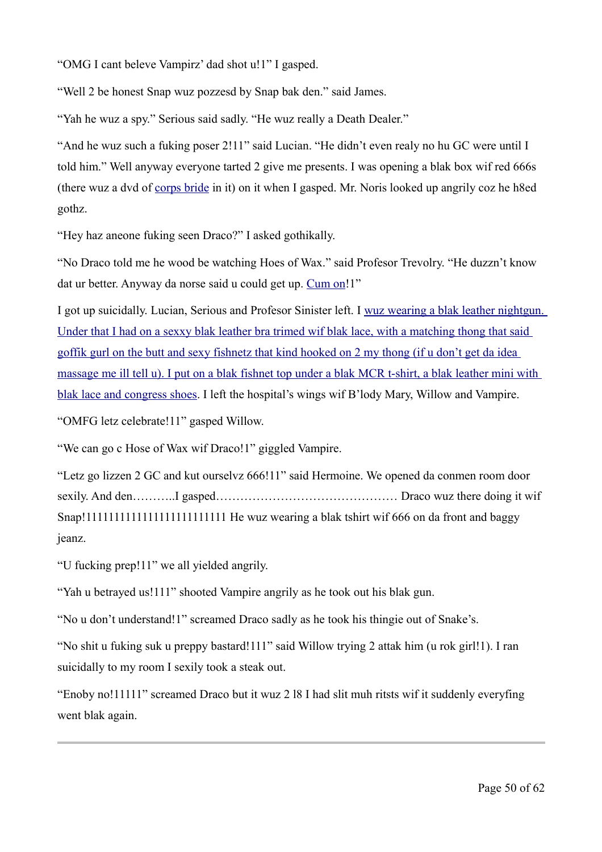"OMG I cant beleve Vampirz' dad shot u!1" I gasped.

"Well 2 be honest Snap wuz pozzesd by Snap bak den." said James.

"Yah he wuz a spy." Serious said sadly. "He wuz really a Death Dealer."

"And he wuz such a fuking poser 2!11" said Lucian. "He didn't even realy no hu GC were until I told him." Well anyway everyone tarted 2 give me presents. I was opening a blak box wif red 666s (there wuz a dvd of [corps bride](http://encyclopediadramatica.com/Military_Wives) in it) on it when I gasped. Mr. Noris looked up angrily coz he h8ed gothz.

"Hey haz aneone fuking seen Draco?" I asked gothikally.

"No Draco told me he wood be watching Hoes of Wax." said Profesor Trevolry. "He duzzn't know dat ur better. Anyway da norse said u could get up. [Cum on!](http://encyclopediadramatica.com/Facial)1"

I got up suicidally. Lucian, Serious and Profesor Sinister left. I [wuz wearing a blak leather nightgun.](http://encyclopediadramatica.com/Shit_nobody_cares_about) Under that I had on a sexxy blak leather bra trimed wif blak lace, with a matching thong that said goffik gurl on the butt and sexy fishnetz that kind hooked on 2 my thong (if u don't get da idea [massage me ill tell u\). I put on a blak fishnet top under a blak MCR t-shirt, a blak leather mini with](http://encyclopediadramatica.com/Shit_nobody_cares_about) [blak lace and congress shoes.](http://encyclopediadramatica.com/Shit_nobody_cares_about) I left the hospital's wings wif B'lody Mary, Willow and Vampire.

"OMFG letz celebrate!11" gasped Willow.

"We can go c Hose of Wax wif Draco!1" giggled Vampire.

"Letz go lizzen 2 GC and kut ourselvz 666!11" said Hermoine. We opened da conmen room door sexily. And den………..I gasped……………………………………… Draco wuz there doing it wif Snap!1111111111111111111111111 He wuz wearing a blak tshirt wif 666 on da front and baggy jeanz.

"U fucking prep!11" we all yielded angrily.

"Yah u betrayed us!111" shooted Vampire angrily as he took out his blak gun.

"No u don't understand!1" screamed Draco sadly as he took his thingie out of Snake's.

"No shit u fuking suk u preppy bastard!111" said Willow trying 2 attak him (u rok girl!1). I ran suicidally to my room I sexily took a steak out.

"Enoby no!11111" screamed Draco but it wuz 2 l8 I had slit muh ritsts wif it suddenly everyfing went blak again.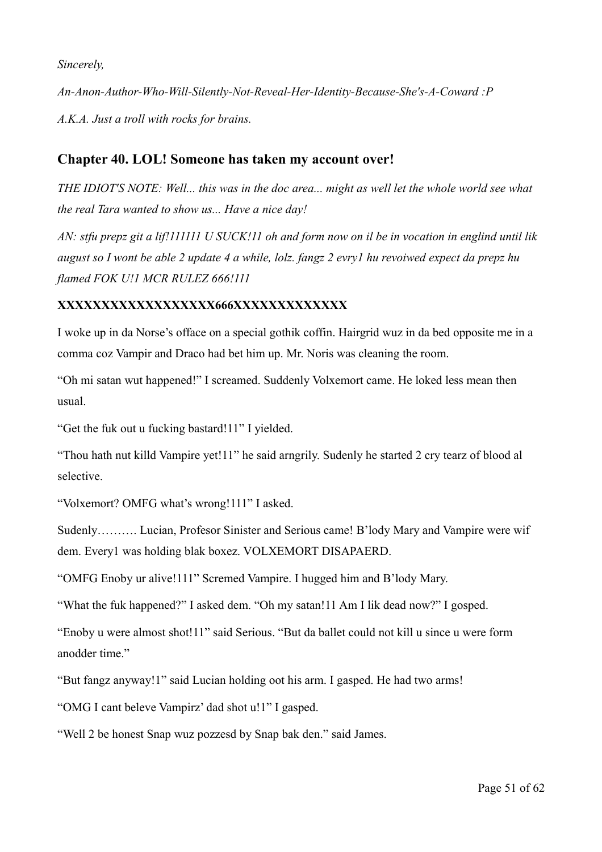*Sincerely,*

*An-Anon-Author-Who-Will-Silently-Not-Reveal-Her-Identity-Because-She's-A-Coward :P A.K.A. Just a troll with rocks for brains.*

# **Chapter 40. LOL! Someone has taken my account over!**

*THE IDIOT'S NOTE: Well... this was in the doc area... might as well let the whole world see what the real Tara wanted to show us... Have a nice day!*

*AN: stfu prepz git a lif!111111 U SUCK!11 oh and form now on il be in vocation in englind until lik august so I wont be able 2 update 4 a while, lolz. fangz 2 evry1 hu revoiwed expect da prepz hu flamed FOK U!1 MCR RULEZ 666!111*

#### **XXXXXXXXXXXXXXXXXX666XXXXXXXXXXXXX**

I woke up in da Norse's offace on a special gothik coffin. Hairgrid wuz in da bed opposite me in a comma coz Vampir and Draco had bet him up. Mr. Noris was cleaning the room.

"Oh mi satan wut happened!" I screamed. Suddenly Volxemort came. He loked less mean then usual.

"Get the fuk out u fucking bastard!11" I yielded.

"Thou hath nut killd Vampire yet!11" he said arngrily. Sudenly he started 2 cry tearz of blood al selective.

"Volxemort? OMFG what's wrong!111" I asked.

Sudenly………. Lucian, Profesor Sinister and Serious came! B'lody Mary and Vampire were wif dem. Every1 was holding blak boxez. VOLXEMORT DISAPAERD.

"OMFG Enoby ur alive!111" Scremed Vampire. I hugged him and B'lody Mary.

"What the fuk happened?" I asked dem. "Oh my satan!11 Am I lik dead now?" I gosped.

"Enoby u were almost shot!11" said Serious. "But da ballet could not kill u since u were form anodder time."

"But fangz anyway!1" said Lucian holding oot his arm. I gasped. He had two arms!

"OMG I cant beleve Vampirz' dad shot u!1" I gasped.

"Well 2 be honest Snap wuz pozzesd by Snap bak den." said James.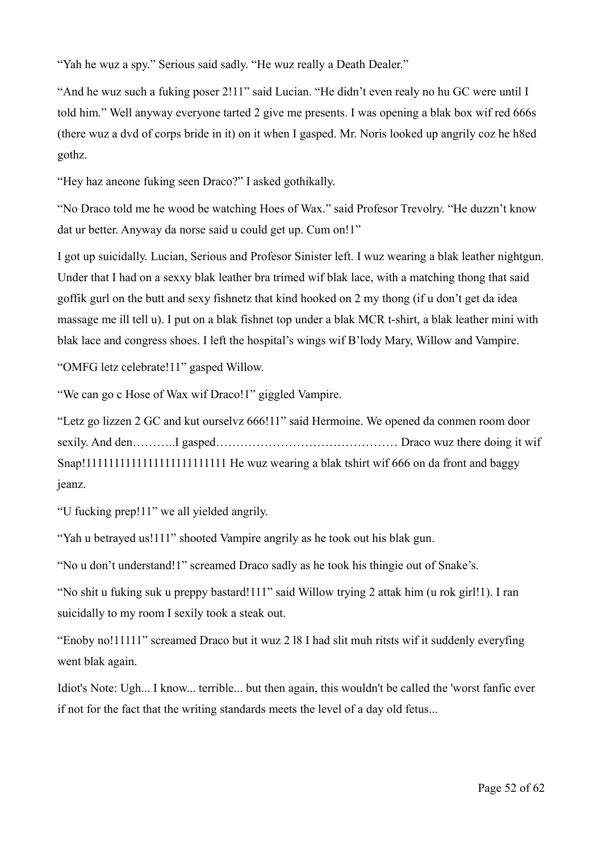"Yah he wuz a spy." Serious said sadly. "He wuz really a Death Dealer."

"And he wuz such a fuking poser 2!11" said Lucian. "He didn't even realy no hu GC were until I told him." Well anyway everyone tarted 2 give me presents. I was opening a blak box wif red 666s (there wuz a dvd of corps bride in it) on it when I gasped. Mr. Noris looked up angrily coz he h8ed gothz.

"Hey haz aneone fuking seen Draco?" I asked gothikally.

"No Draco told me he wood be watching Hoes of Wax." said Profesor Trevolry. "He duzzn't know dat ur better. Anyway da norse said u could get up. Cum on!1"

I got up suicidally. Lucian, Serious and Profesor Sinister left. I wuz wearing a blak leather nightgun. Under that I had on a sexxy blak leather bra trimed wif blak lace, with a matching thong that said goffik gurl on the butt and sexy fishnetz that kind hooked on 2 my thong (if u don't get da idea massage me ill tell u). I put on a blak fishnet top under a blak MCR t-shirt, a blak leather mini with blak lace and congress shoes. I left the hospital's wings wif B'lody Mary, Willow and Vampire.

"OMFG letz celebrate!11" gasped Willow.

"We can go c Hose of Wax wif Draco!1" giggled Vampire.

"Letz go lizzen 2 GC and kut ourselvz 666!11" said Hermoine. We opened da conmen room door sexily. And den………..I gasped……………………………………… Draco wuz there doing it wif Snap!1111111111111111111111111 He wuz wearing a blak tshirt wif 666 on da front and baggy jeanz.

"U fucking prep!11" we all yielded angrily.

"Yah u betrayed us!111" shooted Vampire angrily as he took out his blak gun.

"No u don't understand!1" screamed Draco sadly as he took his thingie out of Snake's.

"No shit u fuking suk u preppy bastard!111" said Willow trying 2 attak him (u rok girl!1). I ran suicidally to my room I sexily took a steak out.

"Enoby no!11111" screamed Draco but it wuz 2 l8 I had slit muh ritsts wif it suddenly everyfing went blak again.

Idiot's Note: Ugh... I know... terrible... but then again, this wouldn't be called the 'worst fanfic ever if not for the fact that the writing standards meets the level of a day old fetus...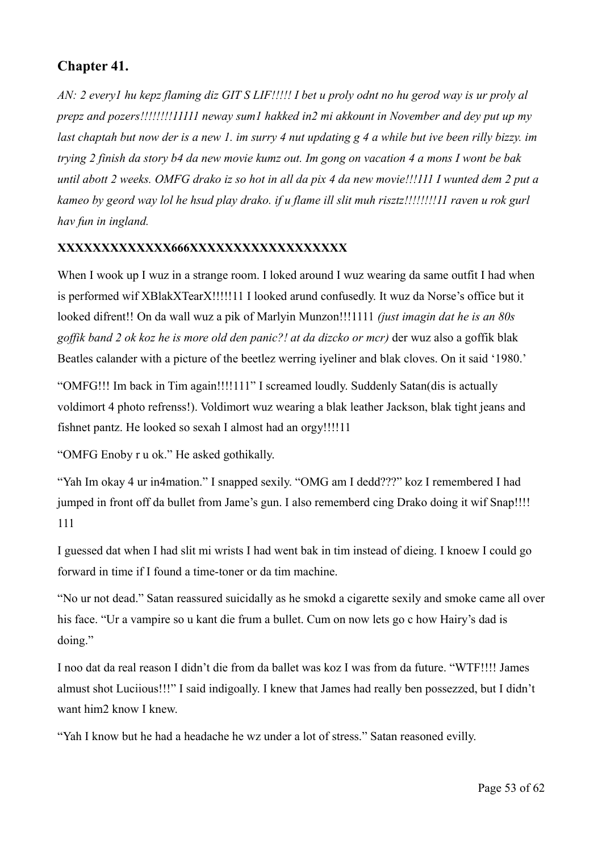# **Chapter 41.**

*AN: 2 every1 hu kepz flaming diz GIT S LIF!!!!! I bet u proly odnt no hu gerod way is ur proly al prepz and pozers!!!!!!!!11111 neway sum1 hakked in2 mi akkount in November and dey put up my last chaptah but now der is a new 1. im surry 4 nut updating g 4 a while but ive been rilly bizzy. im trying 2 finish da story b4 da new movie kumz out. Im gong on vacation 4 a mons I wont be bak until abott 2 weeks. OMFG drako iz so hot in all da pix 4 da new movie!!!111 I wunted dem 2 put a kameo by geord way lol he hsud play drako. if u flame ill slit muh risztz!!!!!!!!11 raven u rok gurl hav fun in ingland.*

# **XXXXXXXXXXXXX666XXXXXXXXXXXXXXXXXX**

When I wook up I wuz in a strange room. I loked around I wuz wearing da same outfit I had when is performed wif XBlakXTearX!!!!!11 I looked arund confusedly. It wuz da Norse's office but it looked difrent!! On da wall wuz a pik of Marlyin Munzon!!!1111 *(just imagin dat he is an 80s goffik band 2 ok koz he is more old den panic?! at da dizcko or mcr)* der wuz also a goffik blak Beatles calander with a picture of the beetlez werring iyeliner and blak cloves. On it said '1980.'

"OMFG!!! Im back in Tim again!!!!111" I screamed loudly. Suddenly Satan(dis is actually voldimort 4 photo refrenss!). Voldimort wuz wearing a blak leather Jackson, blak tight jeans and fishnet pantz. He looked so sexah I almost had an orgy!!!!11

"OMFG Enoby r u ok." He asked gothikally.

"Yah Im okay 4 ur in4mation." I snapped sexily. "OMG am I dedd???" koz I remembered I had jumped in front off da bullet from Jame's gun. I also rememberd cing Drako doing it wif Snap!!!! 111

I guessed dat when I had slit mi wrists I had went bak in tim instead of dieing. I knoew I could go forward in time if I found a time-toner or da tim machine.

"No ur not dead." Satan reassured suicidally as he smokd a cigarette sexily and smoke came all over his face. "Ur a vampire so u kant die frum a bullet. Cum on now lets go c how Hairy's dad is doing."

I noo dat da real reason I didn't die from da ballet was koz I was from da future. "WTF!!!! James almust shot Luciious!!!" I said indigoally. I knew that James had really ben possezzed, but I didn't want him2 know I knew.

"Yah I know but he had a headache he wz under a lot of stress." Satan reasoned evilly.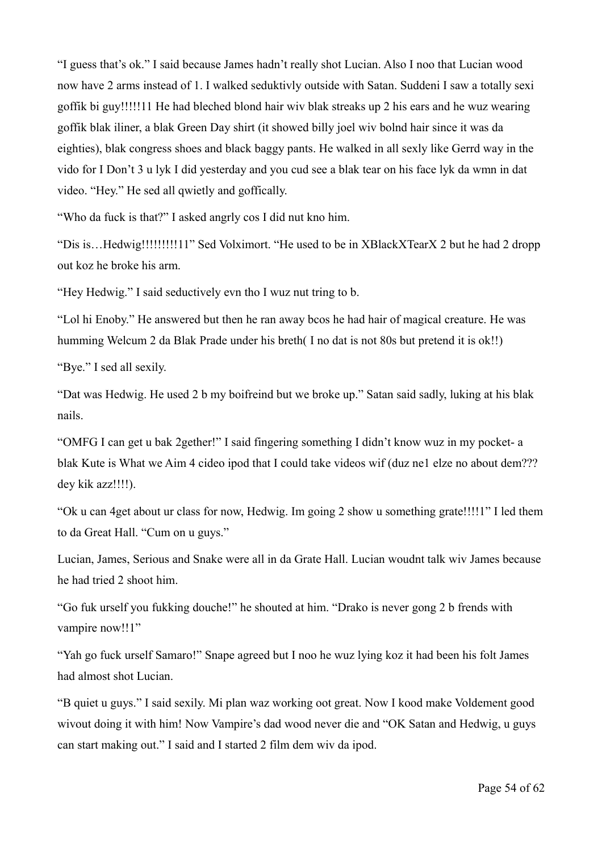"I guess that's ok." I said because James hadn't really shot Lucian. Also I noo that Lucian wood now have 2 arms instead of 1. I walked seduktivly outside with Satan. Suddeni I saw a totally sexi goffik bi guy!!!!!11 He had bleched blond hair wiv blak streaks up 2 his ears and he wuz wearing goffik blak iliner, a blak Green Day shirt (it showed billy joel wiv bolnd hair since it was da eighties), blak congress shoes and black baggy pants. He walked in all sexly like Gerrd way in the vido for I Don't 3 u lyk I did yesterday and you cud see a blak tear on his face lyk da wmn in dat video. "Hey." He sed all qwietly and goffically.

"Who da fuck is that?" I asked angrly cos I did nut kno him.

"Dis is…Hedwig!!!!!!!!!11" Sed Volximort. "He used to be in XBlackXTearX 2 but he had 2 dropp out koz he broke his arm.

"Hey Hedwig." I said seductively evn tho I wuz nut tring to b.

"Lol hi Enoby." He answered but then he ran away bcos he had hair of magical creature. He was humming Welcum 2 da Blak Prade under his breth( I no dat is not 80s but pretend it is ok!!)

"Bye." I sed all sexily.

"Dat was Hedwig. He used 2 b my boifreind but we broke up." Satan said sadly, luking at his blak nails.

"OMFG I can get u bak 2gether!" I said fingering something I didn't know wuz in my pocket- a blak Kute is What we Aim 4 cideo ipod that I could take videos wif (duz ne1 elze no about dem??? dey kik azz!!!!).

"Ok u can 4get about ur class for now, Hedwig. Im going 2 show u something grate!!!!1" I led them to da Great Hall. "Cum on u guys."

Lucian, James, Serious and Snake were all in da Grate Hall. Lucian woudnt talk wiv James because he had tried 2 shoot him.

"Go fuk urself you fukking douche!" he shouted at him. "Drako is never gong 2 b frends with vampire now!!1"

"Yah go fuck urself Samaro!" Snape agreed but I noo he wuz lying koz it had been his folt James had almost shot Lucian.

"B quiet u guys." I said sexily. Mi plan waz working oot great. Now I kood make Voldement good wivout doing it with him! Now Vampire's dad wood never die and "OK Satan and Hedwig, u guys can start making out." I said and I started 2 film dem wiv da ipod.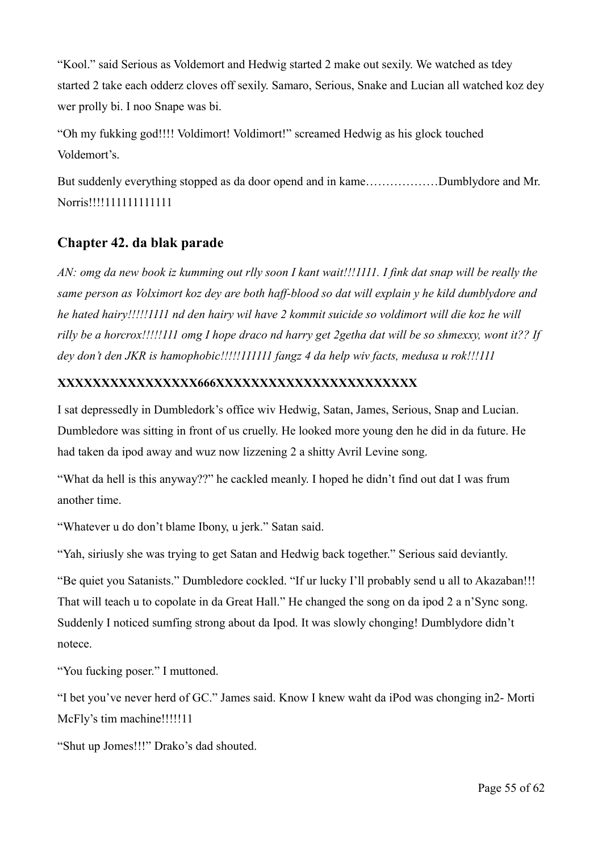"Kool." said Serious as Voldemort and Hedwig started 2 make out sexily. We watched as tdey started 2 take each odderz cloves off sexily. Samaro, Serious, Snake and Lucian all watched koz dey wer prolly bi. I noo Snape was bi.

"Oh my fukking god!!!! Voldimort! Voldimort!" screamed Hedwig as his glock touched Voldemort's.

But suddenly everything stopped as da door opend and in kame………………Dumblydore and Mr. Norris!!!!111111111111

# **Chapter 42. da blak parade**

*AN: omg da new book iz kumming out rlly soon I kant wait!!!1111. I fink dat snap will be really the same person as Volximort koz dey are both haff-blood so dat will explain y he kild dumblydore and he hated hairy!!!!!1111 nd den hairy wil have 2 kommit suicide so voldimort will die koz he will rilly be a horcrox!!!!!111 omg I hope draco nd harry get 2getha dat will be so shmexxy, wont it?? If dey don't den JKR is hamophobic!!!!!111111 fangz 4 da help wiv facts, medusa u rok!!!111*

### **XXXXXXXXXXXXXXXX666XXXXXXXXXXXXXXXXXXXXXXX**

I sat depressedly in Dumbledork's office wiv Hedwig, Satan, James, Serious, Snap and Lucian. Dumbledore was sitting in front of us cruelly. He looked more young den he did in da future. He had taken da ipod away and wuz now lizzening 2 a shitty Avril Levine song.

"What da hell is this anyway??" he cackled meanly. I hoped he didn't find out dat I was frum another time.

"Whatever u do don't blame Ibony, u jerk." Satan said.

"Yah, siriusly she was trying to get Satan and Hedwig back together." Serious said deviantly.

"Be quiet you Satanists." Dumbledore cockled. "If ur lucky I'll probably send u all to Akazaban!!! That will teach u to copolate in da Great Hall." He changed the song on da ipod 2 a n'Sync song. Suddenly I noticed sumfing strong about da Ipod. It was slowly chonging! Dumblydore didn't notece.

"You fucking poser." I muttoned.

"I bet you've never herd of GC." James said. Know I knew waht da iPod was chonging in2- Morti McFly's tim machine!!!!!!11

"Shut up Jomes!!!" Drako's dad shouted.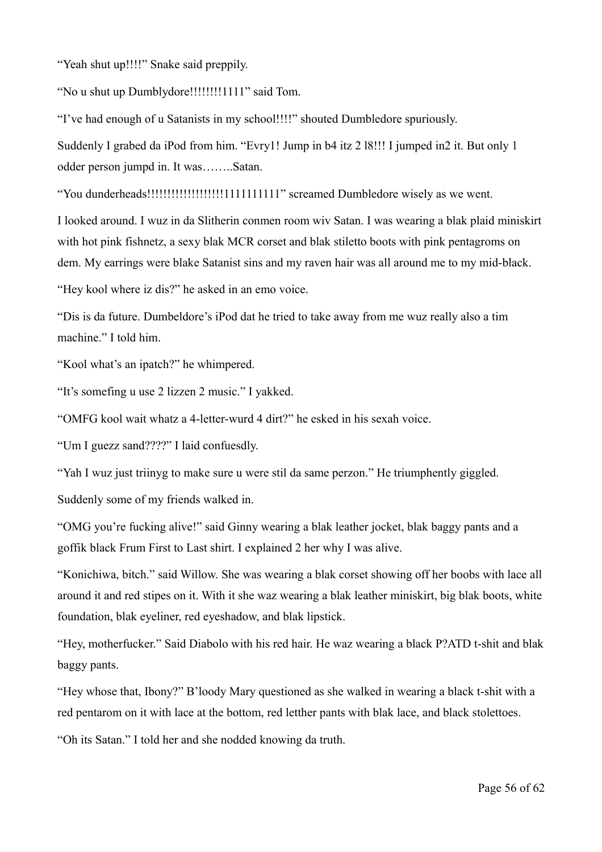"Yeah shut up!!!!" Snake said preppily.

"No u shut up Dumblydore!!!!!!!!1111" said Tom.

"I've had enough of u Satanists in my school!!!!" shouted Dumbledore spuriously.

Suddenly I grabed da iPod from him. "Evry1! Jump in b4 itz 2 l8!!! I jumped in2 it. But only 1 odder person jumpd in. It was……..Satan.

"You dunderheads!!!!!!!!!!!!!!!!!!!1111111111" screamed Dumbledore wisely as we went.

I looked around. I wuz in da Slitherin conmen room wiv Satan. I was wearing a blak plaid miniskirt with hot pink fishnetz, a sexy blak MCR corset and blak stiletto boots with pink pentagroms on dem. My earrings were blake Satanist sins and my raven hair was all around me to my mid-black.

"Hey kool where iz dis?" he asked in an emo voice.

"Dis is da future. Dumbeldore's iPod dat he tried to take away from me wuz really also a tim machine." I told him.

"Kool what's an ipatch?" he whimpered.

"It's somefing u use 2 lizzen 2 music." I yakked.

"OMFG kool wait whatz a 4-letter-wurd 4 dirt?" he esked in his sexah voice.

"Um I guezz sand????" I laid confuesdly.

"Yah I wuz just triinyg to make sure u were stil da same perzon." He triumphently giggled.

Suddenly some of my friends walked in.

"OMG you're fucking alive!" said Ginny wearing a blak leather jocket, blak baggy pants and a goffik black Frum First to Last shirt. I explained 2 her why I was alive.

"Konichiwa, bitch." said Willow. She was wearing a blak corset showing off her boobs with lace all around it and red stipes on it. With it she waz wearing a blak leather miniskirt, big blak boots, white foundation, blak eyeliner, red eyeshadow, and blak lipstick.

"Hey, motherfucker." Said Diabolo with his red hair. He waz wearing a black P?ATD t-shit and blak baggy pants.

"Hey whose that, Ibony?" B'loody Mary questioned as she walked in wearing a black t-shit with a red pentarom on it with lace at the bottom, red letther pants with blak lace, and black stolettoes.

"Oh its Satan." I told her and she nodded knowing da truth.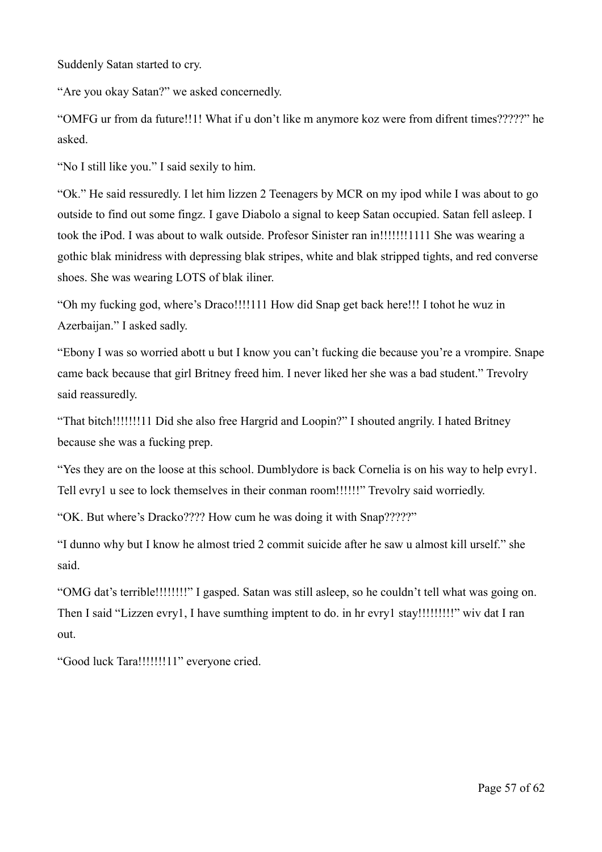Suddenly Satan started to cry.

"Are you okay Satan?" we asked concernedly.

"OMFG ur from da future!!1! What if u don't like m anymore koz were from difrent times?????" he asked.

"No I still like you." I said sexily to him.

"Ok." He said ressuredly. I let him lizzen 2 Teenagers by MCR on my ipod while I was about to go outside to find out some fingz. I gave Diabolo a signal to keep Satan occupied. Satan fell asleep. I took the iPod. I was about to walk outside. Profesor Sinister ran in!!!!!!!1111 She was wearing a gothic blak minidress with depressing blak stripes, white and blak stripped tights, and red converse shoes. She was wearing LOTS of blak iliner.

"Oh my fucking god, where's Draco!!!!111 How did Snap get back here!!! I tohot he wuz in Azerbaijan." I asked sadly.

"Ebony I was so worried abott u but I know you can't fucking die because you're a vrompire. Snape came back because that girl Britney freed him. I never liked her she was a bad student." Trevolry said reassuredly.

"That bitch!!!!!!!11 Did she also free Hargrid and Loopin?" I shouted angrily. I hated Britney because she was a fucking prep.

"Yes they are on the loose at this school. Dumblydore is back Cornelia is on his way to help evry1. Tell evry1 u see to lock themselves in their conman room!!!!!!" Trevolry said worriedly.

"OK. But where's Dracko???? How cum he was doing it with Snap?????"

"I dunno why but I know he almost tried 2 commit suicide after he saw u almost kill urself." she said.

"OMG dat's terrible!!!!!!!!" I gasped. Satan was still asleep, so he couldn't tell what was going on. Then I said "Lizzen evry1, I have sumthing imptent to do. in hr evry1 stay!!!!!!!!!!" wiv dat I ran out.

"Good luck Tara!!!!!!!11" everyone cried.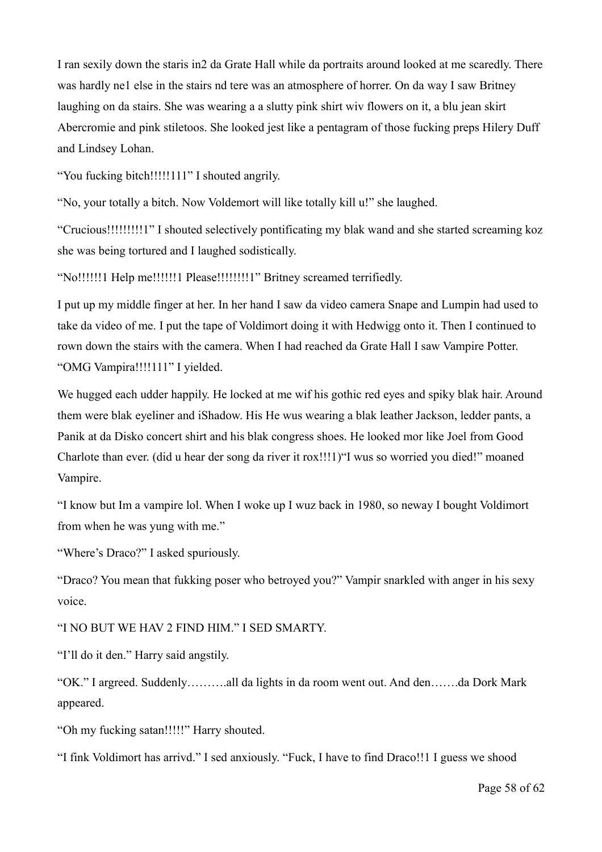I ran sexily down the staris in2 da Grate Hall while da portraits around looked at me scaredly. There was hardly ne1 else in the stairs nd tere was an atmosphere of horrer. On da way I saw Britney laughing on da stairs. She was wearing a a slutty pink shirt wiv flowers on it, a blu jean skirt Abercromie and pink stiletoos. She looked jest like a pentagram of those fucking preps Hilery Duff and Lindsey Lohan.

"You fucking bitch!!!!!111" I shouted angrily.

"No, your totally a bitch. Now Voldemort will like totally kill u!" she laughed.

"Crucious!!!!!!!!!1" I shouted selectively pontificating my blak wand and she started screaming koz she was being tortured and I laughed sodistically.

"No!!!!!!1 Help me!!!!!!1 Please!!!!!!!!1" Britney screamed terrifiedly.

I put up my middle finger at her. In her hand I saw da video camera Snape and Lumpin had used to take da video of me. I put the tape of Voldimort doing it with Hedwigg onto it. Then I continued to rown down the stairs with the camera. When I had reached da Grate Hall I saw Vampire Potter. "OMG Vampira!!!!111" I yielded.

We hugged each udder happily. He locked at me wif his gothic red eyes and spiky blak hair. Around them were blak eyeliner and iShadow. His He wus wearing a blak leather Jackson, ledder pants, a Panik at da Disko concert shirt and his blak congress shoes. He looked mor like Joel from Good Charlote than ever. (did u hear der song da river it rox!!!1)"I wus so worried you died!" moaned Vampire.

"I know but Im a vampire lol. When I woke up I wuz back in 1980, so neway I bought Voldimort from when he was yung with me."

"Where's Draco?" I asked spuriously.

"Draco? You mean that fukking poser who betroyed you?" Vampir snarkled with anger in his sexy voice.

"I NO BUT WE HAV 2 FIND HIM." I SED SMARTY.

"I'll do it den." Harry said angstily.

"OK." I argreed. Suddenly……….all da lights in da room went out. And den…….da Dork Mark appeared.

"Oh my fucking satan!!!!!" Harry shouted.

"I fink Voldimort has arrivd." I sed anxiously. "Fuck, I have to find Draco!!1 I guess we shood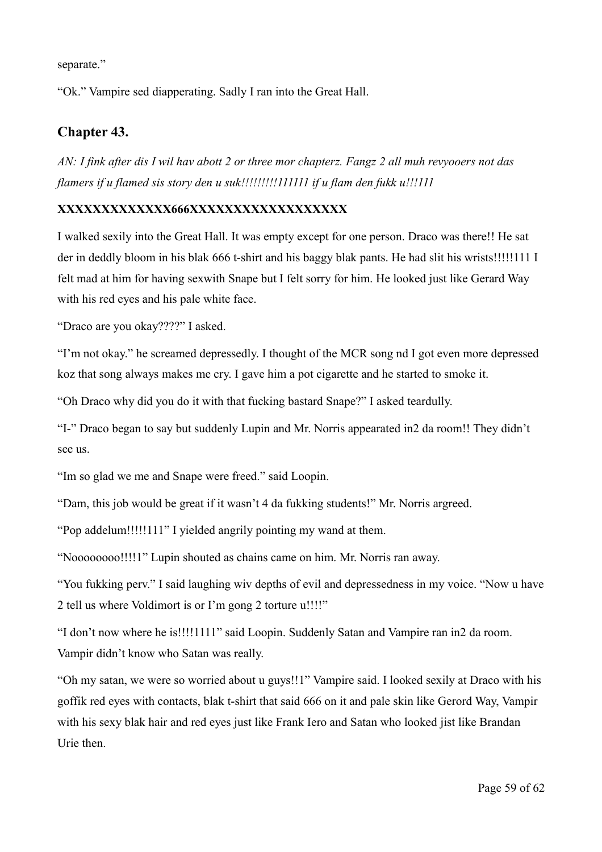separate."

"Ok." Vampire sed diapperating. Sadly I ran into the Great Hall.

# **Chapter 43.**

*AN: I fink after dis I wil hav abott 2 or three mor chapterz. Fangz 2 all muh revyooers not das flamers if u flamed sis story den u suk!!!!!!!!!111111 if u flam den fukk u!!!111*

#### **XXXXXXXXXXXXX666XXXXXXXXXXXXXXXXXX**

I walked sexily into the Great Hall. It was empty except for one person. Draco was there!! He sat der in deddly bloom in his blak 666 t-shirt and his baggy blak pants. He had slit his wrists!!!!!111 I felt mad at him for having sexwith Snape but I felt sorry for him. He looked just like Gerard Way with his red eyes and his pale white face.

"Draco are you okay????" I asked.

"I'm not okay." he screamed depressedly. I thought of the MCR song nd I got even more depressed koz that song always makes me cry. I gave him a pot cigarette and he started to smoke it.

"Oh Draco why did you do it with that fucking bastard Snape?" I asked teardully.

"I-" Draco began to say but suddenly Lupin and Mr. Norris appearated in2 da room!! They didn't see us.

"Im so glad we me and Snape were freed." said Loopin.

"Dam, this job would be great if it wasn't 4 da fukking students!" Mr. Norris argreed.

"Pop addelum!!!!!111" I yielded angrily pointing my wand at them.

"Noooooooo!!!!1" Lupin shouted as chains came on him. Mr. Norris ran away.

"You fukking perv." I said laughing wiv depths of evil and depressedness in my voice. "Now u have 2 tell us where Voldimort is or I'm gong 2 torture u!!!!"

"I don't now where he is!!!!1111" said Loopin. Suddenly Satan and Vampire ran in2 da room. Vampir didn't know who Satan was really.

"Oh my satan, we were so worried about u guys!!1" Vampire said. I looked sexily at Draco with his goffik red eyes with contacts, blak t-shirt that said 666 on it and pale skin like Gerord Way, Vampir with his sexy blak hair and red eyes just like Frank Iero and Satan who looked jist like Brandan Urie then.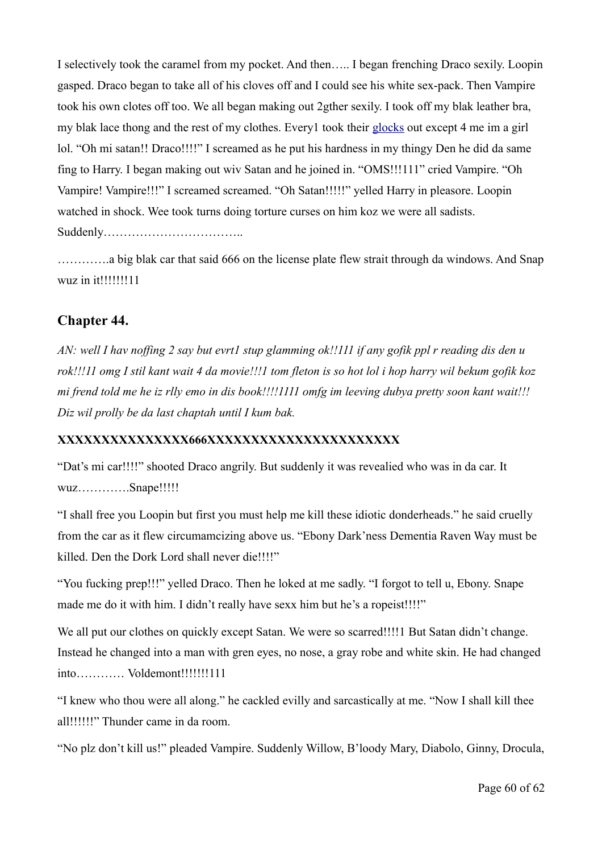I selectively took the caramel from my pocket. And then….. I began frenching Draco sexily. Loopin gasped. Draco began to take all of his cloves off and I could see his white sex-pack. Then Vampire took his own clotes off too. We all began making out 2gther sexily. I took off my blak leather bra, my blak lace thong and the rest of my clothes. Every1 took their [glocks](http://encyclopediadramatica.com/Gun) out except 4 me im a girl lol. "Oh mi satan!! Draco!!!!" I screamed as he put his hardness in my thingy Den he did da same fing to Harry. I began making out wiv Satan and he joined in. "OMS!!!111" cried Vampire. "Oh Vampire! Vampire!!!" I screamed screamed. "Oh Satan!!!!!" yelled Harry in pleasore. Loopin watched in shock. Wee took turns doing torture curses on him koz we were all sadists. Suddenly……………………………..

………….a big blak car that said 666 on the license plate flew strait through da windows. And Snap wuz in it!!!!!!!!11

### **Chapter 44.**

*AN: well I hav noffing 2 say but evrt1 stup glamming ok!!111 if any gofik ppl r reading dis den u rok!!!11 omg I stil kant wait 4 da movie!!!1 tom fleton is so hot lol i hop harry wil bekum gofik koz mi frend told me he iz rlly emo in dis book!!!!1111 omfg im leeving dubya pretty soon kant wait!!! Diz wil prolly be da last chaptah until I kum bak.*

#### **XXXXXXXXXXXXXXX666XXXXXXXXXXXXXXXXXXXXXX**

"Dat's mi car!!!!" shooted Draco angrily. But suddenly it was revealied who was in da car. It wuz………….Snape!!!!!

"I shall free you Loopin but first you must help me kill these idiotic donderheads." he said cruelly from the car as it flew circumamcizing above us. "Ebony Dark'ness Dementia Raven Way must be killed. Den the Dork Lord shall never die!!!!"

"You fucking prep!!!" yelled Draco. Then he loked at me sadly. "I forgot to tell u, Ebony. Snape made me do it with him. I didn't really have sexx him but he's a ropeist!!!!"

We all put our clothes on quickly except Satan. We were so scarred!!!! But Satan didn't change. Instead he changed into a man with gren eyes, no nose, a gray robe and white skin. He had changed into………… Voldemont!!!!!!!111

"I knew who thou were all along." he cackled evilly and sarcastically at me. "Now I shall kill thee all!!!!!!" Thunder came in da room.

"No plz don't kill us!" pleaded Vampire. Suddenly Willow, B'loody Mary, Diabolo, Ginny, Drocula,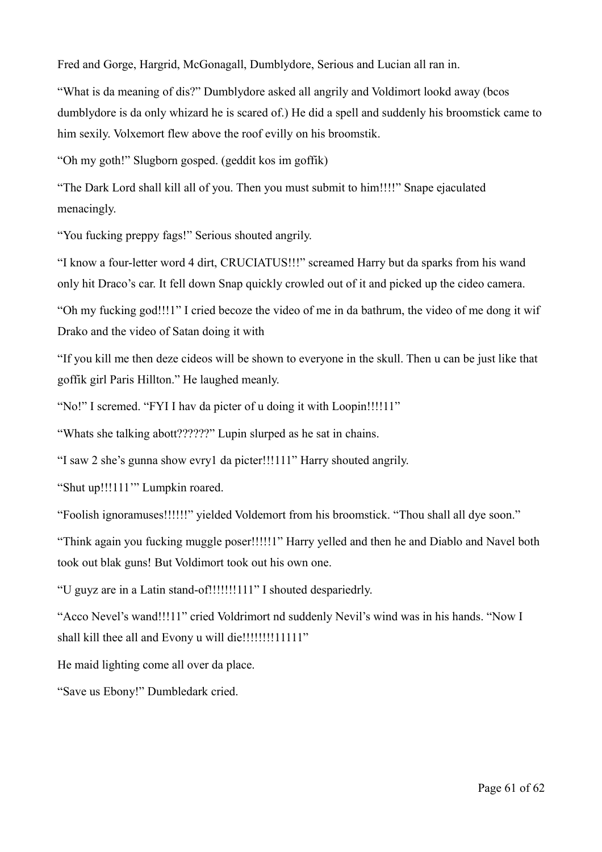Fred and Gorge, Hargrid, McGonagall, Dumblydore, Serious and Lucian all ran in.

"What is da meaning of dis?" Dumblydore asked all angrily and Voldimort lookd away (bcos dumblydore is da only whizard he is scared of.) He did a spell and suddenly his broomstick came to him sexily. Volxemort flew above the roof evilly on his broomstik.

"Oh my goth!" Slugborn gosped. (geddit kos im goffik)

"The Dark Lord shall kill all of you. Then you must submit to him!!!!" Snape ejaculated menacingly.

"You fucking preppy fags!" Serious shouted angrily.

"I know a four-letter word 4 dirt, CRUCIATUS!!!" screamed Harry but da sparks from his wand only hit Draco's car. It fell down Snap quickly crowled out of it and picked up the cideo camera.

"Oh my fucking god!!!1" I cried becoze the video of me in da bathrum, the video of me dong it wif Drako and the video of Satan doing it with

"If you kill me then deze cideos will be shown to everyone in the skull. Then u can be just like that goffik girl Paris Hillton." He laughed meanly.

"No!" I scremed. "FYI I hav da picter of u doing it with Loopin!!!!11"

"Whats she talking abott??????" Lupin slurped as he sat in chains.

"I saw 2 she's gunna show evry1 da picter!!!111" Harry shouted angrily.

"Shut up!!!111'" Lumpkin roared.

"Foolish ignoramuses!!!!!!" yielded Voldemort from his broomstick. "Thou shall all dye soon."

"Think again you fucking muggle poser!!!!!1" Harry yelled and then he and Diablo and Navel both took out blak guns! But Voldimort took out his own one.

"U guyz are in a Latin stand-of!!!!!!!111" I shouted despariedrly.

"Acco Nevel's wand!!!11" cried Voldrimort nd suddenly Nevil's wind was in his hands. "Now I shall kill thee all and Evony u will die!!!!!!!!!11111"

He maid lighting come all over da place.

"Save us Ebony!" Dumbledark cried.